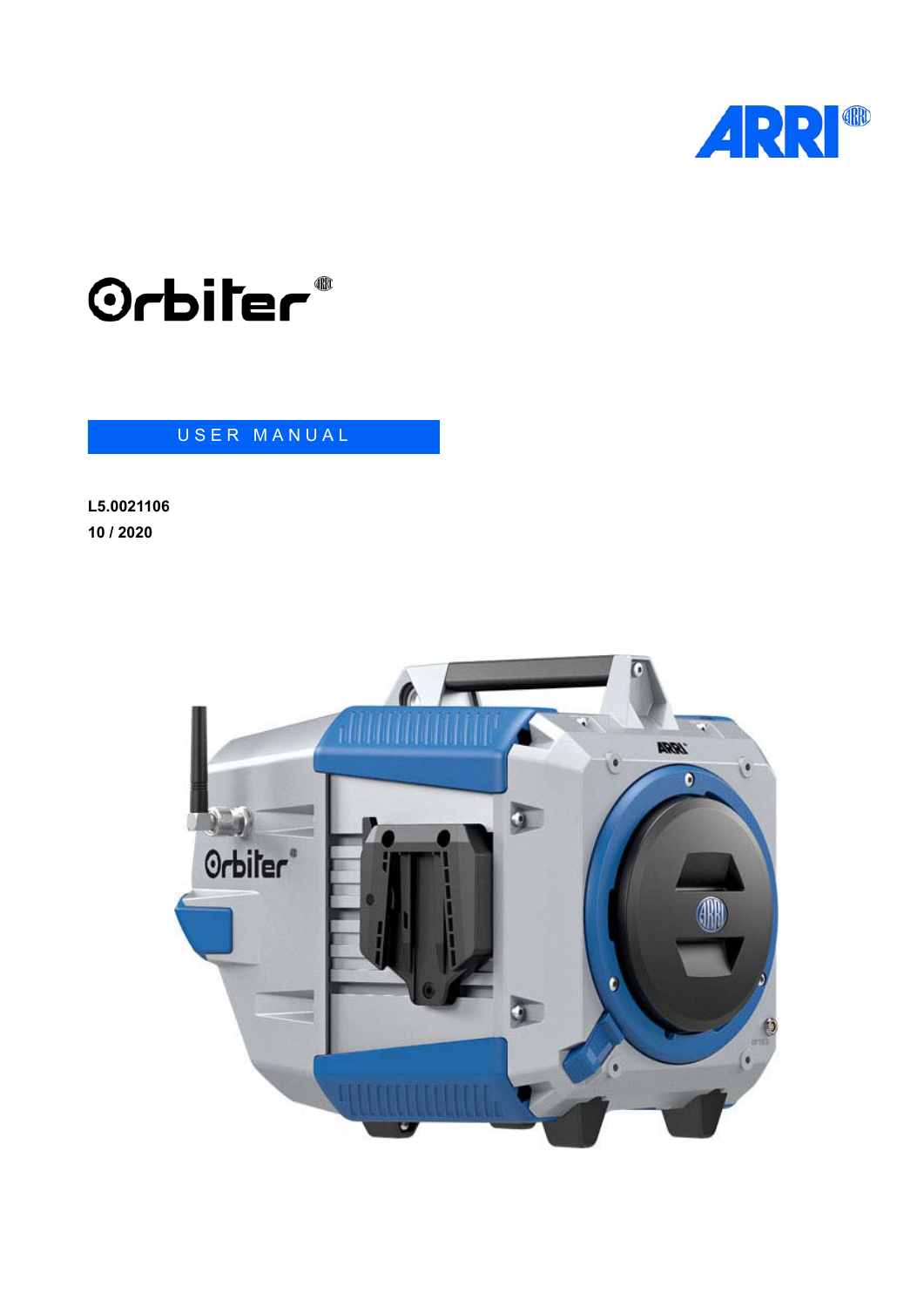

# Orbiter<sup>®</sup>

# USER MANUAL

**L5.0021106 10 / 2020**

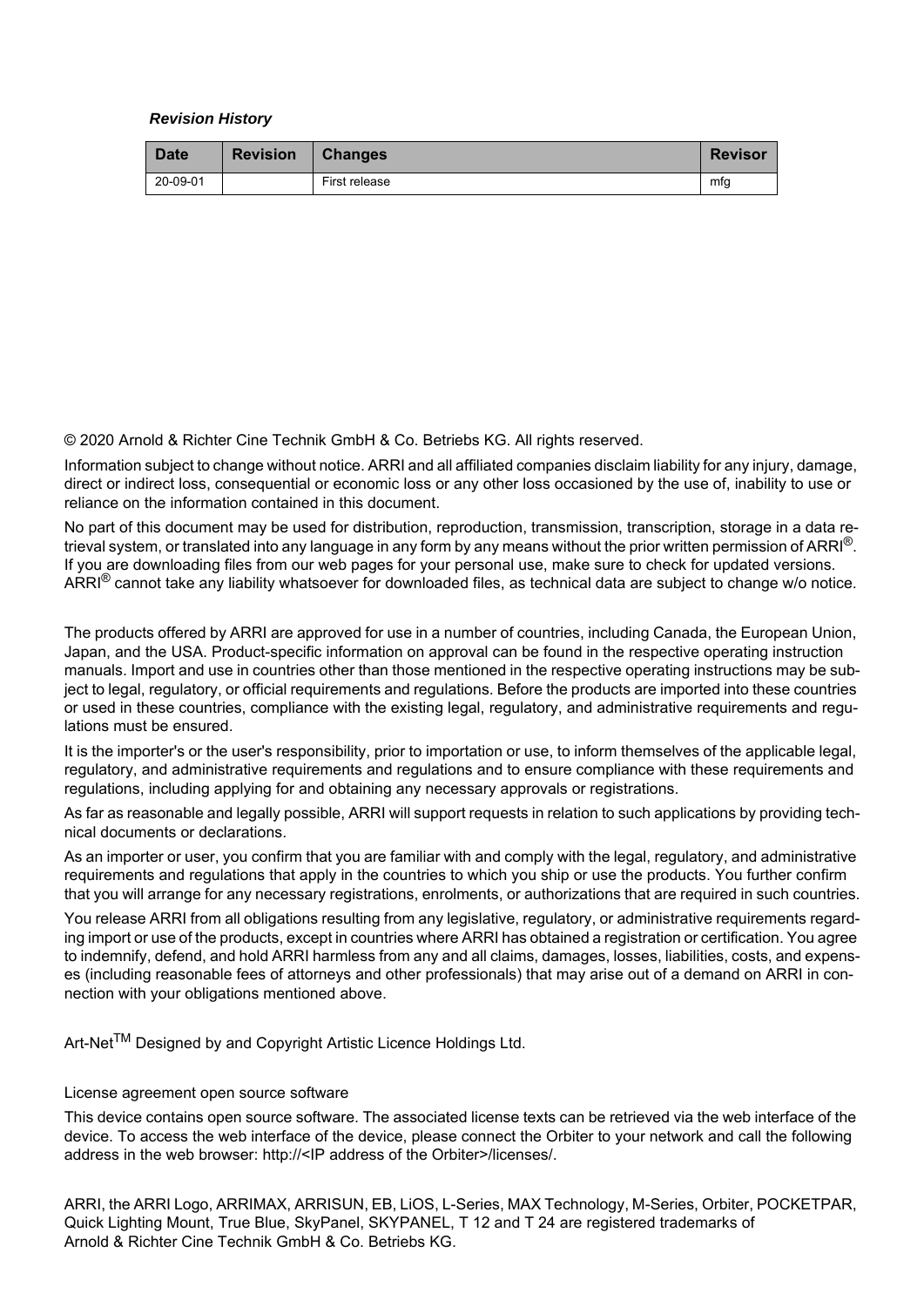#### *Revision History*

| <b>Date</b> | <b>Revision</b> | <b>Changes</b> | Revisor |
|-------------|-----------------|----------------|---------|
| 20-09-01    |                 | First release  | mfg     |

© 2020 Arnold & Richter Cine Technik GmbH & Co. Betriebs KG. All rights reserved.

Information subject to change without notice. ARRI and all affiliated companies disclaim liability for any injury, damage, direct or indirect loss, consequential or economic loss or any other loss occasioned by the use of, inability to use or reliance on the information contained in this document.

No part of this document may be used for distribution, reproduction, transmission, transcription, storage in a data retrieval system, or translated into any language in any form by any means without the prior written permission of ARRI<sup>®</sup>. If you are downloading files from our web pages for your personal use, make sure to check for updated versions. ARRI® cannot take any liability whatsoever for downloaded files, as technical data are subject to change w/o notice.

The products offered by ARRI are approved for use in a number of countries, including Canada, the European Union, Japan, and the USA. Product-specific information on approval can be found in the respective operating instruction manuals. Import and use in countries other than those mentioned in the respective operating instructions may be subject to legal, regulatory, or official requirements and regulations. Before the products are imported into these countries or used in these countries, compliance with the existing legal, regulatory, and administrative requirements and regulations must be ensured.

It is the importer's or the user's responsibility, prior to importation or use, to inform themselves of the applicable legal, regulatory, and administrative requirements and regulations and to ensure compliance with these requirements and regulations, including applying for and obtaining any necessary approvals or registrations.

As far as reasonable and legally possible, ARRI will support requests in relation to such applications by providing technical documents or declarations.

As an importer or user, you confirm that you are familiar with and comply with the legal, regulatory, and administrative requirements and regulations that apply in the countries to which you ship or use the products. You further confirm that you will arrange for any necessary registrations, enrolments, or authorizations that are required in such countries.

You release ARRI from all obligations resulting from any legislative, regulatory, or administrative requirements regarding import or use of the products, except in countries where ARRI has obtained a registration or certification. You agree to indemnify, defend, and hold ARRI harmless from any and all claims, damages, losses, liabilities, costs, and expenses (including reasonable fees of attorneys and other professionals) that may arise out of a demand on ARRI in connection with your obligations mentioned above.

Art-Net<sup>™</sup> Designed by and Copyright Artistic Licence Holdings Ltd.

#### License agreement open source software

This device contains open source software. The associated license texts can be retrieved via the web interface of the device. To access the web interface of the device, please connect the Orbiter to your network and call the following address in the web browser: http://<IP address of the Orbiter>/licenses/.

ARRI, the ARRI Logo, ARRIMAX, ARRISUN, EB, LiOS, L-Series, MAX Technology, M-Series, Orbiter, POCKETPAR, Quick Lighting Mount, True Blue, SkyPanel, SKYPANEL, T 12 and T 24 are registered trademarks of Arnold & Richter Cine Technik GmbH & Co. Betriebs KG.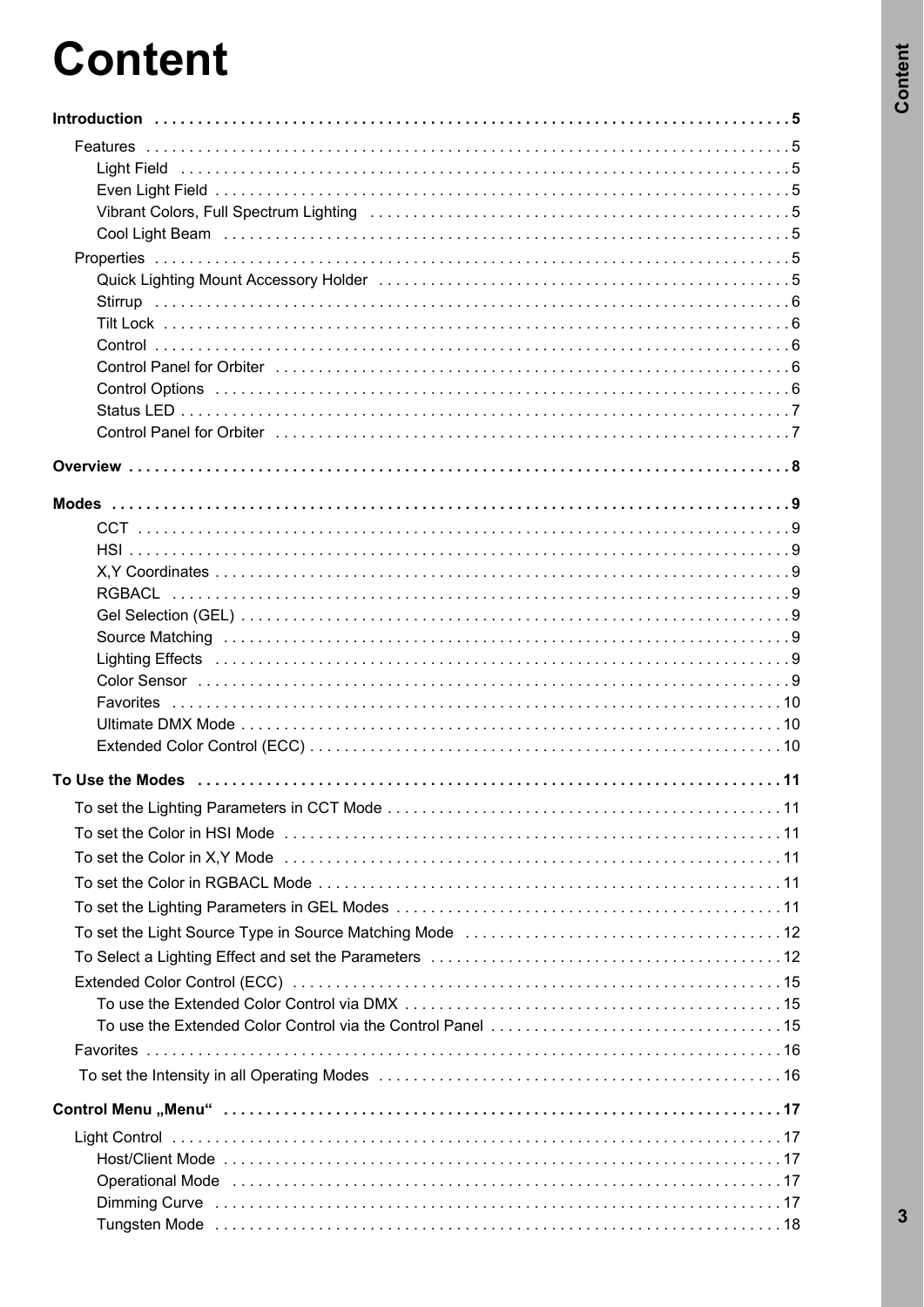# **Content**

| Quick Lighting Mount Accessory Holder (and the content of the content of the content of 5                                                                                                                                     |  |
|-------------------------------------------------------------------------------------------------------------------------------------------------------------------------------------------------------------------------------|--|
|                                                                                                                                                                                                                               |  |
|                                                                                                                                                                                                                               |  |
|                                                                                                                                                                                                                               |  |
|                                                                                                                                                                                                                               |  |
|                                                                                                                                                                                                                               |  |
|                                                                                                                                                                                                                               |  |
|                                                                                                                                                                                                                               |  |
|                                                                                                                                                                                                                               |  |
|                                                                                                                                                                                                                               |  |
|                                                                                                                                                                                                                               |  |
|                                                                                                                                                                                                                               |  |
|                                                                                                                                                                                                                               |  |
|                                                                                                                                                                                                                               |  |
|                                                                                                                                                                                                                               |  |
|                                                                                                                                                                                                                               |  |
|                                                                                                                                                                                                                               |  |
|                                                                                                                                                                                                                               |  |
| <b>Favorites</b>                                                                                                                                                                                                              |  |
|                                                                                                                                                                                                                               |  |
|                                                                                                                                                                                                                               |  |
| To Use the Modes Network (1199) 1994 (1994) 1995 (1996) 1996 (1996) 1996 (1997) 1996 (1997) 1997 (19                                                                                                                          |  |
|                                                                                                                                                                                                                               |  |
|                                                                                                                                                                                                                               |  |
|                                                                                                                                                                                                                               |  |
|                                                                                                                                                                                                                               |  |
|                                                                                                                                                                                                                               |  |
|                                                                                                                                                                                                                               |  |
| To set the Light Source Type in Source Matching Mode <b>Construent Construent Inc.</b> The Light Source Type in Source                                                                                                        |  |
|                                                                                                                                                                                                                               |  |
|                                                                                                                                                                                                                               |  |
|                                                                                                                                                                                                                               |  |
|                                                                                                                                                                                                                               |  |
|                                                                                                                                                                                                                               |  |
|                                                                                                                                                                                                                               |  |
|                                                                                                                                                                                                                               |  |
|                                                                                                                                                                                                                               |  |
|                                                                                                                                                                                                                               |  |
| Operational Mode (educational contract of the contract of the contract of the contract of the contract of the contract of the contract of the contract of the contract of the contract of the contract of the contract of the |  |
|                                                                                                                                                                                                                               |  |
|                                                                                                                                                                                                                               |  |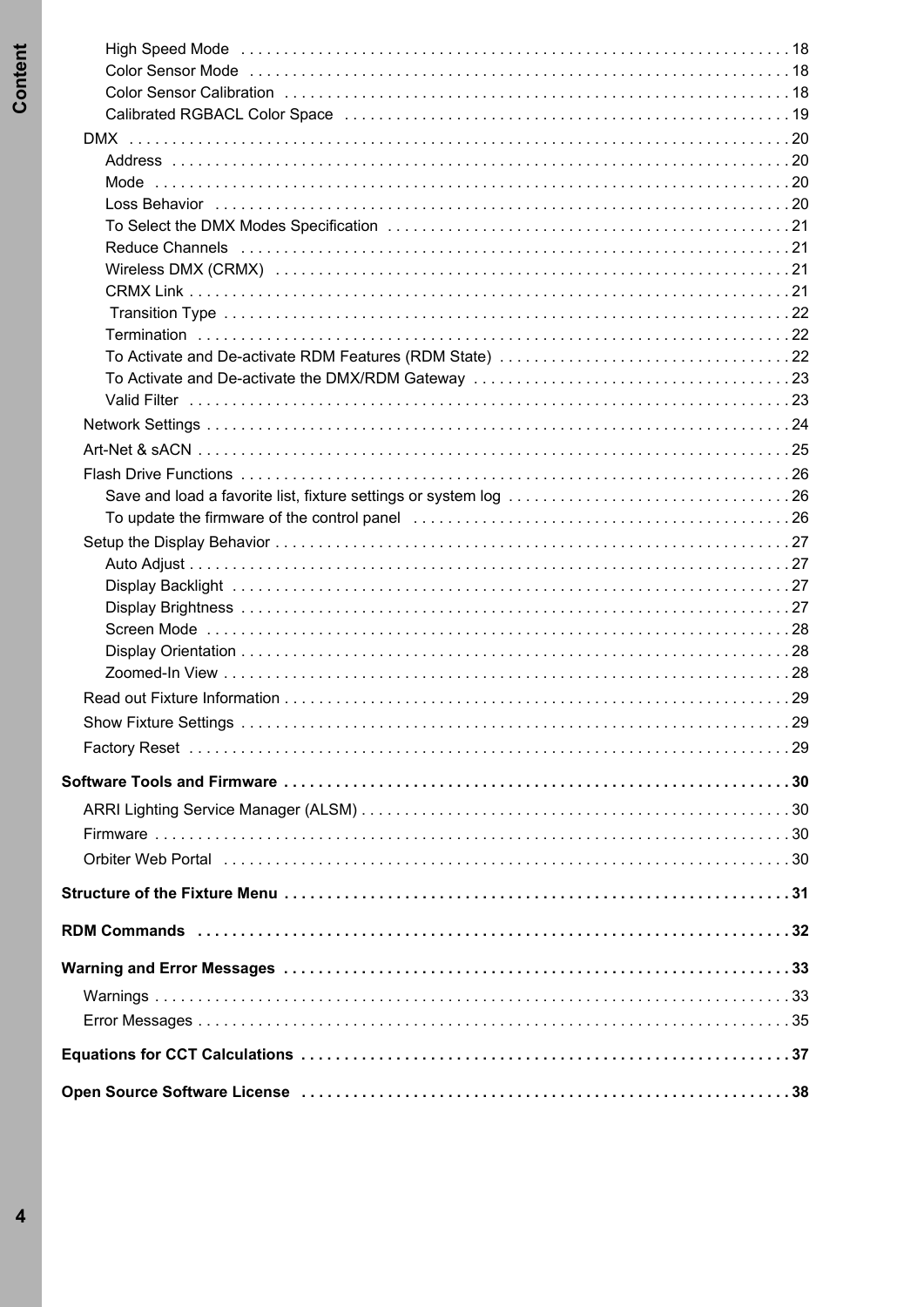| High Speed Mode entertainment and the material speed of the High Speed Mode entertainment and the High Speed Mode |  |
|-------------------------------------------------------------------------------------------------------------------|--|
| Color Sensor Mode (and according to the control of the color Sensor Mode (and the control of the color of the c   |  |
|                                                                                                                   |  |
|                                                                                                                   |  |
|                                                                                                                   |  |
|                                                                                                                   |  |
|                                                                                                                   |  |
|                                                                                                                   |  |
|                                                                                                                   |  |
|                                                                                                                   |  |
|                                                                                                                   |  |
|                                                                                                                   |  |
|                                                                                                                   |  |
|                                                                                                                   |  |
|                                                                                                                   |  |
|                                                                                                                   |  |
|                                                                                                                   |  |
|                                                                                                                   |  |
|                                                                                                                   |  |
|                                                                                                                   |  |
|                                                                                                                   |  |
|                                                                                                                   |  |
|                                                                                                                   |  |
|                                                                                                                   |  |
|                                                                                                                   |  |
|                                                                                                                   |  |
|                                                                                                                   |  |
|                                                                                                                   |  |
|                                                                                                                   |  |
|                                                                                                                   |  |
|                                                                                                                   |  |
|                                                                                                                   |  |
|                                                                                                                   |  |
|                                                                                                                   |  |
|                                                                                                                   |  |
|                                                                                                                   |  |
|                                                                                                                   |  |
|                                                                                                                   |  |
|                                                                                                                   |  |
|                                                                                                                   |  |
|                                                                                                                   |  |
|                                                                                                                   |  |
|                                                                                                                   |  |
|                                                                                                                   |  |
|                                                                                                                   |  |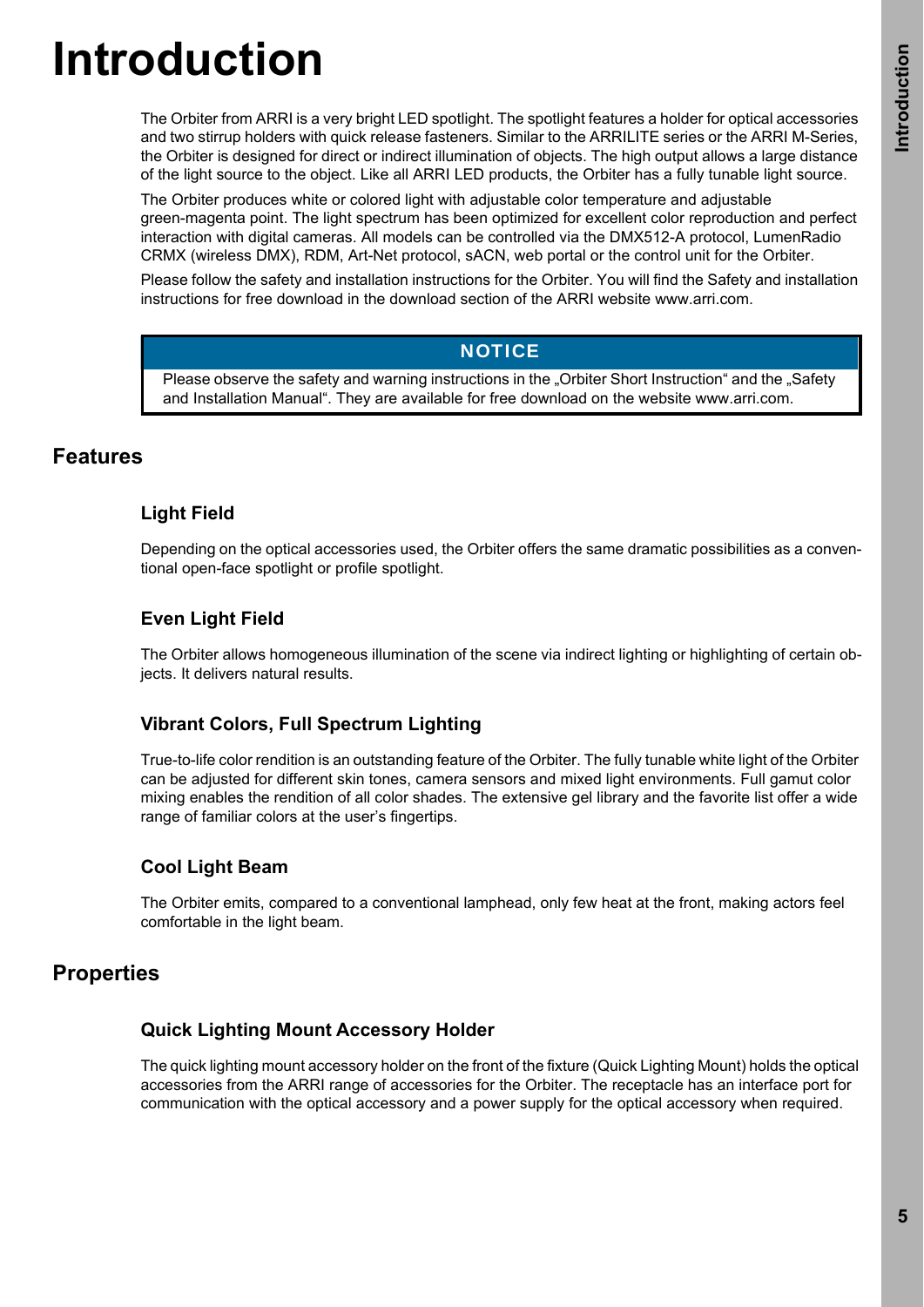# **Introduction**

The Orbiter from ARRI is a very bright LED spotlight. The spotlight features a holder for optical accessories and two stirrup holders with quick release fasteners. Similar to the ARRILITE series or the ARRI M-Series, the Orbiter is designed for direct or indirect illumination of objects. The high output allows a large distance of the light source to the object. Like all ARRI LED products, the Orbiter has a fully tunable light source.

The Orbiter produces white or colored light with adjustable color temperature and adjustable green-magenta point. The light spectrum has been optimized for excellent color reproduction and perfect interaction with digital cameras. All models can be controlled via the DMX512-A protocol, LumenRadio CRMX (wireless DMX), RDM, Art-Net protocol, sACN, web portal or the control unit for the Orbiter.

Please follow the safety and installation instructions for the Orbiter. You will find the Safety and installation instructions for free download in the download section of the ARRI website www.arri.com.

## **NOTICE**

Please observe the safety and warning instructions in the "Orbiter Short Instruction" and the "Safety and Installation Manual". They are available for free download on the website www.arri.com.

# <span id="page-4-1"></span><span id="page-4-0"></span>**Features**

# **Light Field**

Depending on the optical accessories used, the Orbiter offers the same dramatic possibilities as a conventional open-face spotlight or profile spotlight.

# <span id="page-4-2"></span>**Even Light Field**

The Orbiter allows homogeneous illumination of the scene via indirect lighting or highlighting of certain objects. It delivers natural results.

# <span id="page-4-3"></span>**Vibrant Colors, Full Spectrum Lighting**

True-to-life color rendition is an outstanding feature of the Orbiter. The fully tunable white light of the Orbiter can be adjusted for different skin tones, camera sensors and mixed light environments. Full gamut color mixing enables the rendition of all color shades. The extensive gel library and the favorite list offer a wide range of familiar colors at the user's fingertips.

# <span id="page-4-4"></span>**Cool Light Beam**

The Orbiter emits, compared to a conventional lamphead, only few heat at the front, making actors feel comfortable in the light beam.

# <span id="page-4-6"></span><span id="page-4-5"></span>**Properties**

# **Quick Lighting Mount Accessory Holder**

The quick lighting mount accessory holder on the front of the fixture (Quick Lighting Mount) holds the optical accessories from the ARRI range of accessories for the Orbiter. The receptacle has an interface port for communication with the optical accessory and a power supply for the optical accessory when required.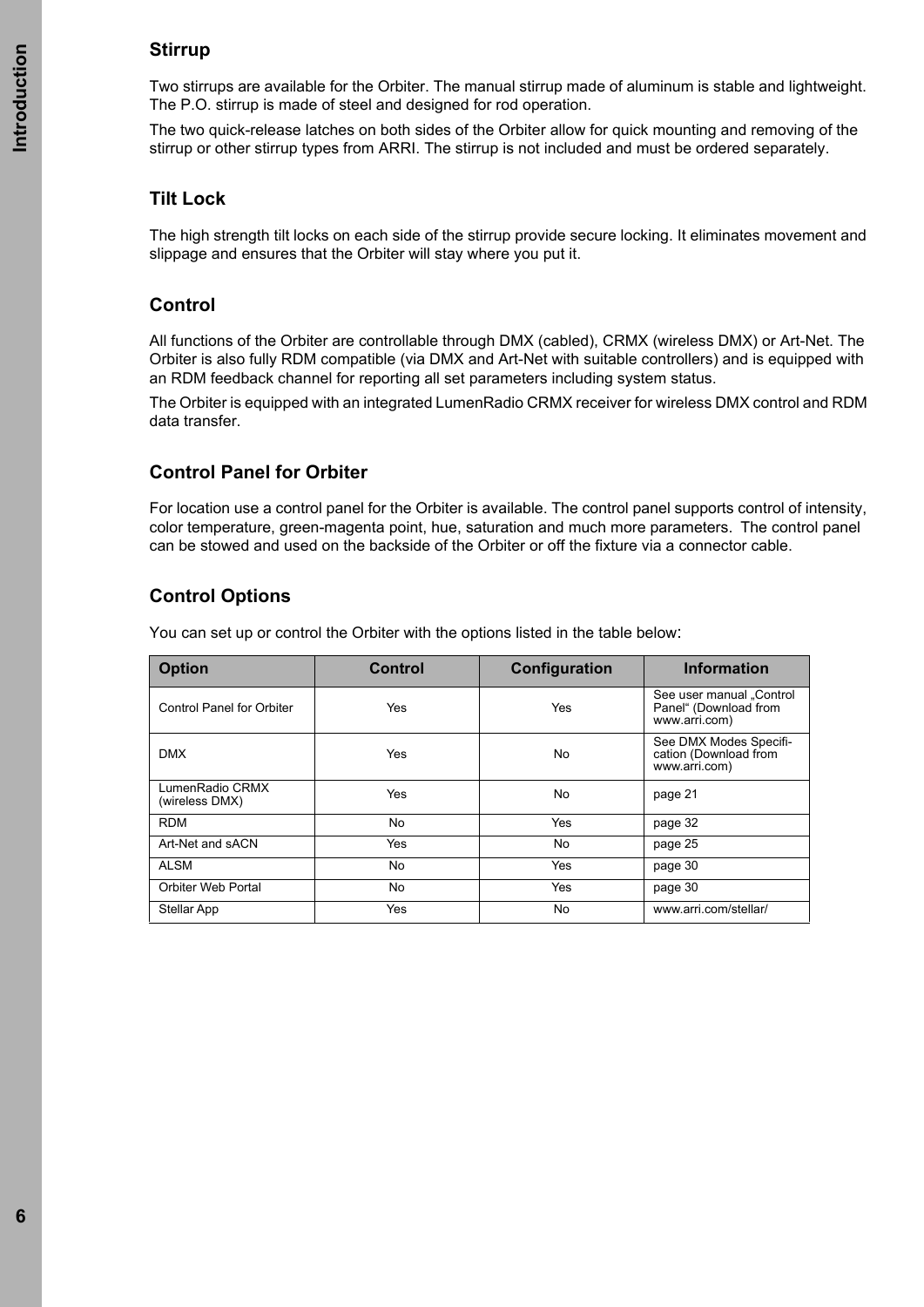# <span id="page-5-0"></span>**Stirrup**

Two stirrups are available for the Orbiter. The manual stirrup made of aluminum is stable and lightweight. The P.O. stirrup is made of steel and designed for rod operation.

The two quick-release latches on both sides of the Orbiter allow for quick mounting and removing of the stirrup or other stirrup types from ARRI. The stirrup is not included and must be ordered separately.

## <span id="page-5-1"></span>**Tilt Lock**

The high strength tilt locks on each side of the stirrup provide secure locking. It eliminates movement and slippage and ensures that the Orbiter will stay where you put it.

# <span id="page-5-2"></span>**Control**

All functions of the Orbiter are controllable through DMX (cabled), CRMX (wireless DMX) or Art-Net. The Orbiter is also fully RDM compatible (via DMX and Art-Net with suitable controllers) and is equipped with an RDM feedback channel for reporting all set parameters including system status.

The Orbiter is equipped with an integrated LumenRadio CRMX receiver for wireless DMX control and RDM data transfer.

## <span id="page-5-3"></span>**Control Panel for Orbiter**

For location use a control panel for the Orbiter is available. The control panel supports control of intensity, color temperature, green-magenta point, hue, saturation and much more parameters. The control panel can be stowed and used on the backside of the Orbiter or off the fixture via a connector cable.

# <span id="page-5-4"></span>**Control Options**

You can set up or control the Orbiter with the options listed in the table below:

| <b>Option</b>                     | <b>Control</b> | Configuration | <b>Information</b>                                                 |
|-----------------------------------|----------------|---------------|--------------------------------------------------------------------|
| <b>Control Panel for Orbiter</b>  | Yes            | Yes           | See user manual "Control<br>Panel" (Download from<br>www.arri.com) |
| <b>DMX</b>                        | Yes            | No            | See DMX Modes Specifi-<br>cation (Download from<br>www.arri.com)   |
| LumenRadio CRMX<br>(wireless DMX) | Yes            | No            | page 21                                                            |
| <b>RDM</b>                        | No.            | Yes           | page 32                                                            |
| Art-Net and sACN                  | Yes            | No            | page 25                                                            |
| <b>ALSM</b>                       | No.            | Yes           | page 30                                                            |
| <b>Orbiter Web Portal</b>         | No.            | Yes           | page 30                                                            |
| Stellar App                       | Yes            | No            | www.arri.com/stellar/                                              |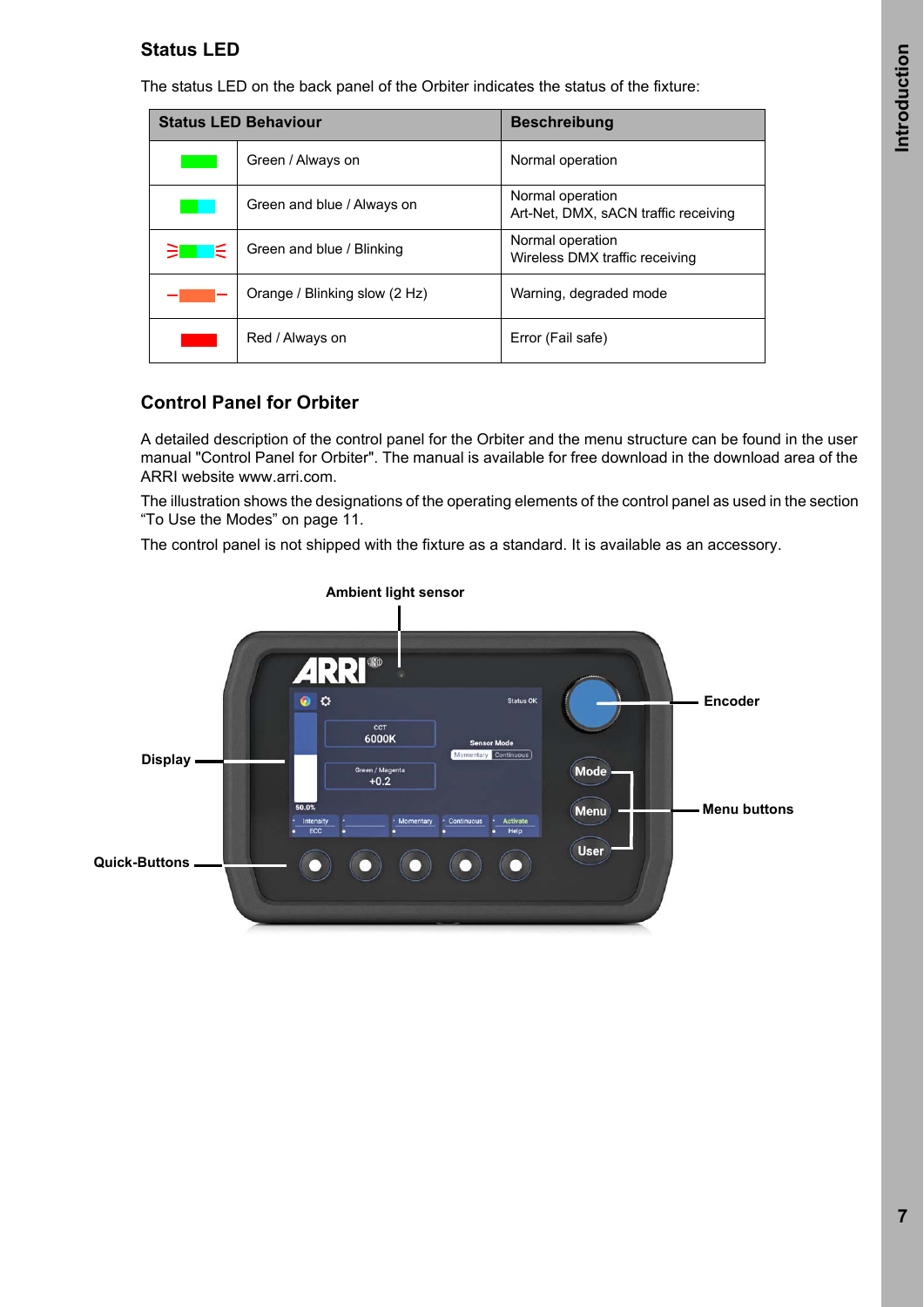# <span id="page-6-0"></span>**Status LED**

The status LED on the back panel of the Orbiter indicates the status of the fixture:

| <b>Status LED Behaviour</b> |                               | <b>Beschreibung</b>                                      |
|-----------------------------|-------------------------------|----------------------------------------------------------|
|                             | Green / Always on             | Normal operation                                         |
|                             | Green and blue / Always on    | Normal operation<br>Art-Net, DMX, sACN traffic receiving |
| $\Box$                      | Green and blue / Blinking     | Normal operation<br>Wireless DMX traffic receiving       |
|                             | Orange / Blinking slow (2 Hz) | Warning, degraded mode                                   |
|                             | Red / Always on               | Error (Fail safe)                                        |

# <span id="page-6-1"></span>**Control Panel for Orbiter**

A detailed description of the control panel for the Orbiter and the menu structure can be found in the user manual "Control Panel for Orbiter". The manual is available for free download in the download area of the ARRI website www.arri.com.

The illustration shows the designations of the operating elements of the control panel as used in the section ["To Use the Modes" on page 11.](#page-10-0)

The control panel is not shipped with the fixture as a standard. It is available as an accessory.

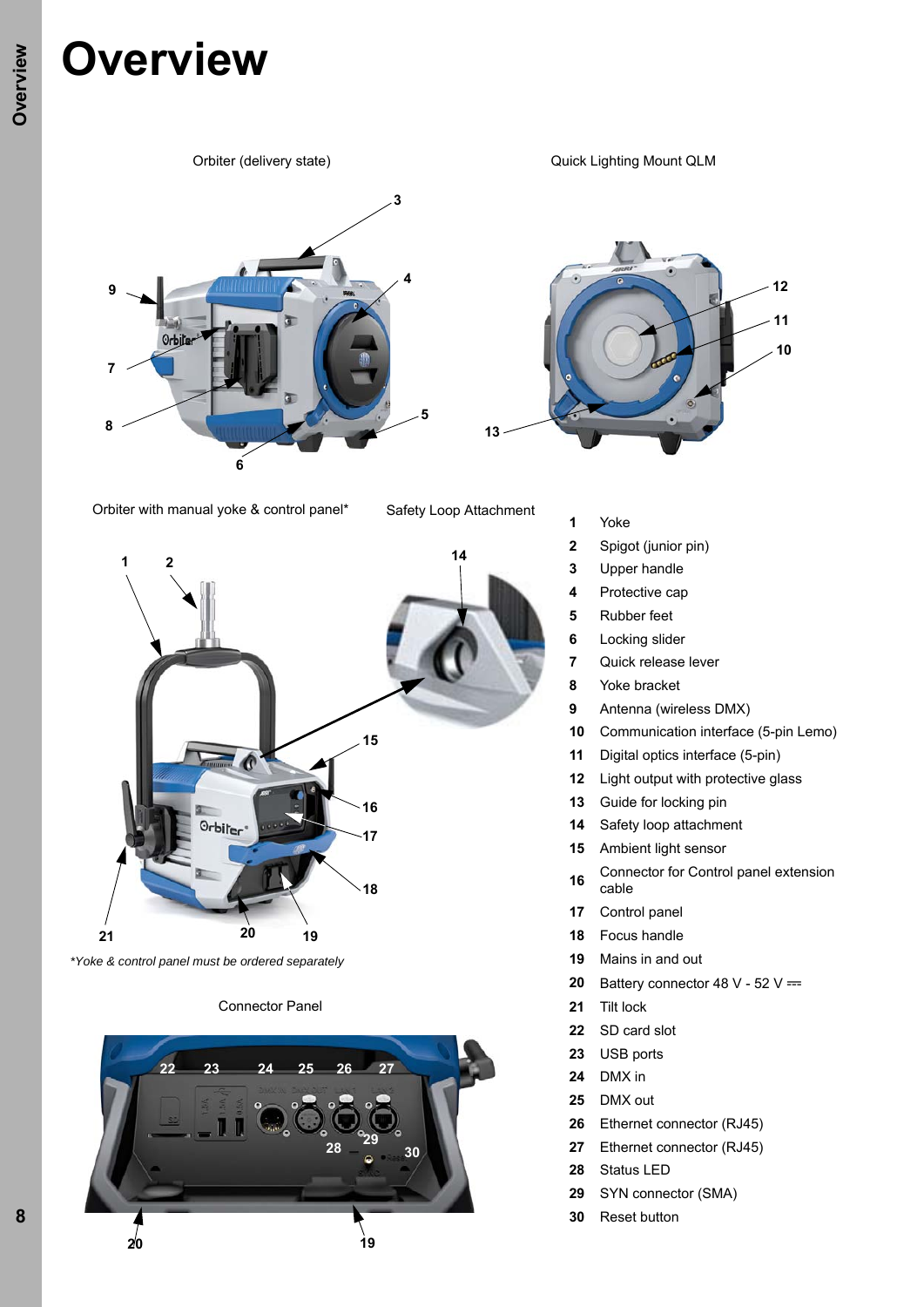# <span id="page-7-0"></span>**Overview**



Orbiter with manual yoke & control panel\* Safety Loop Attachment



*\*Yoke & control panel must be ordered separately*

#### Connector Panel



- Yoke
- Spigot (junior pin)
- Upper handle
- Protective cap
	- Rubber feet
- Locking slider
- Quick release lever
- Yoke bracket
- Antenna (wireless DMX)
- Communication interface (5-pin Lemo)

 

- Digital optics interface (5-pin)
- Light output with protective glass
- Guide for locking pin
- Safety loop attachment
- Ambient light sensor
- Connector for Control panel extension cable
- Control panel
- Focus handle
- Mains in and out
- **20** Battery connector  $48 \text{ V}$   $52 \text{ V}$  =
- Tilt lock
- SD card slot
- USB ports
- DMX in
- DMX out
- Ethernet connector (RJ45)
- Ethernet connector (RJ45)
- Status LED
- SYN connector (SMA)
- Reset button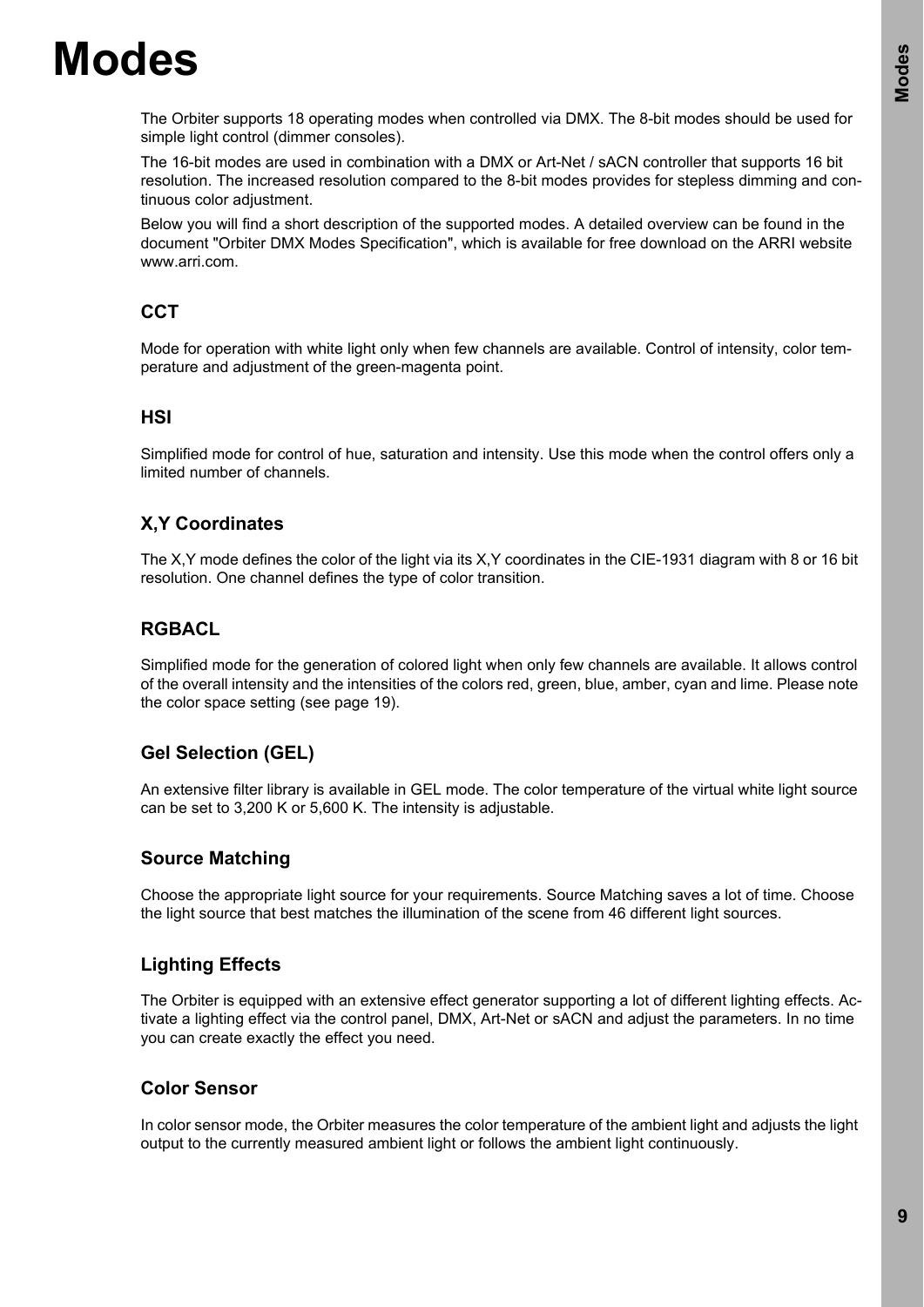# <span id="page-8-0"></span>**Modes**

The Orbiter supports 18 operating modes when controlled via DMX. The 8-bit modes should be used for simple light control (dimmer consoles).

The 16-bit modes are used in combination with a DMX or Art-Net / sACN controller that supports 16 bit resolution. The increased resolution compared to the 8-bit modes provides for stepless dimming and continuous color adjustment.

Below you will find a short description of the supported modes. A detailed overview can be found in the document "Orbiter DMX Modes Specification", which is available for free download on the ARRI website www.arri.com.

# <span id="page-8-1"></span>**CCT**

Mode for operation with white light only when few channels are available. Control of intensity, color temperature and adjustment of the green-magenta point.

# <span id="page-8-2"></span>**HSI**

Simplified mode for control of hue, saturation and intensity. Use this mode when the control offers only a limited number of channels.

# <span id="page-8-3"></span>**X,Y Coordinates**

The X,Y mode defines the color of the light via its X,Y coordinates in the CIE-1931 diagram with 8 or 16 bit resolution. One channel defines the type of color transition.

# <span id="page-8-4"></span>**RGBACL**

Simplified mode for the generation of colored light when only few channels are available. It allows control of the overall intensity and the intensities of the colors red, green, blue, amber, cyan and lime. Please note the color space setting (see [page 19\)](#page-18-0).

# <span id="page-8-5"></span>**Gel Selection (GEL)**

An extensive filter library is available in GEL mode. The color temperature of the virtual white light source can be set to 3,200 K or 5,600 K. The intensity is adjustable.

# <span id="page-8-6"></span>**Source Matching**

Choose the appropriate light source for your requirements. Source Matching saves a lot of time. Choose the light source that best matches the illumination of the scene from 46 different light sources.

# <span id="page-8-7"></span>**Lighting Effects**

The Orbiter is equipped with an extensive effect generator supporting a lot of different lighting effects. Activate a lighting effect via the control panel, DMX, Art-Net or sACN and adjust the parameters. In no time you can create exactly the effect you need.

# <span id="page-8-8"></span>**Color Sensor**

In color sensor mode, the Orbiter measures the color temperature of the ambient light and adjusts the light output to the currently measured ambient light or follows the ambient light continuously.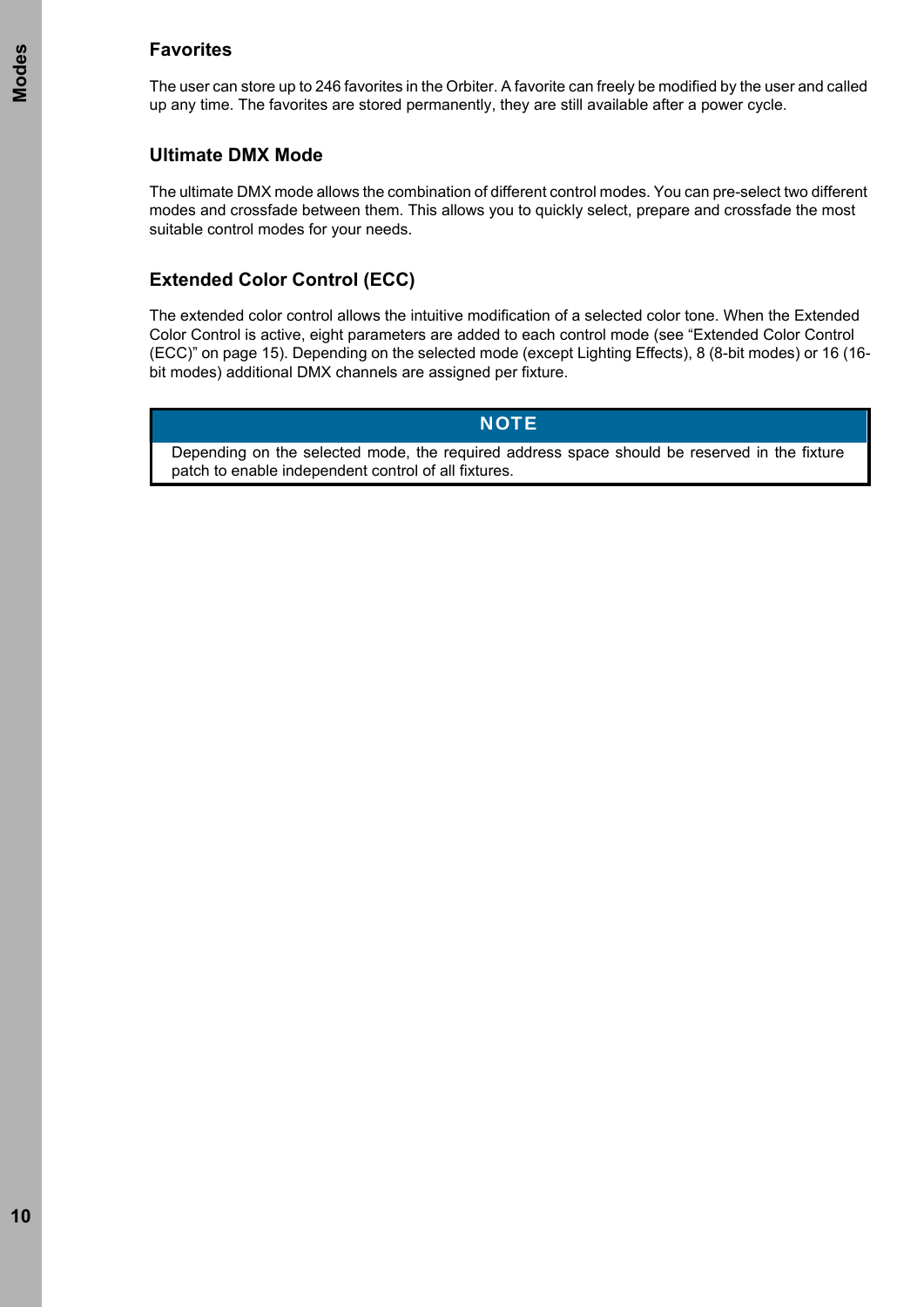# <span id="page-9-0"></span>**Favorites**

The user can store up to 246 favorites in the Orbiter. A favorite can freely be modified by the user and called up any time. The favorites are stored permanently, they are still available after a power cycle.

# <span id="page-9-1"></span>**Ultimate DMX Mode**

The ultimate DMX mode allows the combination of different control modes. You can pre-select two different modes and crossfade between them. This allows you to quickly select, prepare and crossfade the most suitable control modes for your needs.

# <span id="page-9-2"></span>**Extended Color Control (ECC)**

The extended color control allows the intuitive modification of a selected color tone. When the Extended Color Control is active, eight parameters are added to each control mode (see ["Extended Color Control](#page-14-0)  [\(ECC\)" on page 15\)](#page-14-0). Depending on the selected mode (except Lighting Effects), 8 (8-bit modes) or 16 (16 bit modes) additional DMX channels are assigned per fixture.

## **NOTE**

Depending on the selected mode, the required address space should be reserved in the fixture patch to enable independent control of all fixtures.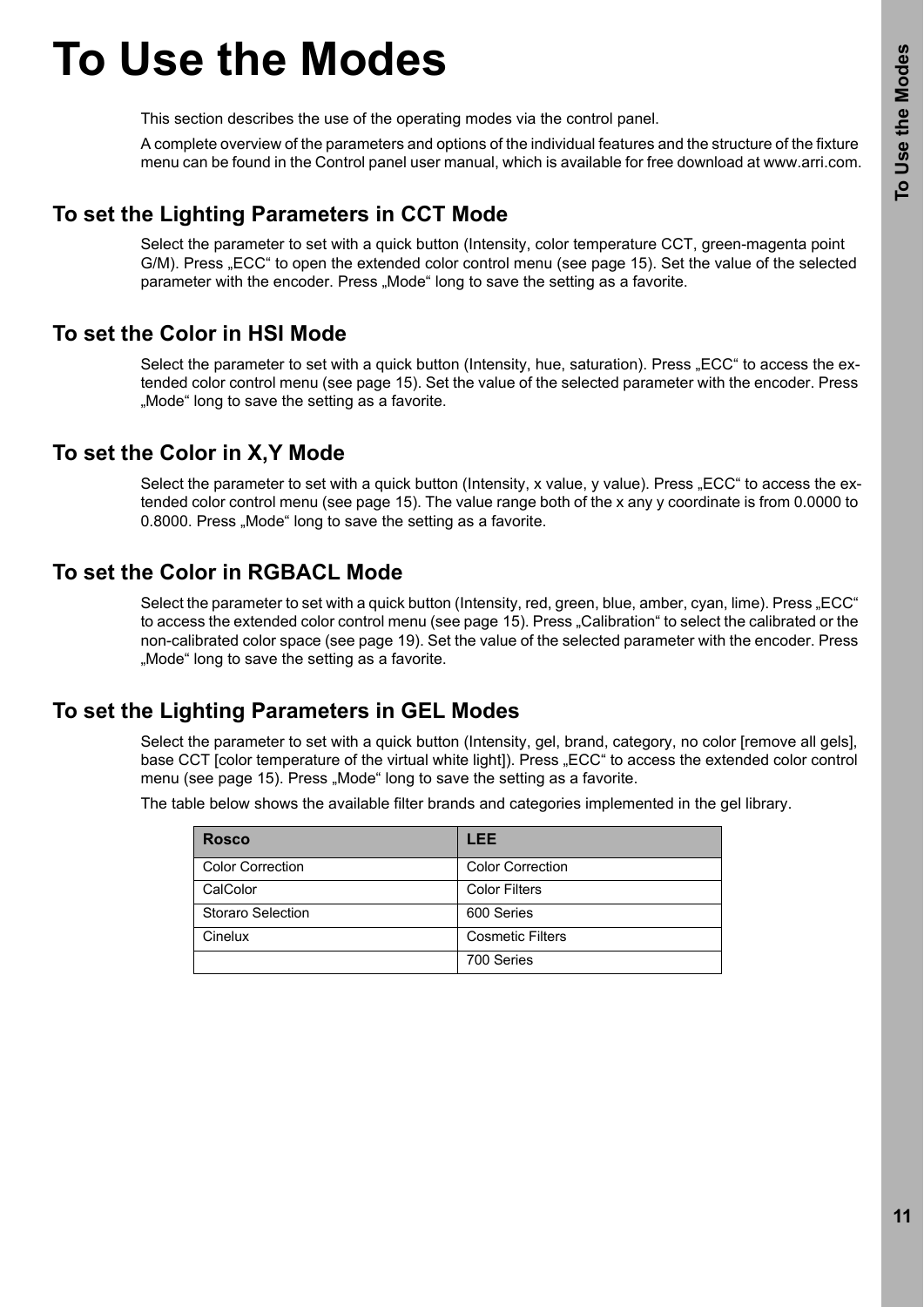# <span id="page-10-0"></span>**To Use the Modes**

This section describes the use of the operating modes via the control panel.

A complete overview of the parameters and options of the individual features and the structure of the fixture menu can be found in the Control panel user manual, which is available for free download at www.arri.com.

# <span id="page-10-1"></span>**To set the Lighting Parameters in CCT Mode**

Select the parameter to set with a quick button (Intensity, color temperature CCT, green-magenta point G/M). Press "ECC" to open the extended color control menu (see [page 15](#page-14-0)). Set the value of the selected parameter with the encoder. Press "Mode" long to save the setting as a favorite.

# <span id="page-10-2"></span>**To set the Color in HSI Mode**

Select the parameter to set with a quick button (Intensity, hue, saturation). Press "ECC" to access the extended color control menu (see [page 15\)](#page-14-0). Set the value of the selected parameter with the encoder. Press "Mode" long to save the setting as a favorite.

# <span id="page-10-3"></span>**To set the Color in X,Y Mode**

Select the parameter to set with a quick button (Intensity, x value, y value). Press "ECC" to access the extended color control menu (see [page 15\)](#page-14-0). The value range both of the x any y coordinate is from 0.0000 to 0.8000. Press "Mode" long to save the setting as a favorite.

# <span id="page-10-4"></span>**To set the Color in RGBACL Mode**

Select the parameter to set with a quick button (Intensity, red, green, blue, amber, cyan, lime). Press "ECC" to access the extended color control menu (see [page 15](#page-14-0)). Press "Calibration" to select the calibrated or the non-calibrated color space (see [page 19](#page-18-0)). Set the value of the selected parameter with the encoder. Press "Mode" long to save the setting as a favorite.

# <span id="page-10-5"></span>**To set the Lighting Parameters in GEL Modes**

Select the parameter to set with a quick button (Intensity, gel, brand, category, no color [remove all gels], base CCT [color temperature of the virtual white light]). Press "ECC" to access the extended color control menu (see [page 15\)](#page-14-0). Press "Mode" long to save the setting as a favorite.

The table below shows the available filter brands and categories implemented in the gel library.

| <b>Rosco</b>             | <b>LEE</b>              |
|--------------------------|-------------------------|
| <b>Color Correction</b>  | <b>Color Correction</b> |
| CalColor                 | <b>Color Filters</b>    |
| <b>Storaro Selection</b> | 600 Series              |
| Cinelux                  | <b>Cosmetic Filters</b> |
|                          | 700 Series              |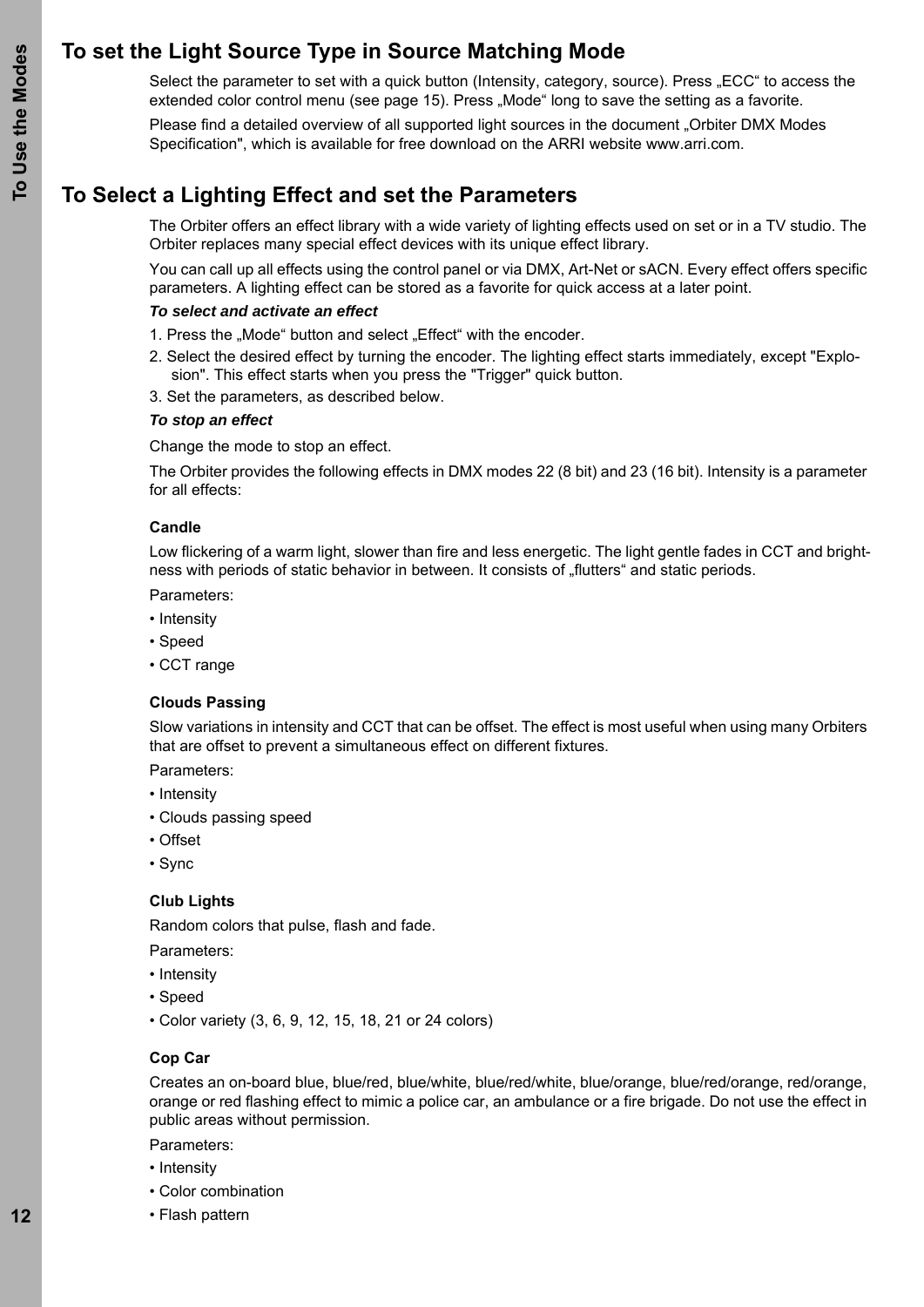# <span id="page-11-0"></span>**To set the Light Source Type in Source Matching Mode**

Select the parameter to set with a quick button (Intensity, category, source). Press "ECC" to access the extended color control menu (see [page 15\)](#page-14-0). Press "Mode" long to save the setting as a favorite.

Please find a detailed overview of all supported light sources in the document "Orbiter DMX Modes Specification", which is available for free download on the ARRI website www.arri.com.

# <span id="page-11-1"></span>**To Select a Lighting Effect and set the Parameters**

The Orbiter offers an effect library with a wide variety of lighting effects used on set or in a TV studio. The Orbiter replaces many special effect devices with its unique effect library.

You can call up all effects using the control panel or via DMX, Art-Net or sACN. Every effect offers specific parameters. A lighting effect can be stored as a favorite for quick access at a later point.

### *To select and activate an effect*

- 1. Press the "Mode" button and select "Effect" with the encoder.
- 2. Select the desired effect by turning the encoder. The lighting effect starts immediately, except "Explosion". This effect starts when you press the "Trigger" quick button.
- 3. Set the parameters, as described below.

#### *To stop an effect*

Change the mode to stop an effect.

The Orbiter provides the following effects in DMX modes 22 (8 bit) and 23 (16 bit). Intensity is a parameter for all effects:

#### **Candle**

Low flickering of a warm light, slower than fire and less energetic. The light gentle fades in CCT and brightness with periods of static behavior in between. It consists of "flutters" and static periods.

Parameters:

- Intensity
- Speed
- CCT range

#### **Clouds Passing**

Slow variations in intensity and CCT that can be offset. The effect is most useful when using many Orbiters that are offset to prevent a simultaneous effect on different fixtures.

Parameters:

- Intensity
- Clouds passing speed
- Offset
- Sync

## **Club Lights**

Random colors that pulse, flash and fade.

- Parameters:
- Intensity
- Speed
- Color variety (3, 6, 9, 12, 15, 18, 21 or 24 colors)

#### **Cop Car**

Creates an on-board blue, blue/red, blue/white, blue/red/white, blue/orange, blue/red/orange, red/orange, orange or red flashing effect to mimic a police car, an ambulance or a fire brigade. Do not use the effect in public areas without permission.

- Parameters:
- Intensity
- Color combination
- Flash pattern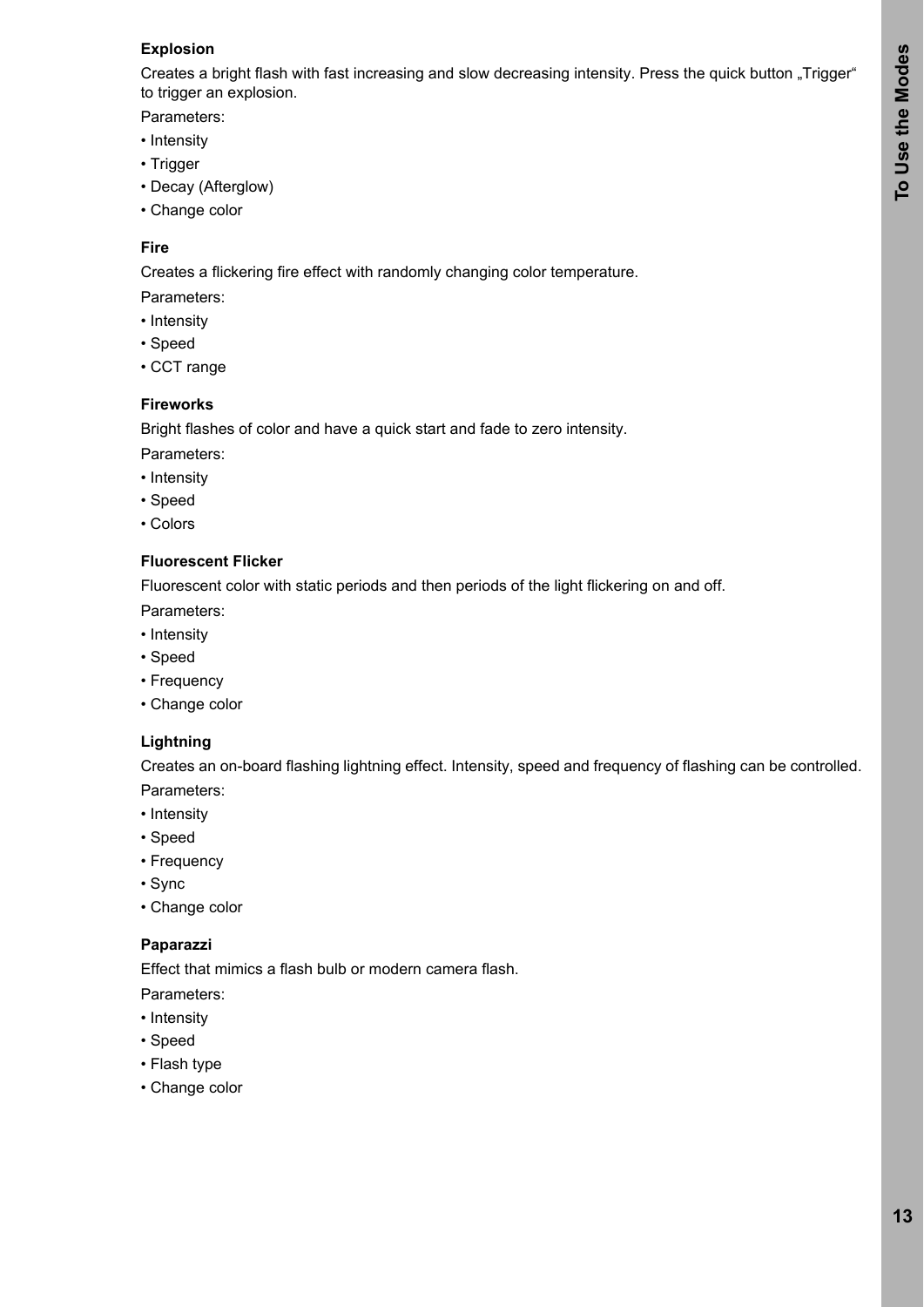## **Explosion**

Creates a bright flash with fast increasing and slow decreasing intensity. Press the quick button "Trigger" to trigger an explosion.

- Parameters:
- Intensity
- Trigger
- Decay (Afterglow)
- Change color

### **Fire**

Creates a flickering fire effect with randomly changing color temperature.

Parameters:

- Intensity
- Speed
- CCT range

## **Fireworks**

Bright flashes of color and have a quick start and fade to zero intensity.

Parameters:

- Intensity
- Speed
- Colors

### **Fluorescent Flicker**

Fluorescent color with static periods and then periods of the light flickering on and off.

Parameters:

- Intensity
- Speed
- Frequency
- Change color

### **Lightning**

Creates an on-board flashing lightning effect. Intensity, speed and frequency of flashing can be controlled. Parameters:

- Intensity
- Speed
- Frequency
- Sync
- Change color

## **Paparazzi**

Effect that mimics a flash bulb or modern camera flash.

### Parameters:

- Intensity
- Speed
- Flash type
- Change color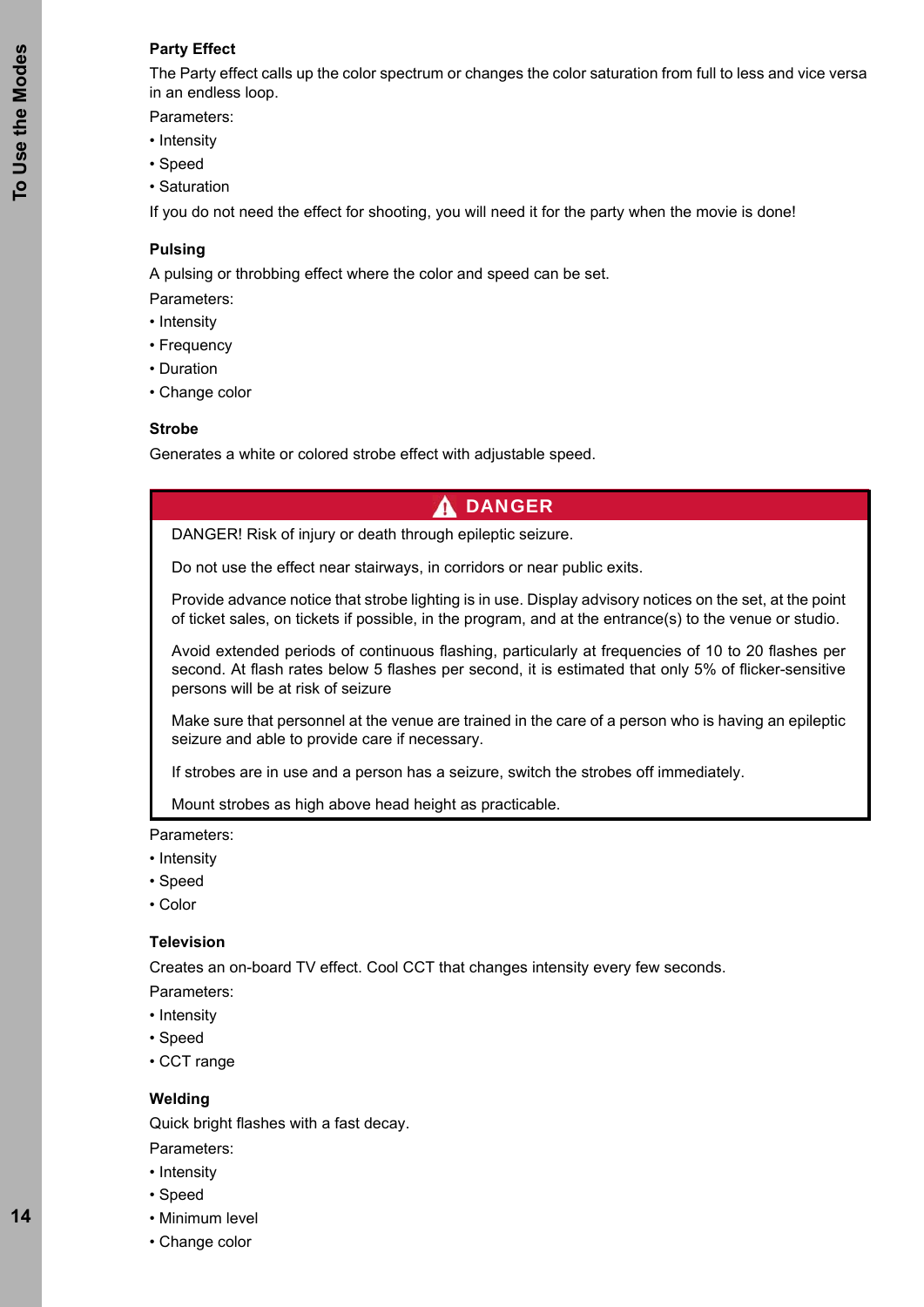### **Party Effect**

The Party effect calls up the color spectrum or changes the color saturation from full to less and vice versa in an endless loop.

Parameters:

- Intensity
- Speed
- Saturation

If you do not need the effect for shooting, you will need it for the party when the movie is done!

#### **Pulsing**

A pulsing or throbbing effect where the color and speed can be set.

Parameters:

- Intensity
- Frequency
- Duration
- Change color

#### **Strobe**

Generates a white or colored strobe effect with adjustable speed.

## DANGER

DANGER! Risk of injury or death through epileptic seizure.

Do not use the effect near stairways, in corridors or near public exits.

Provide advance notice that strobe lighting is in use. Display advisory notices on the set, at the point of ticket sales, on tickets if possible, in the program, and at the entrance(s) to the venue or studio.

Avoid extended periods of continuous flashing, particularly at frequencies of 10 to 20 flashes per second. At flash rates below 5 flashes per second, it is estimated that only 5% of flicker-sensitive persons will be at risk of seizure

Make sure that personnel at the venue are trained in the care of a person who is having an epileptic seizure and able to provide care if necessary.

If strobes are in use and a person has a seizure, switch the strobes off immediately.

Mount strobes as high above head height as practicable.

Parameters:

- Intensity
- Speed
- Color

#### **Television**

Creates an on-board TV effect. Cool CCT that changes intensity every few seconds.

Parameters:

- Intensity
- Speed
- CCT range

#### **Welding**

Quick bright flashes with a fast decay.

Parameters:

- Intensity
- Speed
- Minimum level
- Change color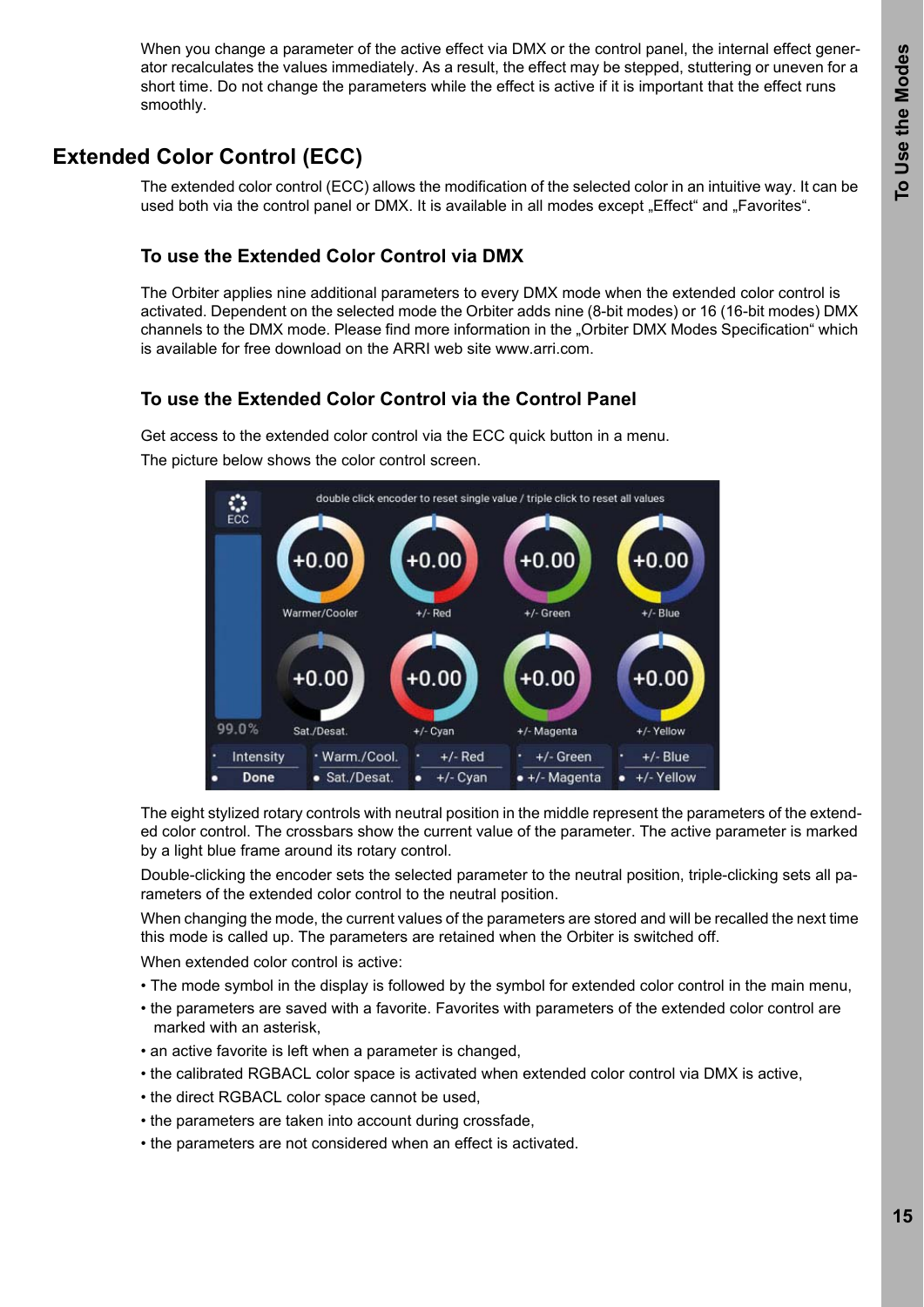When you change a parameter of the active effect via DMX or the control panel, the internal effect generator recalculates the values immediately. As a result, the effect may be stepped, stuttering or uneven for a short time. Do not change the parameters while the effect is active if it is important that the effect runs smoothly.

# <span id="page-14-0"></span>**Extended Color Control (ECC)**

The extended color control (ECC) allows the modification of the selected color in an intuitive way. It can be used both via the control panel or DMX. It is available in all modes except "Effect" and "Favorites".

# <span id="page-14-1"></span>**To use the Extended Color Control via DMX**

The Orbiter applies nine additional parameters to every DMX mode when the extended color control is activated. Dependent on the selected mode the Orbiter adds nine (8-bit modes) or 16 (16-bit modes) DMX channels to the DMX mode. Please find more information in the "Orbiter DMX Modes Specification" which is available for free download on the ARRI web site www.arri.com.

# <span id="page-14-2"></span>**To use the Extended Color Control via the Control Panel**

Get access to the extended color control via the ECC quick button in a menu. The picture below shows the color control screen.



The eight stylized rotary controls with neutral position in the middle represent the parameters of the extended color control. The crossbars show the current value of the parameter. The active parameter is marked by a light blue frame around its rotary control.

Double-clicking the encoder sets the selected parameter to the neutral position, triple-clicking sets all parameters of the extended color control to the neutral position.

When changing the mode, the current values of the parameters are stored and will be recalled the next time this mode is called up. The parameters are retained when the Orbiter is switched off.

When extended color control is active:

- The mode symbol in the display is followed by the symbol for extended color control in the main menu,
- the parameters are saved with a favorite. Favorites with parameters of the extended color control are marked with an asterisk,
- an active favorite is left when a parameter is changed,
- the calibrated RGBACL color space is activated when extended color control via DMX is active,
- the direct RGBACL color space cannot be used,
- the parameters are taken into account during crossfade,
- the parameters are not considered when an effect is activated.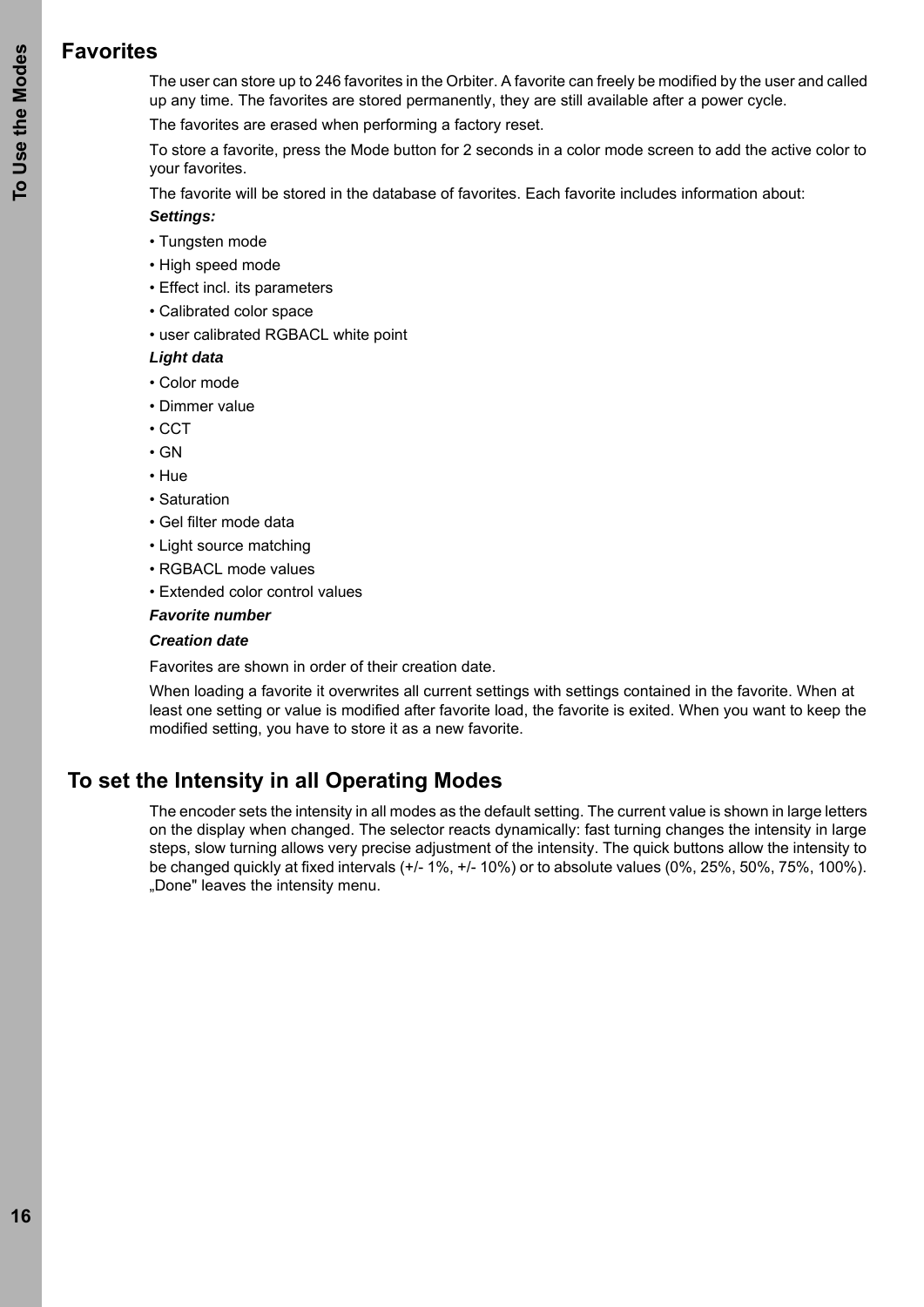# <span id="page-15-0"></span>**Favorites**

The user can store up to 246 favorites in the Orbiter. A favorite can freely be modified by the user and called up any time. The favorites are stored permanently, they are still available after a power cycle.

The favorites are erased when performing a factory reset.

To store a favorite, press the Mode button for 2 seconds in a color mode screen to add the active color to your favorites.

The favorite will be stored in the database of favorites. Each favorite includes information about:

## *Settings:*

- Tungsten mode
- High speed mode
- Effect incl. its parameters
- Calibrated color space
- user calibrated RGBACL white point

## *Light data*

- Color mode
- Dimmer value
- CCT
- GN
- Hue
- Saturation
- Gel filter mode data
- Light source matching
- RGBACL mode values
- Extended color control values

## *Favorite number*

## *Creation date*

Favorites are shown in order of their creation date.

When loading a favorite it overwrites all current settings with settings contained in the favorite. When at least one setting or value is modified after favorite load, the favorite is exited. When you want to keep the modified setting, you have to store it as a new favorite.

# <span id="page-15-1"></span> **To set the Intensity in all Operating Modes**

The encoder sets the intensity in all modes as the default setting. The current value is shown in large letters on the display when changed. The selector reacts dynamically: fast turning changes the intensity in large steps, slow turning allows very precise adjustment of the intensity. The quick buttons allow the intensity to be changed quickly at fixed intervals (+/- 1%, +/- 10%) or to absolute values (0%, 25%, 50%, 75%, 100%). "Done" leaves the intensity menu.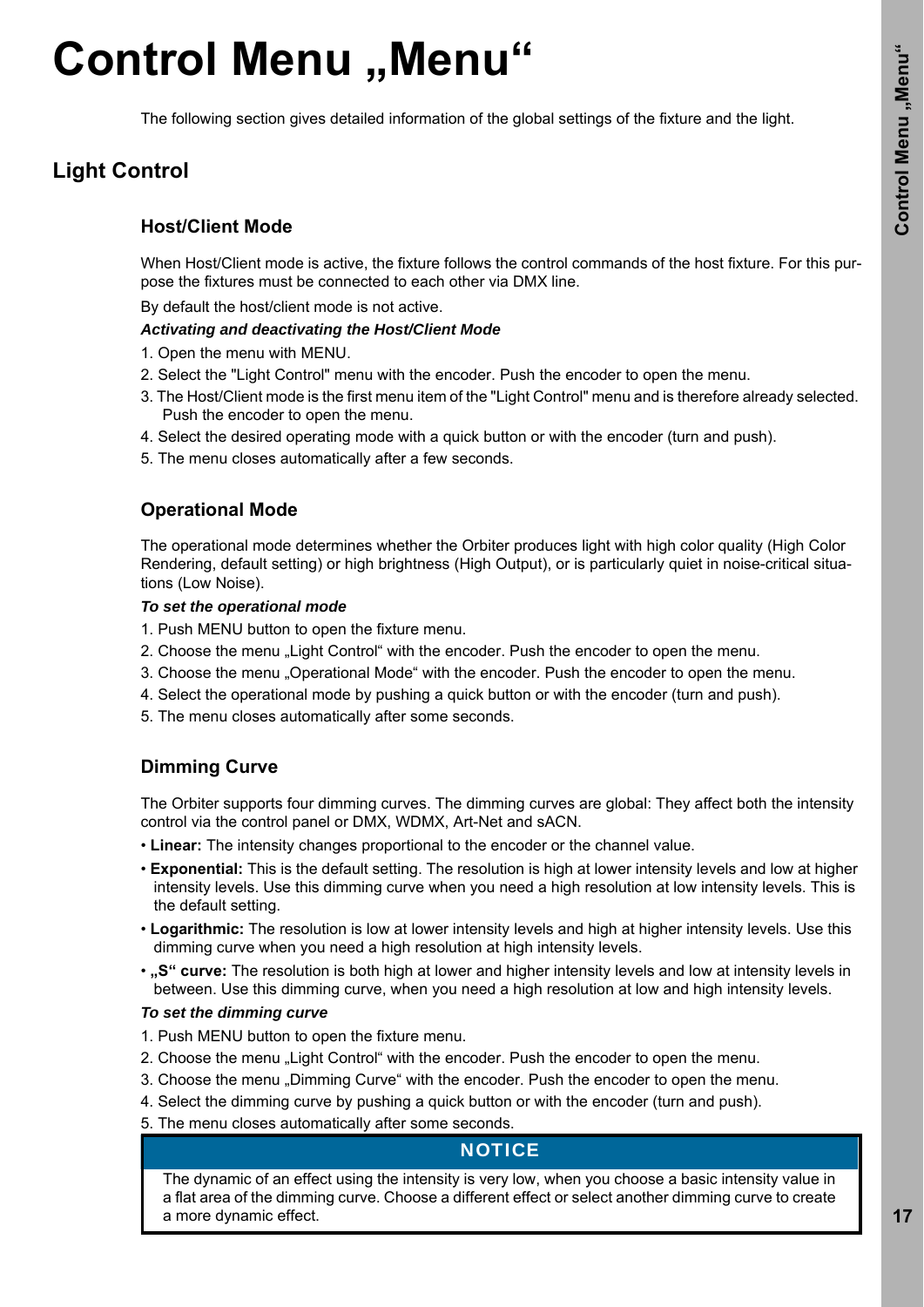# <span id="page-16-0"></span>**Control Menu ,, Menu"**

The following section gives detailed information of the global settings of the fixture and the light.

# <span id="page-16-2"></span><span id="page-16-1"></span>**Light Control**

# **Host/Client Mode**

When Host/Client mode is active, the fixture follows the control commands of the host fixture. For this purpose the fixtures must be connected to each other via DMX line.

By default the host/client mode is not active.

### *Activating and deactivating the Host/Client Mode*

- 1. Open the menu with MENU.
- 2. Select the "Light Control" menu with the encoder. Push the encoder to open the menu.
- 3. The Host/Client mode is the first menu item of the "Light Control" menu and is therefore already selected. Push the encoder to open the menu.
- 4. Select the desired operating mode with a quick button or with the encoder (turn and push).
- 5. The menu closes automatically after a few seconds.

## <span id="page-16-3"></span>**Operational Mode**

The operational mode determines whether the Orbiter produces light with high color quality (High Color Rendering, default setting) or high brightness (High Output), or is particularly quiet in noise-critical situations (Low Noise).

### *To set the operational mode*

- 1. Push MENU button to open the fixture menu.
- 2. Choose the menu "Light Control" with the encoder. Push the encoder to open the menu.
- 3. Choose the menu "Operational Mode" with the encoder. Push the encoder to open the menu.
- 4. Select the operational mode by pushing a quick button or with the encoder (turn and push).
- 5. The menu closes automatically after some seconds.

# <span id="page-16-4"></span>**Dimming Curve**

The Orbiter supports four dimming curves. The dimming curves are global: They affect both the intensity control via the control panel or DMX, WDMX, Art-Net and sACN.

- **Linear:** The intensity changes proportional to the encoder or the channel value.
- **Exponential:** This is the default setting. The resolution is high at lower intensity levels and low at higher intensity levels. Use this dimming curve when you need a high resolution at low intensity levels. This is the default setting.
- **Logarithmic:** The resolution is low at lower intensity levels and high at higher intensity levels. Use this dimming curve when you need a high resolution at high intensity levels.
- **"S" curve:** The resolution is both high at lower and higher intensity levels and low at intensity levels in between. Use this dimming curve, when you need a high resolution at low and high intensity levels.

## *To set the dimming curve*

- 1. Push MENU button to open the fixture menu.
- 2. Choose the menu "Light Control" with the encoder. Push the encoder to open the menu.
- 3. Choose the menu "Dimming Curve" with the encoder. Push the encoder to open the menu.
- 4. Select the dimming curve by pushing a quick button or with the encoder (turn and push).
- 5. The menu closes automatically after some seconds.

# **NOTICE**

The dynamic of an effect using the intensity is very low, when you choose a basic intensity value in a flat area of the dimming curve. Choose a different effect or select another dimming curve to create a more dynamic effect.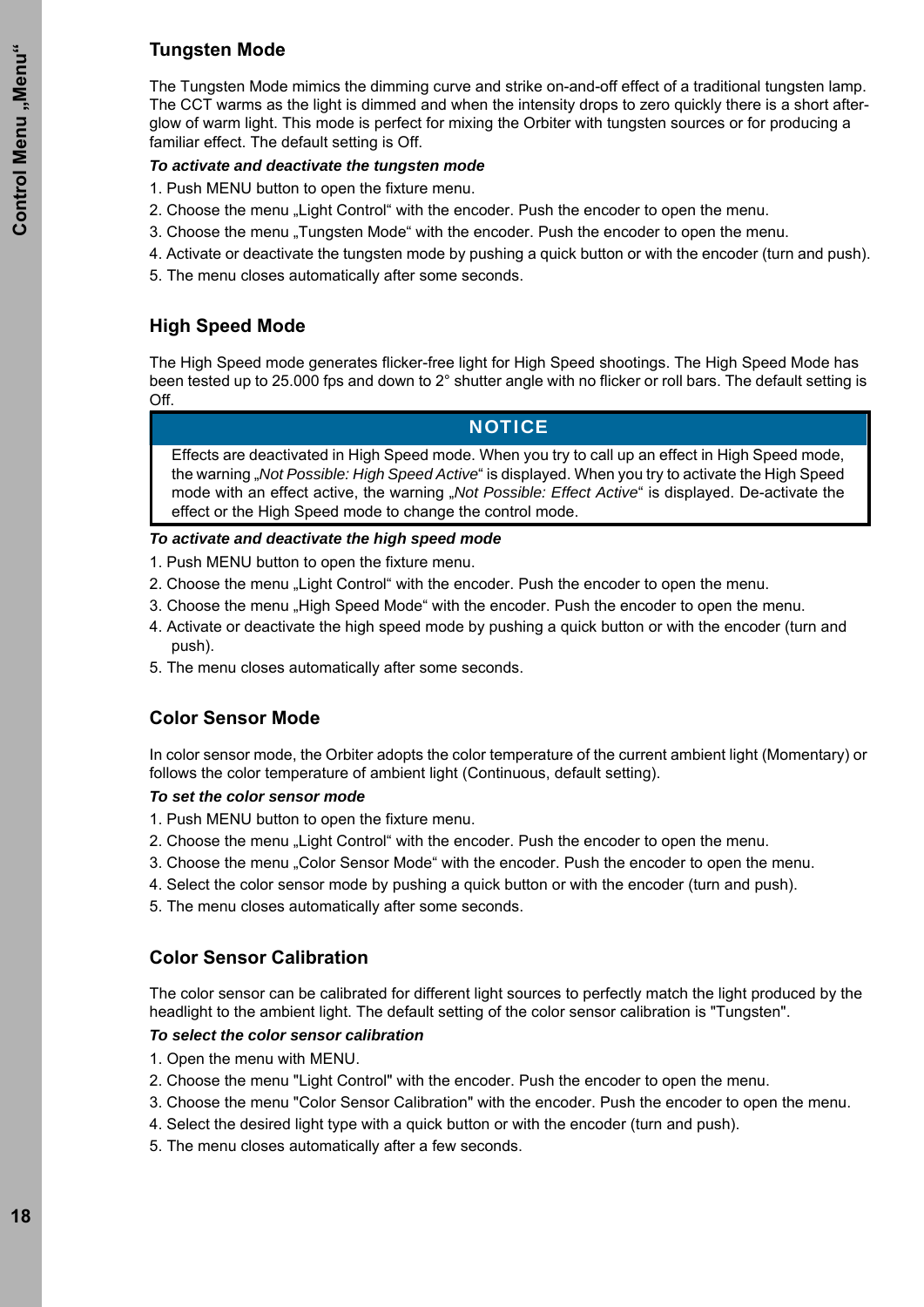# <span id="page-17-0"></span>**Tungsten Mode**

The Tungsten Mode mimics the dimming curve and strike on-and-off effect of a traditional tungsten lamp. The CCT warms as the light is dimmed and when the intensity drops to zero quickly there is a short afterglow of warm light. This mode is perfect for mixing the Orbiter with tungsten sources or for producing a familiar effect. The default setting is Off.

## *To activate and deactivate the tungsten mode*

- 1. Push MENU button to open the fixture menu.
- 2. Choose the menu "Light Control" with the encoder. Push the encoder to open the menu.
- 3. Choose the menu "Tungsten Mode" with the encoder. Push the encoder to open the menu.
- 4. Activate or deactivate the tungsten mode by pushing a quick button or with the encoder (turn and push).
- 5. The menu closes automatically after some seconds.

# <span id="page-17-1"></span>**High Speed Mode**

The High Speed mode generates flicker-free light for High Speed shootings. The High Speed Mode has been tested up to 25.000 fps and down to 2° shutter angle with no flicker or roll bars. The default setting is Off.

## **NOTICE**

Effects are deactivated in High Speed mode. When you try to call up an effect in High Speed mode, the warning "*Not Possible: High Speed Active*" is displayed. When you try to activate the High Speed mode with an effect active, the warning "*Not Possible: Effect Active*" is displayed. De-activate the effect or the High Speed mode to change the control mode.

## *To activate and deactivate the high speed mode*

- 1. Push MENU button to open the fixture menu.
- 2. Choose the menu "Light Control" with the encoder. Push the encoder to open the menu.
- 3. Choose the menu "High Speed Mode" with the encoder. Push the encoder to open the menu.
- 4. Activate or deactivate the high speed mode by pushing a quick button or with the encoder (turn and push).
- 5. The menu closes automatically after some seconds.

# <span id="page-17-2"></span>**Color Sensor Mode**

In color sensor mode, the Orbiter adopts the color temperature of the current ambient light (Momentary) or follows the color temperature of ambient light (Continuous, default setting).

## *To set the color sensor mode*

- 1. Push MENU button to open the fixture menu.
- 2. Choose the menu "Light Control" with the encoder. Push the encoder to open the menu.
- 3. Choose the menu "Color Sensor Mode" with the encoder. Push the encoder to open the menu.
- 4. Select the color sensor mode by pushing a quick button or with the encoder (turn and push).
- 5. The menu closes automatically after some seconds.

# <span id="page-17-3"></span>**Color Sensor Calibration**

The color sensor can be calibrated for different light sources to perfectly match the light produced by the headlight to the ambient light. The default setting of the color sensor calibration is "Tungsten".

## *To select the color sensor calibration*

- 1. Open the menu with MENU.
- 2. Choose the menu "Light Control" with the encoder. Push the encoder to open the menu.
- 3. Choose the menu "Color Sensor Calibration" with the encoder. Push the encoder to open the menu.
- 4. Select the desired light type with a quick button or with the encoder (turn and push).
- 5. The menu closes automatically after a few seconds.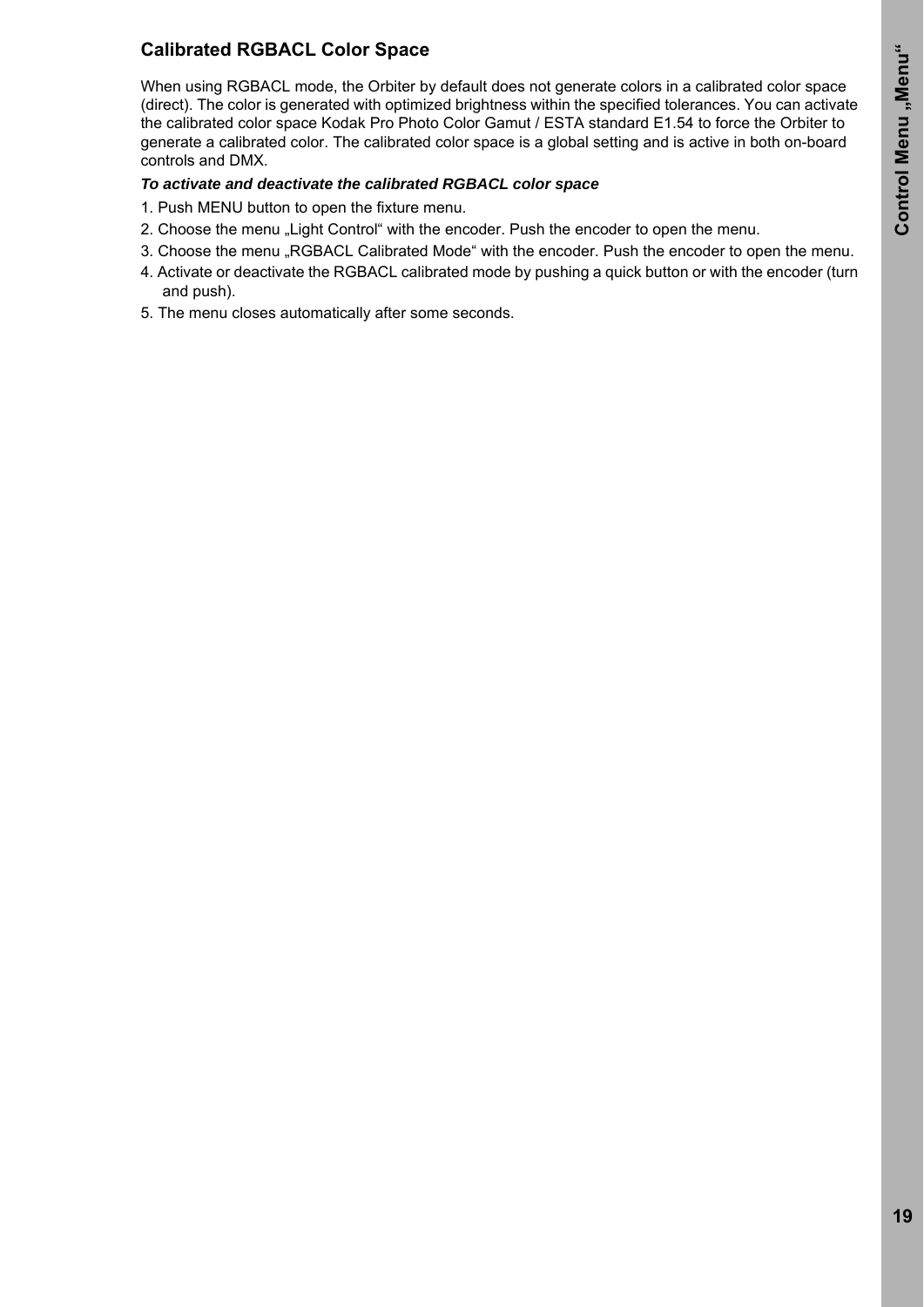# <span id="page-18-0"></span>**Calibrated RGBACL Color Space**

When using RGBACL mode, the Orbiter by default does not generate colors in a calibrated color space (direct). The color is generated with optimized brightness within the specified tolerances. You can activate the calibrated color space Kodak Pro Photo Color Gamut / ESTA standard E1.54 to force the Orbiter to generate a calibrated color. The calibrated color space is a global setting and is active in both on-board controls and DMX.

# *To activate and deactivate the calibrated RGBACL color space*

- 1. Push MENU button to open the fixture menu.
- 2. Choose the menu "Light Control" with the encoder. Push the encoder to open the menu.
- 3. Choose the menu "RGBACL Calibrated Mode" with the encoder. Push the encoder to open the menu.
- 4. Activate or deactivate the RGBACL calibrated mode by pushing a quick button or with the encoder (turn and push).
- 5. The menu closes automatically after some seconds.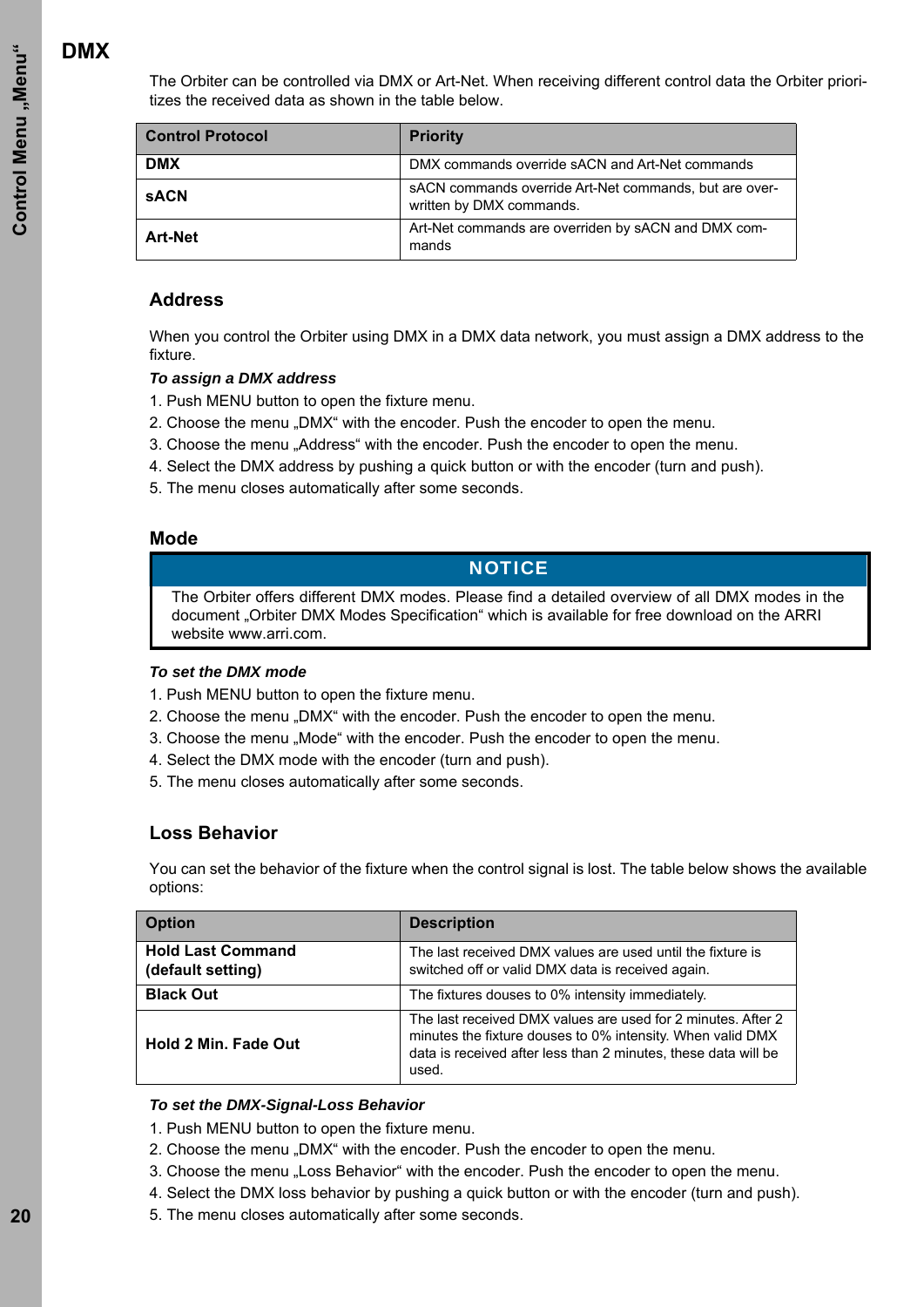<span id="page-19-0"></span>**Control Menu "Menu"**

Control Menu "Menu"

The Orbiter can be controlled via DMX or Art-Net. When receiving different control data the Orbiter prioritizes the received data as shown in the table below.

| <b>Control Protocol</b> | <b>Priority</b>                                                                    |
|-------------------------|------------------------------------------------------------------------------------|
| <b>DMX</b>              | DMX commands override sACN and Art-Net commands                                    |
| <b>SACN</b>             | sACN commands override Art-Net commands, but are over-<br>written by DMX commands. |
| <b>Art-Net</b>          | Art-Net commands are overriden by sACN and DMX com-<br>mands                       |

## <span id="page-19-1"></span>**Address**

When you control the Orbiter using DMX in a DMX data network, you must assign a DMX address to the fixture.

### *To assign a DMX address*

- 1. Push MENU button to open the fixture menu.
- 2. Choose the menu "DMX" with the encoder. Push the encoder to open the menu.
- 3. Choose the menu "Address" with the encoder. Push the encoder to open the menu.
- 4. Select the DMX address by pushing a quick button or with the encoder (turn and push).
- 5. The menu closes automatically after some seconds.

### <span id="page-19-2"></span>**Mode**

**NOTICE** 

The Orbiter offers different DMX modes. Please find a detailed overview of all DMX modes in the document "Orbiter DMX Modes Specification" which is available for free download on the ARRI website www.arri.com.

#### *To set the DMX mode*

- 1. Push MENU button to open the fixture menu.
- 2. Choose the menu "DMX" with the encoder. Push the encoder to open the menu.
- 3. Choose the menu "Mode" with the encoder. Push the encoder to open the menu.
- 4. Select the DMX mode with the encoder (turn and push).
- 5. The menu closes automatically after some seconds.

## <span id="page-19-3"></span>**Loss Behavior**

You can set the behavior of the fixture when the control signal is lost. The table below shows the available options:

| <b>Option</b>                                 | <b>Description</b>                                                                                                                                                                                    |
|-----------------------------------------------|-------------------------------------------------------------------------------------------------------------------------------------------------------------------------------------------------------|
| <b>Hold Last Command</b><br>(default setting) | The last received DMX values are used until the fixture is<br>switched off or valid DMX data is received again.                                                                                       |
| <b>Black Out</b>                              | The fixtures douses to 0% intensity immediately.                                                                                                                                                      |
| <b>Hold 2 Min. Fade Out</b>                   | The last received DMX values are used for 2 minutes. After 2<br>minutes the fixture douses to 0% intensity. When valid DMX<br>data is received after less than 2 minutes, these data will be<br>used. |

#### *To set the DMX-Signal-Loss Behavior*

- 1. Push MENU button to open the fixture menu.
- 2. Choose the menu "DMX" with the encoder. Push the encoder to open the menu.
- 3. Choose the menu "Loss Behavior" with the encoder. Push the encoder to open the menu.
- 4. Select the DMX loss behavior by pushing a quick button or with the encoder (turn and push).
- 5. The menu closes automatically after some seconds.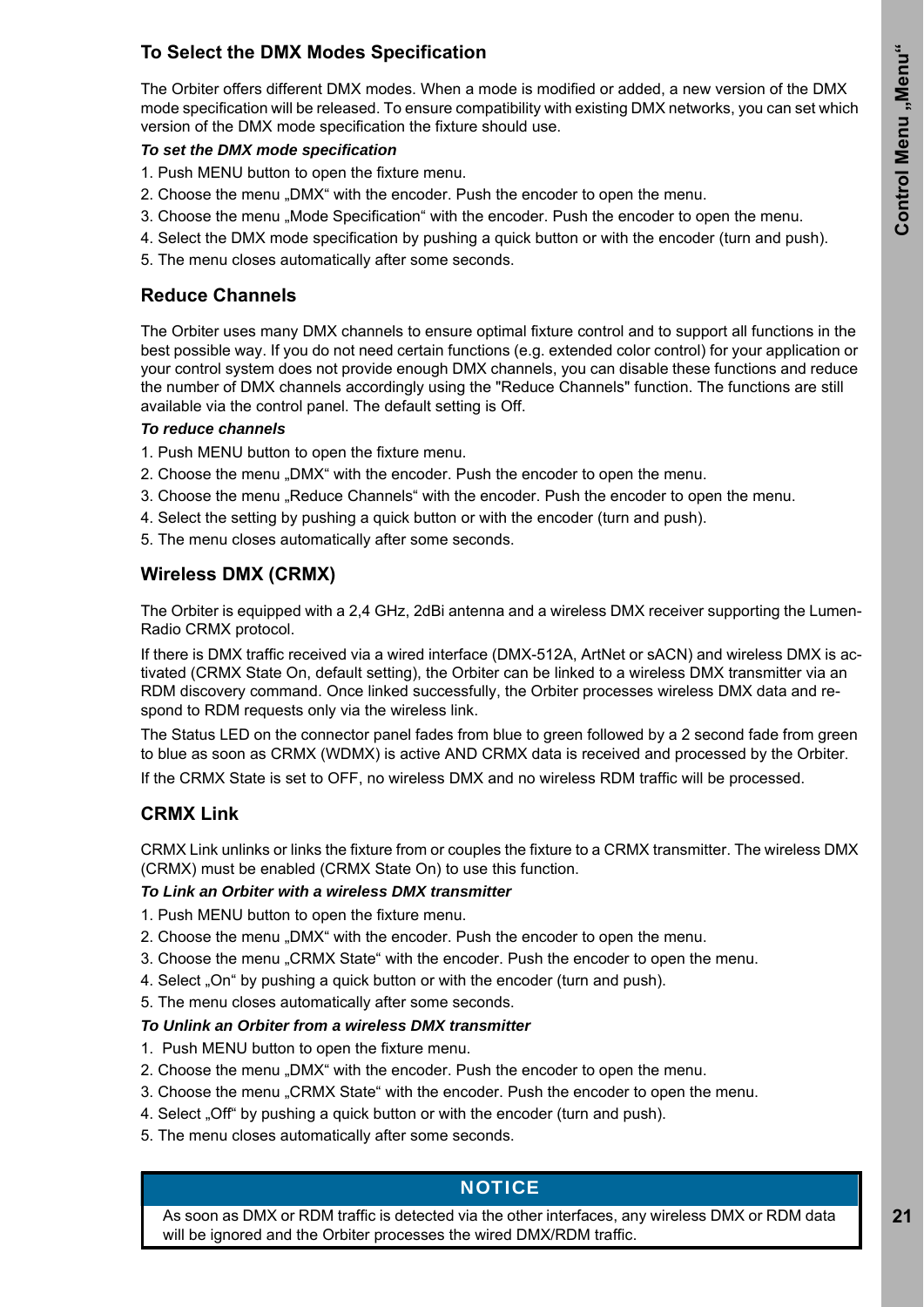# <span id="page-20-0"></span>**To Select the DMX Modes Specification**

The Orbiter offers different DMX modes. When a mode is modified or added, a new version of the DMX mode specification will be released. To ensure compatibility with existing DMX networks, you can set which version of the DMX mode specification the fixture should use.

## *To set the DMX mode specification*

- 1. Push MENU button to open the fixture menu.
- 2. Choose the menu "DMX" with the encoder. Push the encoder to open the menu.
- 3. Choose the menu "Mode Specification" with the encoder. Push the encoder to open the menu.
- 4. Select the DMX mode specification by pushing a quick button or with the encoder (turn and push).
- 5. The menu closes automatically after some seconds.

## <span id="page-20-1"></span>**Reduce Channels**

The Orbiter uses many DMX channels to ensure optimal fixture control and to support all functions in the best possible way. If you do not need certain functions (e.g. extended color control) for your application or your control system does not provide enough DMX channels, you can disable these functions and reduce the number of DMX channels accordingly using the "Reduce Channels" function. The functions are still available via the control panel. The default setting is Off.

#### *To reduce channels*

- 1. Push MENU button to open the fixture menu.
- 2. Choose the menu "DMX" with the encoder. Push the encoder to open the menu.
- 3. Choose the menu "Reduce Channels" with the encoder. Push the encoder to open the menu.
- 4. Select the setting by pushing a quick button or with the encoder (turn and push).
- 5. The menu closes automatically after some seconds.

## <span id="page-20-2"></span>**Wireless DMX (CRMX)**

The Orbiter is equipped with a 2,4 GHz, 2dBi antenna and a wireless DMX receiver supporting the Lumen-Radio CRMX protocol.

If there is DMX traffic received via a wired interface (DMX-512A, ArtNet or sACN) and wireless DMX is activated (CRMX State On, default setting), the Orbiter can be linked to a wireless DMX transmitter via an RDM discovery command. Once linked successfully, the Orbiter processes wireless DMX data and respond to RDM requests only via the wireless link.

The Status LED on the connector panel fades from blue to green followed by a 2 second fade from green to blue as soon as CRMX (WDMX) is active AND CRMX data is received and processed by the Orbiter.

If the CRMX State is set to OFF, no wireless DMX and no wireless RDM traffic will be processed.

## <span id="page-20-3"></span>**CRMX Link**

CRMX Link unlinks or links the fixture from or couples the fixture to a CRMX transmitter. The wireless DMX (CRMX) must be enabled (CRMX State On) to use this function.

#### *To Link an Orbiter with a wireless DMX transmitter*

- 1. Push MENU button to open the fixture menu.
- 2. Choose the menu "DMX" with the encoder. Push the encoder to open the menu.
- 3. Choose the menu "CRMX State" with the encoder. Push the encoder to open the menu.
- 4. Select "On" by pushing a quick button or with the encoder (turn and push).
- 5. The menu closes automatically after some seconds.

#### *To Unlink an Orbiter from a wireless DMX transmitter*

- 1. Push MENU button to open the fixture menu.
- 2. Choose the menu "DMX" with the encoder. Push the encoder to open the menu.
- 3. Choose the menu "CRMX State" with the encoder. Push the encoder to open the menu.
- 4. Select "Off" by pushing a quick button or with the encoder (turn and push).
- 5. The menu closes automatically after some seconds.

# **NOTICE**

As soon as DMX or RDM traffic is detected via the other interfaces, any wireless DMX or RDM data will be ignored and the Orbiter processes the wired DMX/RDM traffic.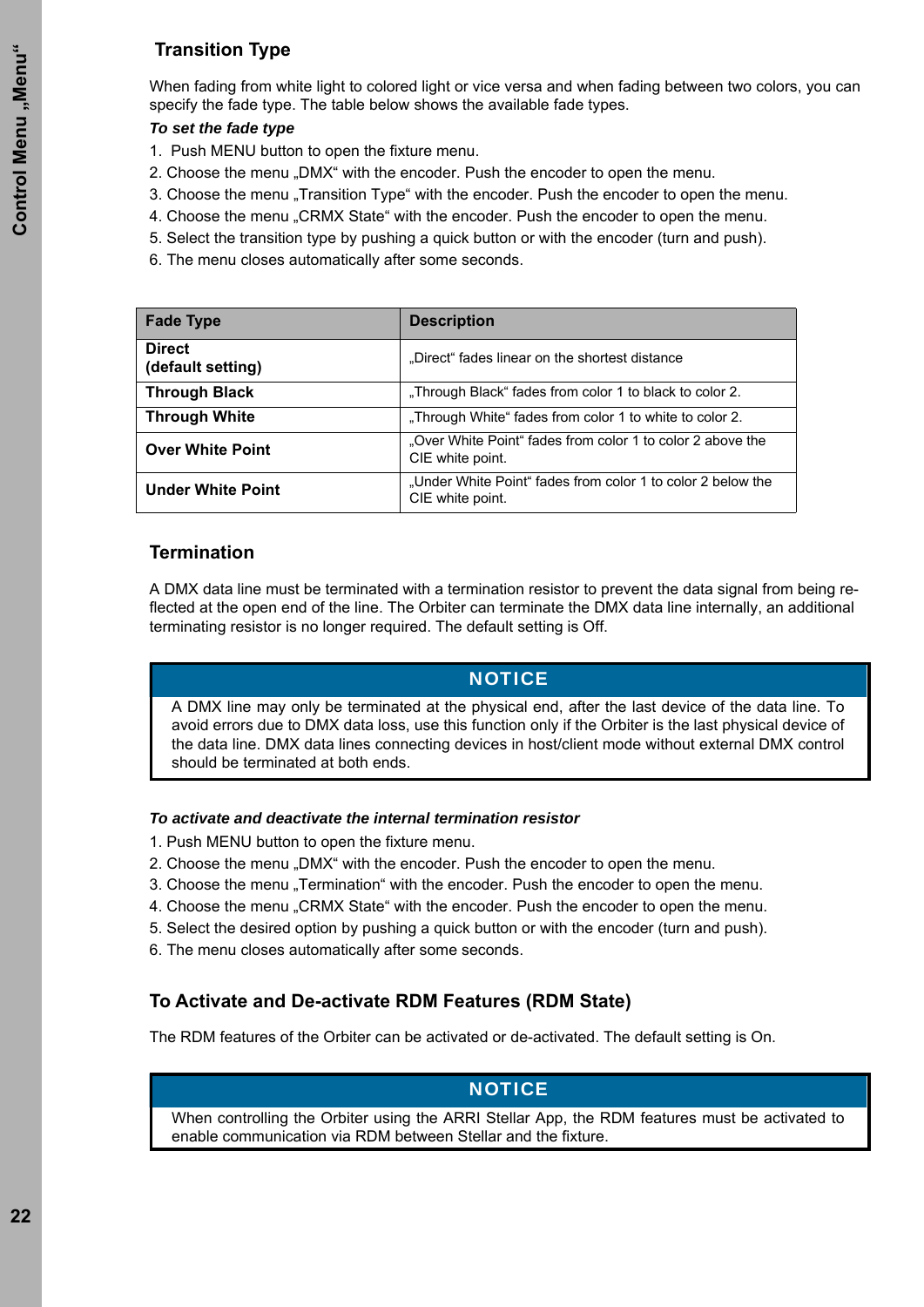# <span id="page-21-0"></span> **Transition Type**

When fading from white light to colored light or vice versa and when fading between two colors, you can specify the fade type. The table below shows the available fade types.

## *To set the fade type*

- 1. Push MENU button to open the fixture menu.
- 2. Choose the menu "DMX" with the encoder. Push the encoder to open the menu.
- 3. Choose the menu "Transition Type" with the encoder. Push the encoder to open the menu.
- 4. Choose the menu "CRMX State" with the encoder. Push the encoder to open the menu.
- 5. Select the transition type by pushing a quick button or with the encoder (turn and push).
- 6. The menu closes automatically after some seconds.

| <b>Fade Type</b>                   | <b>Description</b>                                                              |
|------------------------------------|---------------------------------------------------------------------------------|
| <b>Direct</b><br>(default setting) | "Direct" fades linear on the shortest distance                                  |
| <b>Through Black</b>               | "Through Black" fades from color 1 to black to color 2.                         |
| <b>Through White</b>               | "Through White" fades from color 1 to white to color 2.                         |
| <b>Over White Point</b>            | "Over White Point" fades from color 1 to color 2 above the<br>CIE white point.  |
| <b>Under White Point</b>           | "Under White Point" fades from color 1 to color 2 below the<br>CIE white point. |

## <span id="page-21-1"></span>**Termination**

A DMX data line must be terminated with a termination resistor to prevent the data signal from being reflected at the open end of the line. The Orbiter can terminate the DMX data line internally, an additional terminating resistor is no longer required. The default setting is Off.

# **NOTICE**

A DMX line may only be terminated at the physical end, after the last device of the data line. To avoid errors due to DMX data loss, use this function only if the Orbiter is the last physical device of the data line. DMX data lines connecting devices in host/client mode without external DMX control should be terminated at both ends.

## *To activate and deactivate the internal termination resistor*

- 1. Push MENU button to open the fixture menu.
- 2. Choose the menu "DMX" with the encoder. Push the encoder to open the menu.
- 3. Choose the menu "Termination" with the encoder. Push the encoder to open the menu.
- 4. Choose the menu "CRMX State" with the encoder. Push the encoder to open the menu.
- 5. Select the desired option by pushing a quick button or with the encoder (turn and push).
- 6. The menu closes automatically after some seconds.

# <span id="page-21-2"></span>**To Activate and De-activate RDM Features (RDM State)**

The RDM features of the Orbiter can be activated or de-activated. The default setting is On.

# **NOTICE**

When controlling the Orbiter using the ARRI Stellar App, the RDM features must be activated to enable communication via RDM between Stellar and the fixture.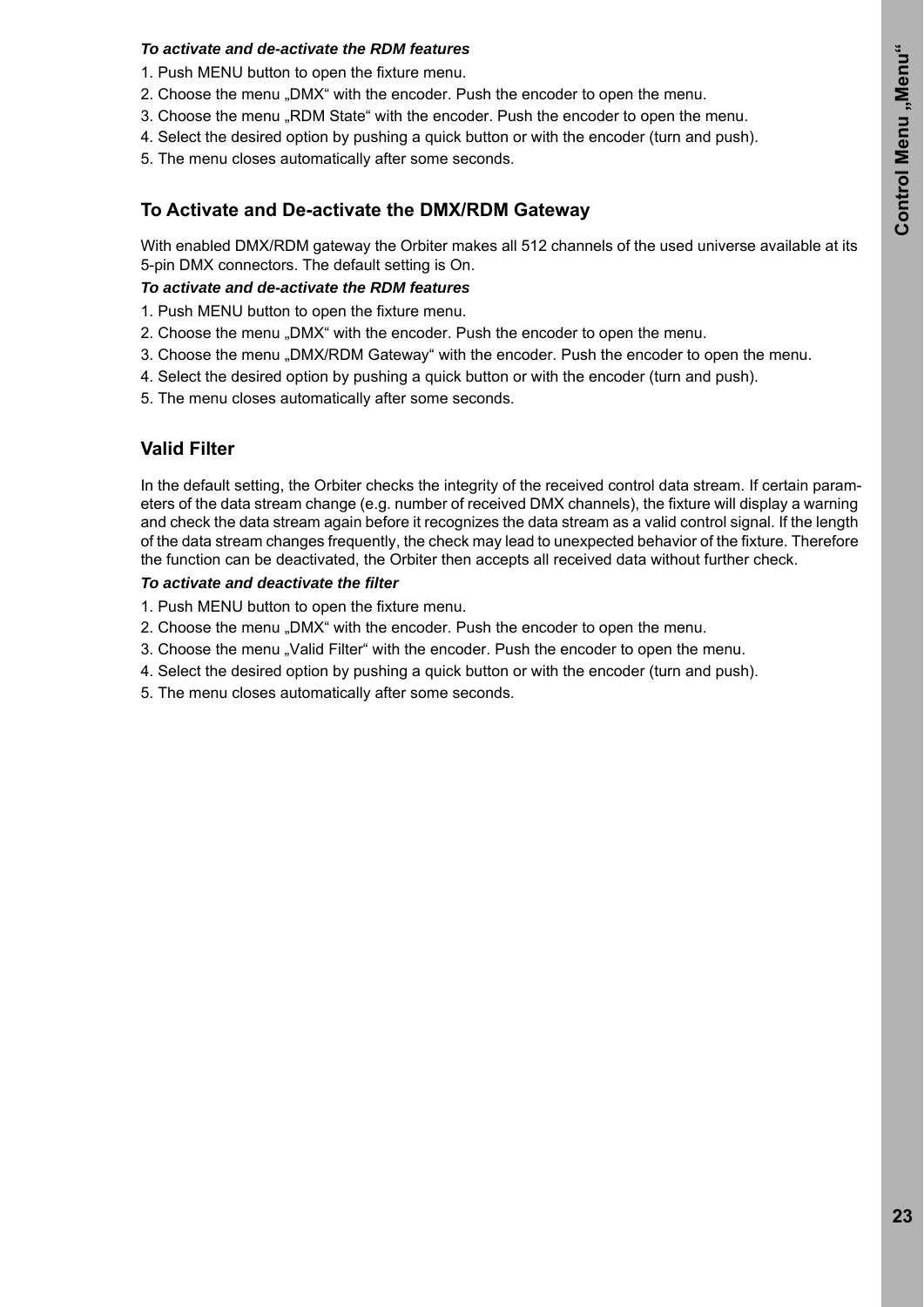## *To activate and de-activate the RDM features*

- 1. Push MENU button to open the fixture menu.
- 2. Choose the menu "DMX" with the encoder. Push the encoder to open the menu.
- 3. Choose the menu "RDM State" with the encoder. Push the encoder to open the menu.
- 4. Select the desired option by pushing a quick button or with the encoder (turn and push).
- 5. The menu closes automatically after some seconds.

## <span id="page-22-0"></span>**To Activate and De-activate the DMX/RDM Gateway**

With enabled DMX/RDM gateway the Orbiter makes all 512 channels of the used universe available at its 5-pin DMX connectors. The default setting is On.

### *To activate and de-activate the RDM features*

- 1. Push MENU button to open the fixture menu.
- 2. Choose the menu "DMX" with the encoder. Push the encoder to open the menu.
- 3. Choose the menu "DMX/RDM Gateway" with the encoder. Push the encoder to open the menu.
- 4. Select the desired option by pushing a quick button or with the encoder (turn and push).
- 5. The menu closes automatically after some seconds.

## <span id="page-22-1"></span>**Valid Filter**

In the default setting, the Orbiter checks the integrity of the received control data stream. If certain parameters of the data stream change (e.g. number of received DMX channels), the fixture will display a warning and check the data stream again before it recognizes the data stream as a valid control signal. If the length of the data stream changes frequently, the check may lead to unexpected behavior of the fixture. Therefore the function can be deactivated, the Orbiter then accepts all received data without further check.

### *To activate and deactivate the filter*

- 1. Push MENU button to open the fixture menu.
- 2. Choose the menu "DMX" with the encoder. Push the encoder to open the menu.
- 3. Choose the menu "Valid Filter" with the encoder. Push the encoder to open the menu.
- 4. Select the desired option by pushing a quick button or with the encoder (turn and push).
- 5. The menu closes automatically after some seconds.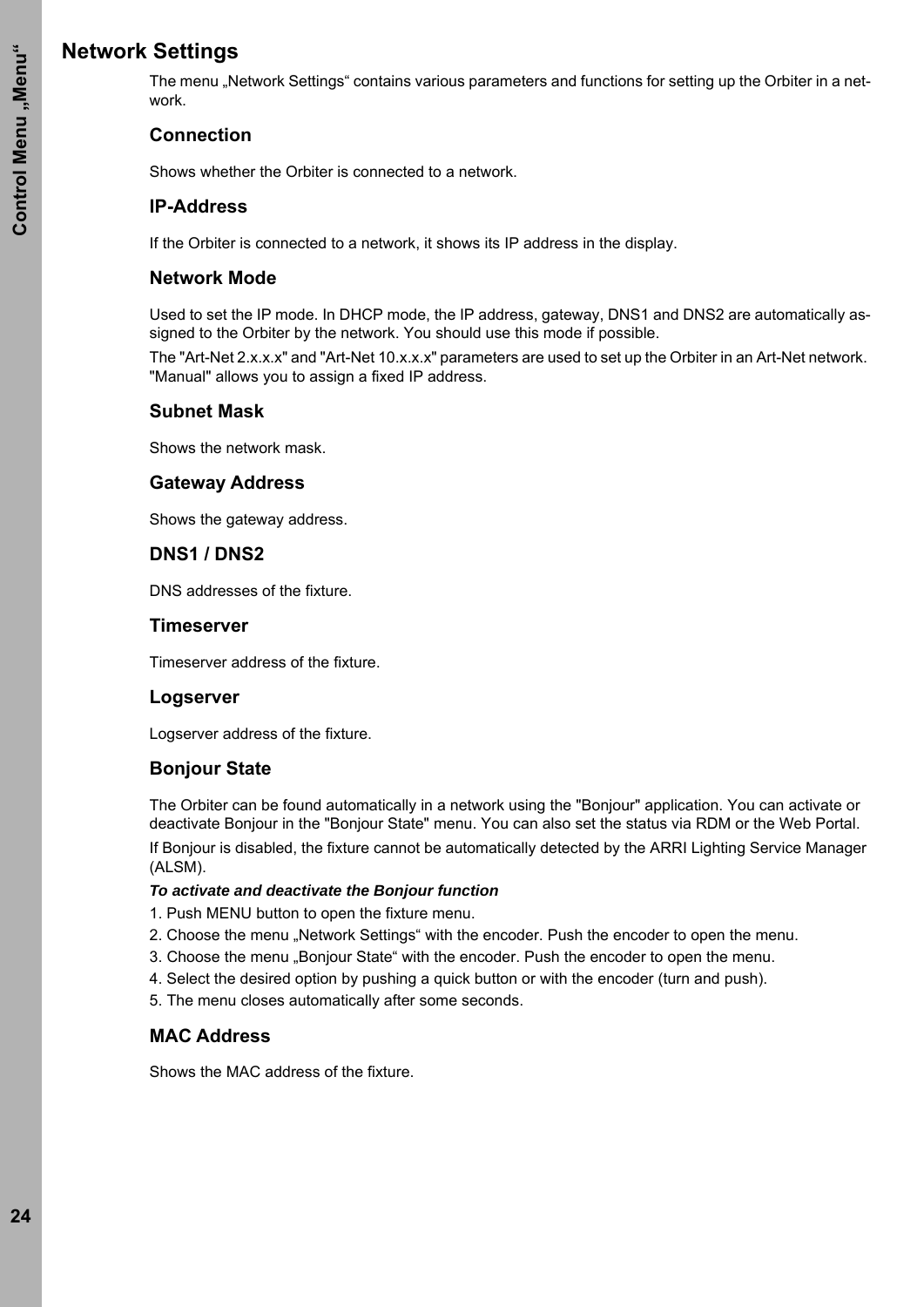# <span id="page-23-0"></span>**Network Settings**

The menu "Network Settings" contains various parameters and functions for setting up the Orbiter in a network.

# **Connection**

Shows whether the Orbiter is connected to a network.

# **IP-Address**

If the Orbiter is connected to a network, it shows its IP address in the display.

## **Network Mode**

Used to set the IP mode. In DHCP mode, the IP address, gateway, DNS1 and DNS2 are automatically assigned to the Orbiter by the network. You should use this mode if possible.

The "Art-Net 2.x.x.x" and "Art-Net 10.x.x.x" parameters are used to set up the Orbiter in an Art-Net network. "Manual" allows you to assign a fixed IP address.

## **Subnet Mask**

Shows the network mask.

## **Gateway Address**

Shows the gateway address.

# **DNS1 / DNS2**

DNS addresses of the fixture.

## **Timeserver**

Timeserver address of the fixture.

## **Logserver**

Logserver address of the fixture.

# **Bonjour State**

The Orbiter can be found automatically in a network using the "Bonjour" application. You can activate or deactivate Bonjour in the "Bonjour State" menu. You can also set the status via RDM or the Web Portal.

If Bonjour is disabled, the fixture cannot be automatically detected by the ARRI Lighting Service Manager (ALSM).

## *To activate and deactivate the Bonjour function*

- 1. Push MENU button to open the fixture menu.
- 2. Choose the menu "Network Settings" with the encoder. Push the encoder to open the menu.
- 3. Choose the menu "Bonjour State" with the encoder. Push the encoder to open the menu.
- 4. Select the desired option by pushing a quick button or with the encoder (turn and push).
- 5. The menu closes automatically after some seconds.

# **MAC Address**

Shows the MAC address of the fixture.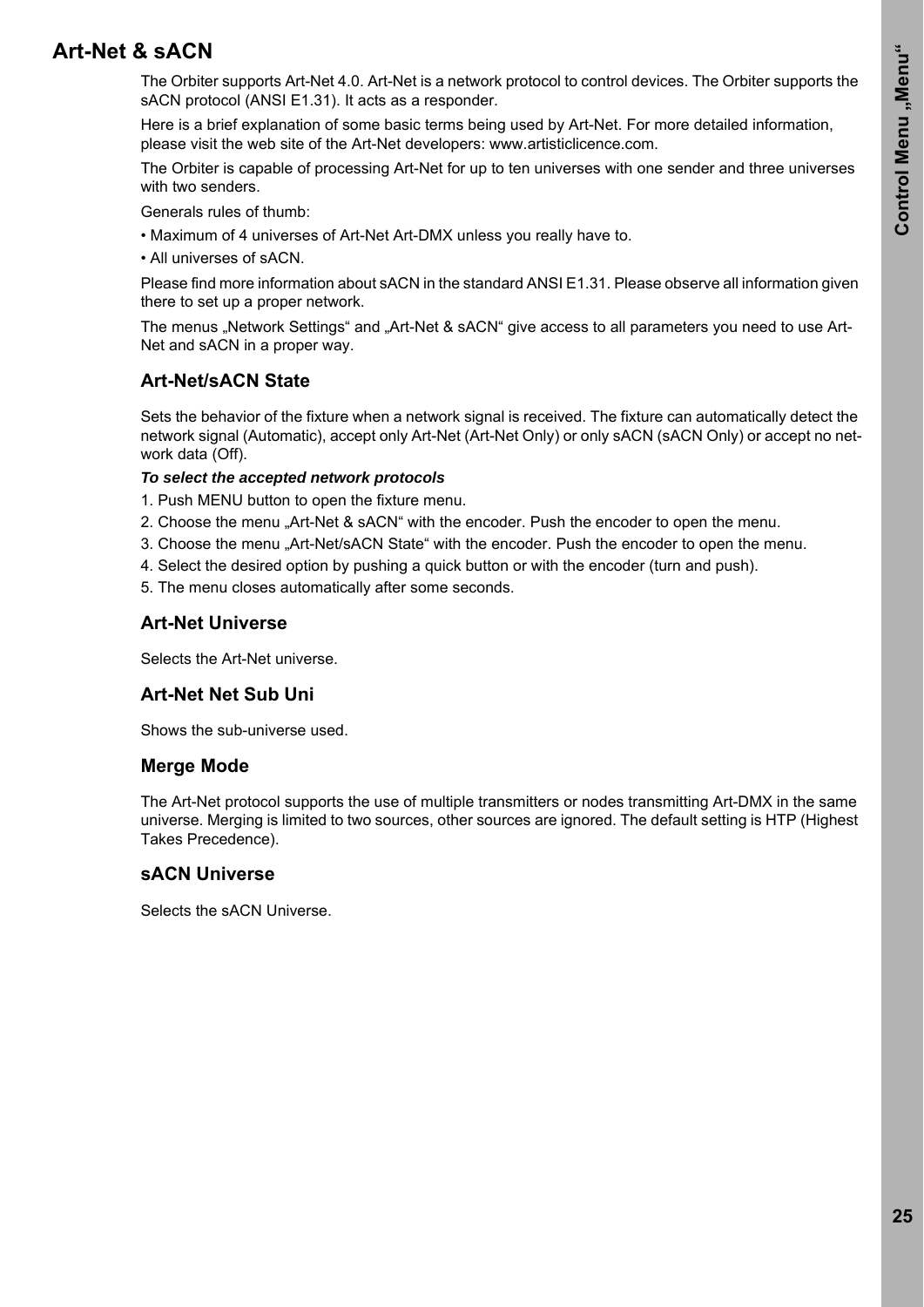# <span id="page-24-0"></span>**Art-Net & sACN**

The Orbiter supports Art-Net 4.0. Art-Net is a network protocol to control devices. The Orbiter supports the sACN protocol (ANSI E1.31). It acts as a responder.

Here is a brief explanation of some basic terms being used by Art-Net. For more detailed information, please visit the web site of the Art-Net developers: www.artisticlicence.com.

The Orbiter is capable of processing Art-Net for up to ten universes with one sender and three universes with two senders.

Generals rules of thumb:

- Maximum of 4 universes of Art-Net Art-DMX unless you really have to.
- All universes of sACN.

Please find more information about sACN in the standard ANSI E1.31. Please observe all information given there to set up a proper network.

The menus "Network Settings" and "Art-Net & sACN" give access to all parameters you need to use Art-Net and sACN in a proper way.

# **Art-Net/sACN State**

Sets the behavior of the fixture when a network signal is received. The fixture can automatically detect the network signal (Automatic), accept only Art-Net (Art-Net Only) or only sACN (sACN Only) or accept no network data (Off).

## *To select the accepted network protocols*

- 1. Push MENU button to open the fixture menu.
- 2. Choose the menu "Art-Net & sACN" with the encoder. Push the encoder to open the menu.
- 3. Choose the menu "Art-Net/sACN State" with the encoder. Push the encoder to open the menu.
- 4. Select the desired option by pushing a quick button or with the encoder (turn and push).
- 5. The menu closes automatically after some seconds.

## **Art-Net Universe**

Selects the Art-Net universe.

# **Art-Net Net Sub Uni**

Shows the sub-universe used.

## **Merge Mode**

The Art-Net protocol supports the use of multiple transmitters or nodes transmitting Art-DMX in the same universe. Merging is limited to two sources, other sources are ignored. The default setting is HTP (Highest Takes Precedence).

## **sACN Universe**

Selects the sACN Universe.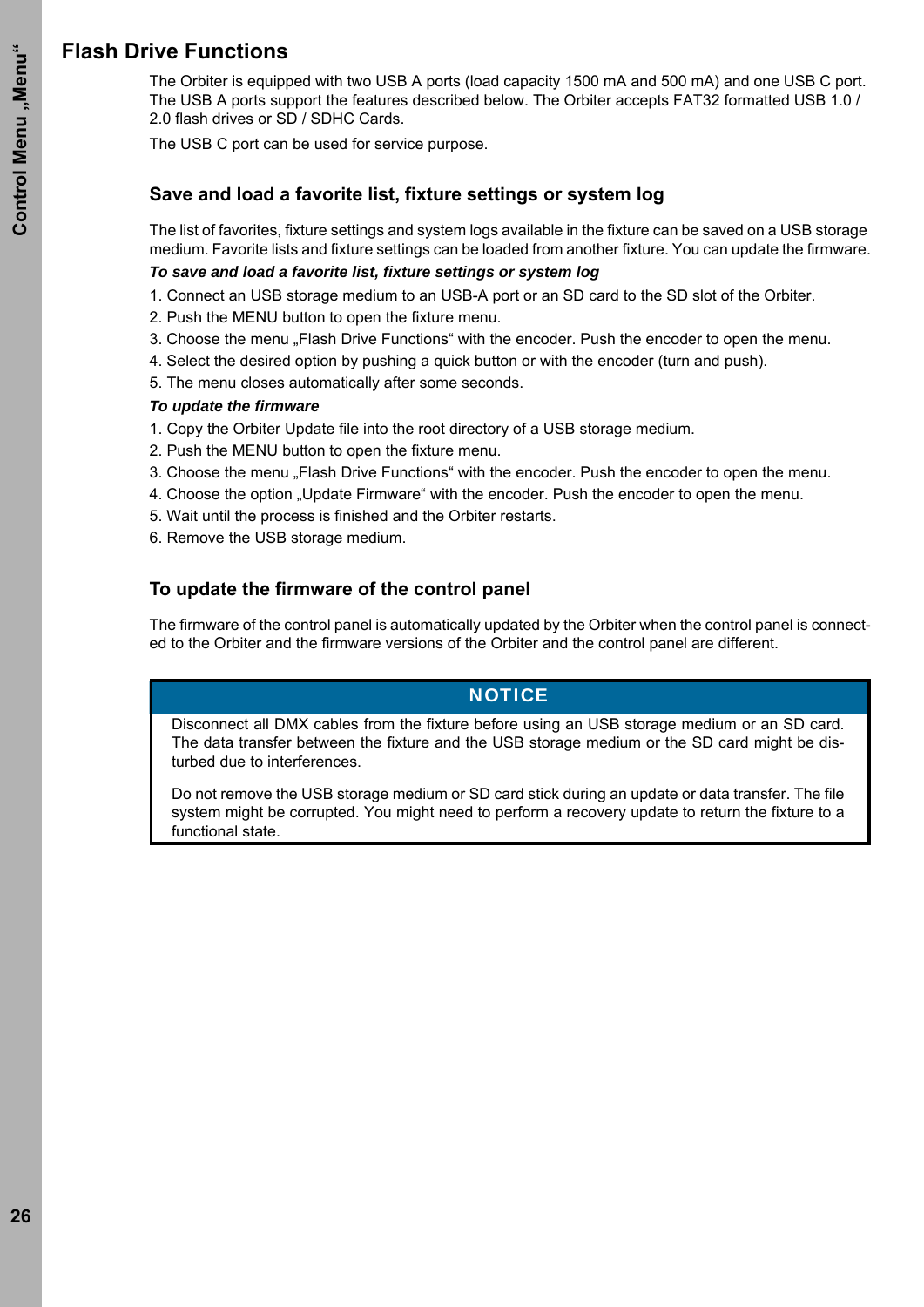# <span id="page-25-0"></span>**Flash Drive Functions**

The Orbiter is equipped with two USB A ports (load capacity 1500 mA and 500 mA) and one USB C port. The USB A ports support the features described below. The Orbiter accepts FAT32 formatted USB 1.0 / 2.0 flash drives or SD / SDHC Cards.

The USB C port can be used for service purpose.

# <span id="page-25-1"></span>**Save and load a favorite list, fixture settings or system log**

The list of favorites, fixture settings and system logs available in the fixture can be saved on a USB storage medium. Favorite lists and fixture settings can be loaded from another fixture. You can update the firmware.

## *To save and load a favorite list, fixture settings or system log*

- 1. Connect an USB storage medium to an USB-A port or an SD card to the SD slot of the Orbiter.
- 2. Push the MENU button to open the fixture menu.
- 3. Choose the menu "Flash Drive Functions" with the encoder. Push the encoder to open the menu.
- 4. Select the desired option by pushing a quick button or with the encoder (turn and push).
- 5. The menu closes automatically after some seconds.

## *To update the firmware*

- 1. Copy the Orbiter Update file into the root directory of a USB storage medium.
- 2. Push the MENU button to open the fixture menu.
- 3. Choose the menu "Flash Drive Functions" with the encoder. Push the encoder to open the menu.
- 4. Choose the option "Update Firmware" with the encoder. Push the encoder to open the menu.
- 5. Wait until the process is finished and the Orbiter restarts.
- 6. Remove the USB storage medium.

# <span id="page-25-2"></span>**To update the firmware of the control panel**

The firmware of the control panel is automatically updated by the Orbiter when the control panel is connected to the Orbiter and the firmware versions of the Orbiter and the control panel are different.

# **NOTICE**

Disconnect all DMX cables from the fixture before using an USB storage medium or an SD card. The data transfer between the fixture and the USB storage medium or the SD card might be disturbed due to interferences.

Do not remove the USB storage medium or SD card stick during an update or data transfer. The file system might be corrupted. You might need to perform a recovery update to return the fixture to a functional state.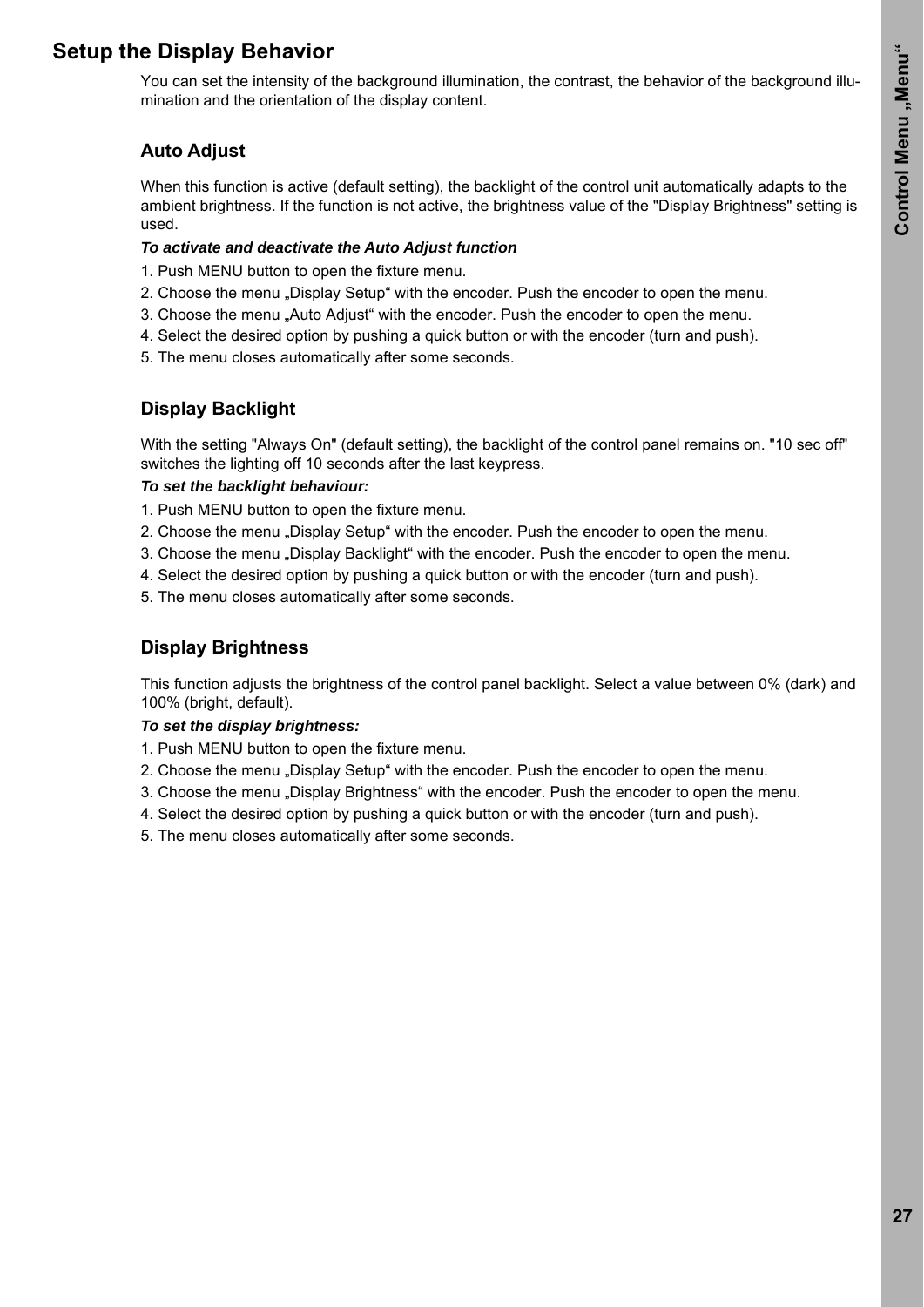# <span id="page-26-0"></span>**Setup the Display Behavior**

You can set the intensity of the background illumination, the contrast, the behavior of the background illumination and the orientation of the display content.

# <span id="page-26-1"></span>**Auto Adjust**

When this function is active (default setting), the backlight of the control unit automatically adapts to the ambient brightness. If the function is not active, the brightness value of the "Display Brightness" setting is used.

## *To activate and deactivate the Auto Adjust function*

- 1. Push MENU button to open the fixture menu.
- 2. Choose the menu "Display Setup" with the encoder. Push the encoder to open the menu.
- 3. Choose the menu "Auto Adjust" with the encoder. Push the encoder to open the menu.
- 4. Select the desired option by pushing a quick button or with the encoder (turn and push).
- 5. The menu closes automatically after some seconds.

# <span id="page-26-2"></span>**Display Backlight**

With the setting "Always On" (default setting), the backlight of the control panel remains on. "10 sec off" switches the lighting off 10 seconds after the last keypress.

## *To set the backlight behaviour:*

- 1. Push MENU button to open the fixture menu.
- 2. Choose the menu "Display Setup" with the encoder. Push the encoder to open the menu.
- 3. Choose the menu "Display Backlight" with the encoder. Push the encoder to open the menu.
- 4. Select the desired option by pushing a quick button or with the encoder (turn and push).
- 5. The menu closes automatically after some seconds.

# <span id="page-26-3"></span>**Display Brightness**

This function adjusts the brightness of the control panel backlight. Select a value between 0% (dark) and 100% (bright, default).

## *To set the display brightness:*

- 1. Push MENU button to open the fixture menu.
- 2. Choose the menu "Display Setup" with the encoder. Push the encoder to open the menu.
- 3. Choose the menu "Display Brightness" with the encoder. Push the encoder to open the menu.
- 4. Select the desired option by pushing a quick button or with the encoder (turn and push).
- 5. The menu closes automatically after some seconds.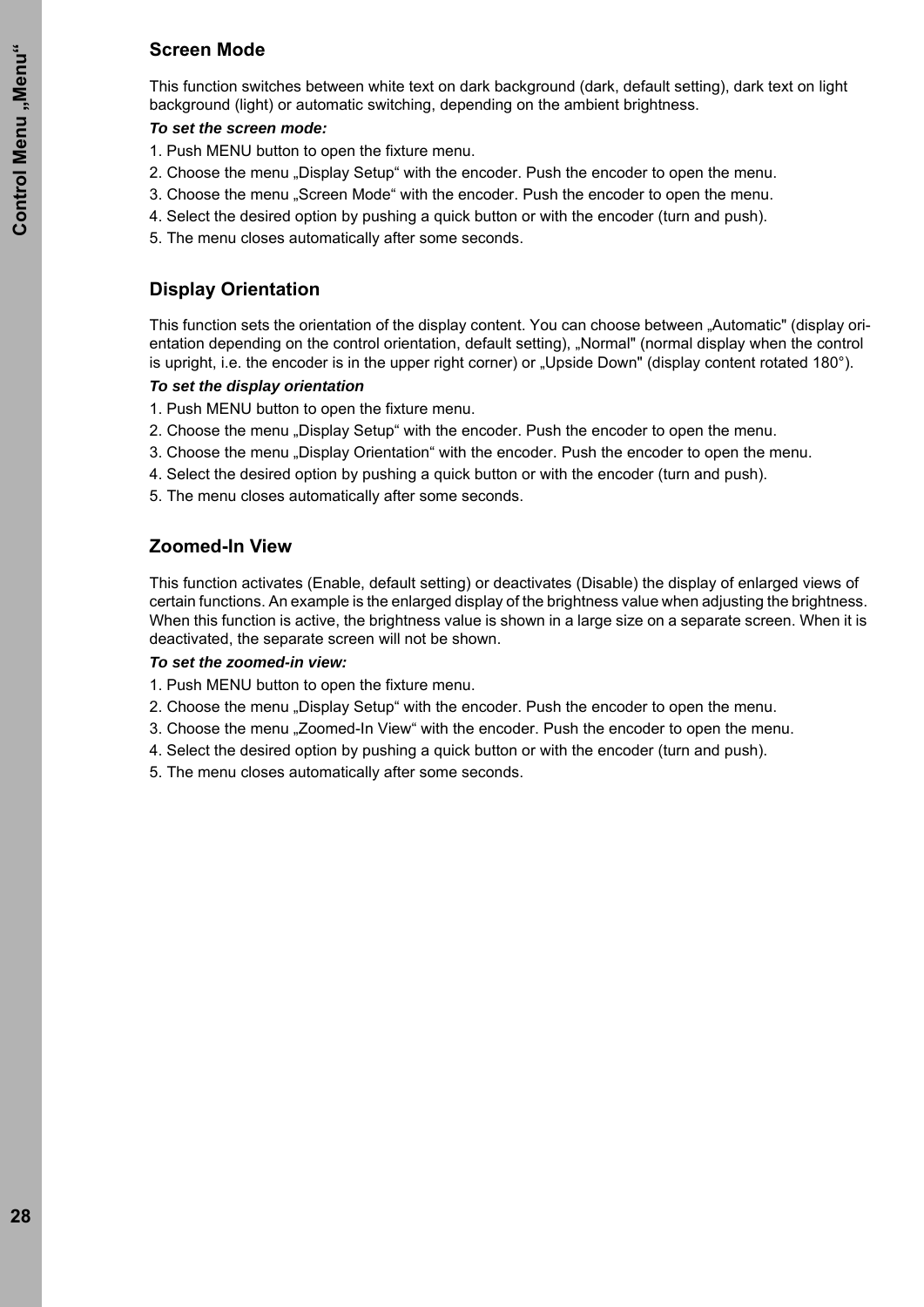## <span id="page-27-0"></span>**Screen Mode**

This function switches between white text on dark background (dark, default setting), dark text on light background (light) or automatic switching, depending on the ambient brightness.

## *To set the screen mode:*

- 1. Push MENU button to open the fixture menu.
- 2. Choose the menu "Display Setup" with the encoder. Push the encoder to open the menu.
- 3. Choose the menu "Screen Mode" with the encoder. Push the encoder to open the menu.
- 4. Select the desired option by pushing a quick button or with the encoder (turn and push).
- 5. The menu closes automatically after some seconds.

# <span id="page-27-1"></span>**Display Orientation**

This function sets the orientation of the display content. You can choose between "Automatic" (display orientation depending on the control orientation, default setting), "Normal" (normal display when the control is upright, i.e. the encoder is in the upper right corner) or "Upside Down" (display content rotated 180°).

## *To set the display orientation*

- 1. Push MENU button to open the fixture menu.
- 2. Choose the menu "Display Setup" with the encoder. Push the encoder to open the menu.
- 3. Choose the menu "Display Orientation" with the encoder. Push the encoder to open the menu.
- 4. Select the desired option by pushing a quick button or with the encoder (turn and push).
- 5. The menu closes automatically after some seconds.

# <span id="page-27-2"></span>**Zoomed-In View**

This function activates (Enable, default setting) or deactivates (Disable) the display of enlarged views of certain functions. An example is the enlarged display of the brightness value when adjusting the brightness. When this function is active, the brightness value is shown in a large size on a separate screen. When it is deactivated, the separate screen will not be shown.

## *To set the zoomed-in view:*

- 1. Push MENU button to open the fixture menu.
- 2. Choose the menu "Display Setup" with the encoder. Push the encoder to open the menu.
- 3. Choose the menu "Zoomed-In View" with the encoder. Push the encoder to open the menu.
- 4. Select the desired option by pushing a quick button or with the encoder (turn and push).
- 5. The menu closes automatically after some seconds.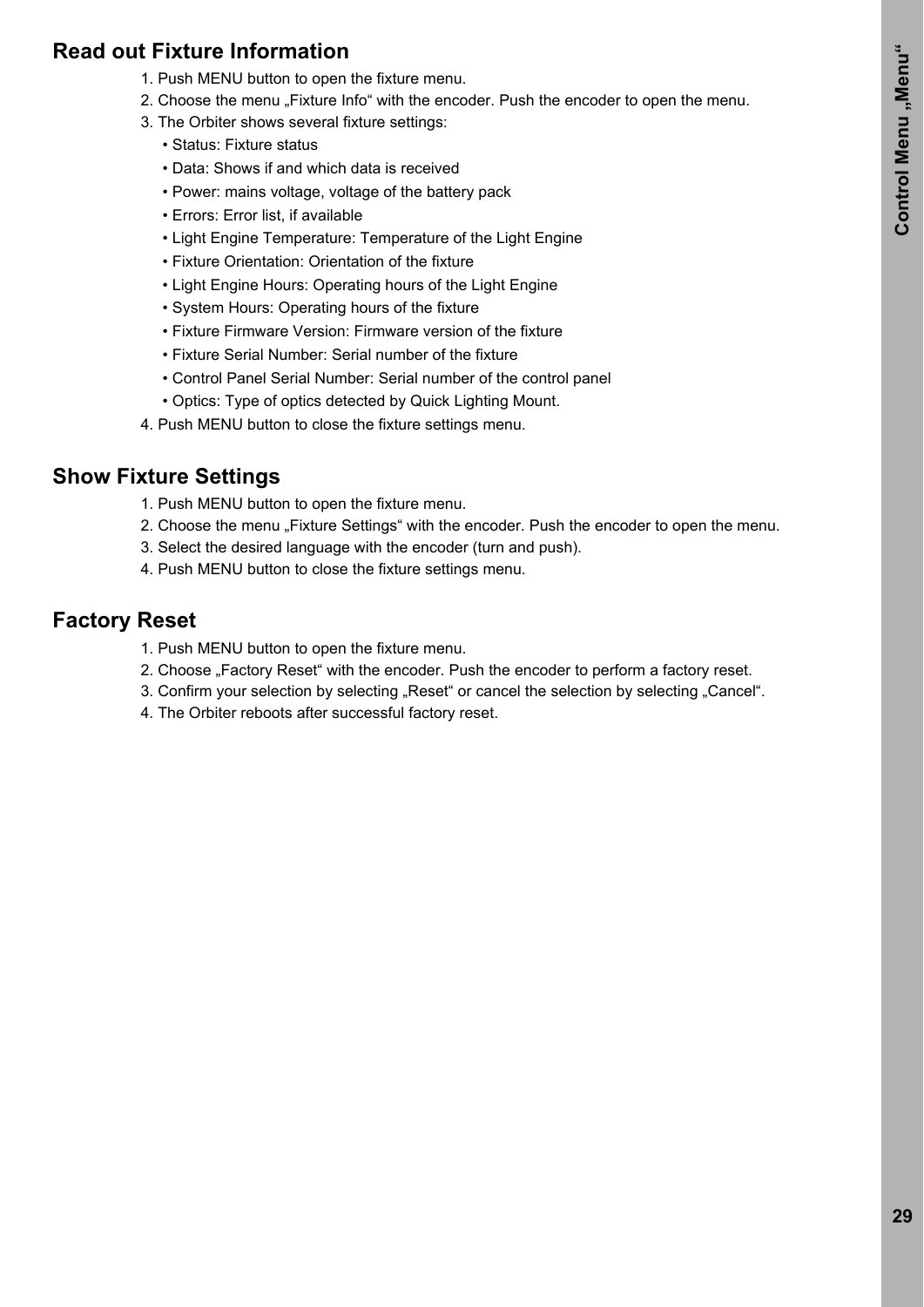# <span id="page-28-0"></span>**Read out Fixture Information**

- 1. Push MENU button to open the fixture menu.
- 2. Choose the menu "Fixture Info" with the encoder. Push the encoder to open the menu.
- 3. The Orbiter shows several fixture settings:
	- Status: Fixture status
	- Data: Shows if and which data is received
	- Power: mains voltage, voltage of the battery pack
	- Errors: Error list, if available
	- Light Engine Temperature: Temperature of the Light Engine
	- Fixture Orientation: Orientation of the fixture
	- Light Engine Hours: Operating hours of the Light Engine
	- System Hours: Operating hours of the fixture
	- Fixture Firmware Version: Firmware version of the fixture
	- Fixture Serial Number: Serial number of the fixture
	- Control Panel Serial Number: Serial number of the control panel
	- Optics: Type of optics detected by Quick Lighting Mount.
- 4. Push MENU button to close the fixture settings menu.

# <span id="page-28-1"></span>**Show Fixture Settings**

- 1. Push MENU button to open the fixture menu.
- 2. Choose the menu "Fixture Settings" with the encoder. Push the encoder to open the menu.
- 3. Select the desired language with the encoder (turn and push).
- 4. Push MENU button to close the fixture settings menu.

# <span id="page-28-2"></span>**Factory Reset**

- 1. Push MENU button to open the fixture menu.
- 2. Choose "Factory Reset" with the encoder. Push the encoder to perform a factory reset.
- 3. Confirm your selection by selecting "Reset" or cancel the selection by selecting "Cancel".
- 4. The Orbiter reboots after successful factory reset.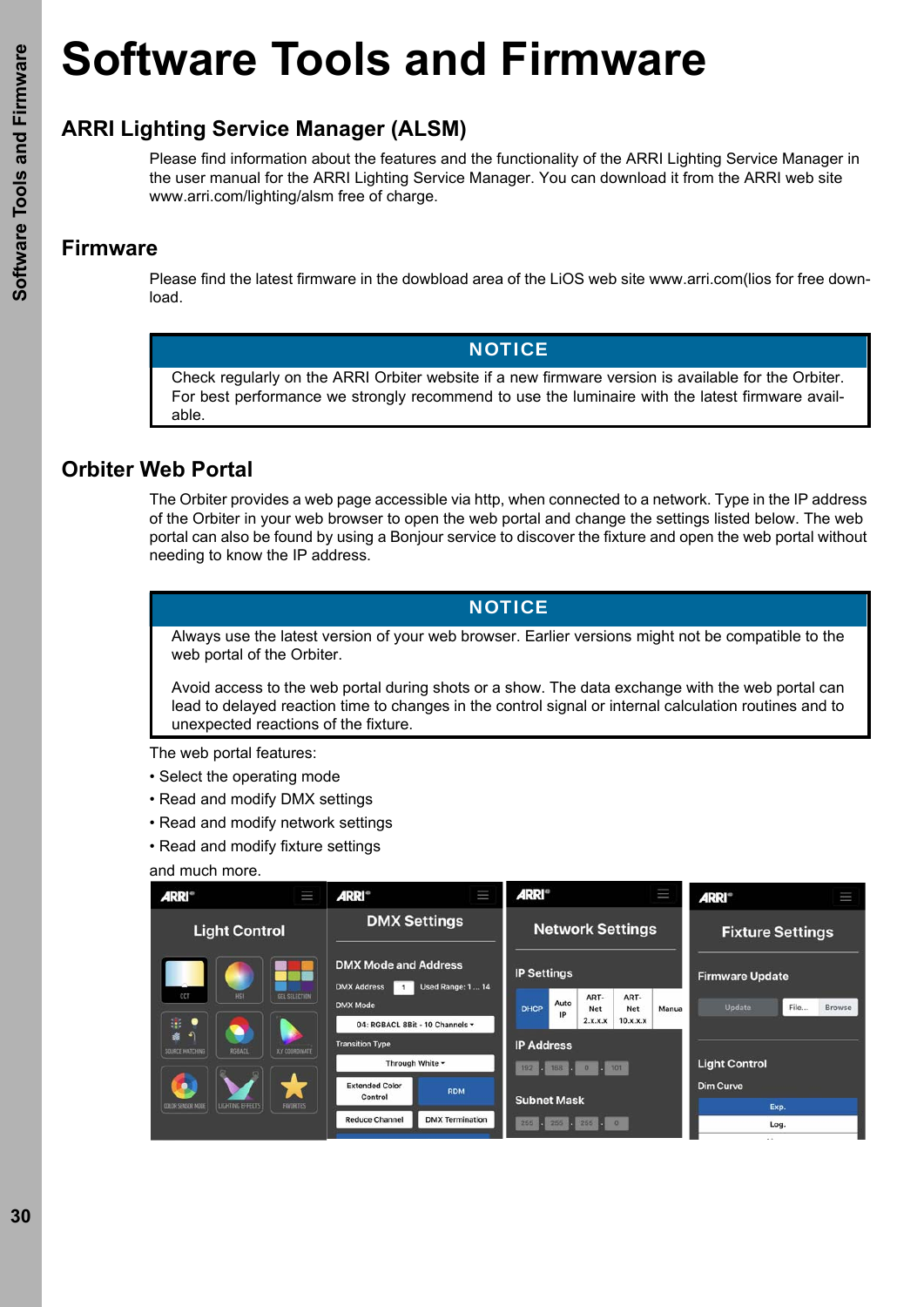# <span id="page-29-0"></span>**Software Tools and Firmware**

# <span id="page-29-1"></span>**ARRI Lighting Service Manager (ALSM)**

Please find information about the features and the functionality of the ARRI Lighting Service Manager in the user manual for the ARRI Lighting Service Manager. You can download it from the ARRI web site www.arri.com/lighting/alsm free of charge.

# <span id="page-29-2"></span>**Firmware**

Please find the latest firmware in the dowbload area of the LiOS web site www.arri.com(lios for free download.

## **NOTICE**

Check regularly on the ARRI Orbiter website if a new firmware version is available for the Orbiter. For best performance we strongly recommend to use the luminaire with the latest firmware available.

# <span id="page-29-3"></span>**Orbiter Web Portal**

The Orbiter provides a web page accessible via http, when connected to a network. Type in the IP address of the Orbiter in your web browser to open the web portal and change the settings listed below. The web portal can also be found by using a Bonjour service to discover the fixture and open the web portal without needing to know the IP address.

# **NOTICE**

Always use the latest version of your web browser. Earlier versions might not be compatible to the web portal of the Orbiter.

Avoid access to the web portal during shots or a show. The data exchange with the web portal can lead to delayed reaction time to changes in the control signal or internal calculation routines and to unexpected reactions of the fixture.

The web portal features:

- Select the operating mode
- Read and modify DMX settings
- Read and modify network settings
- Read and modify fixture settings

#### and much more.

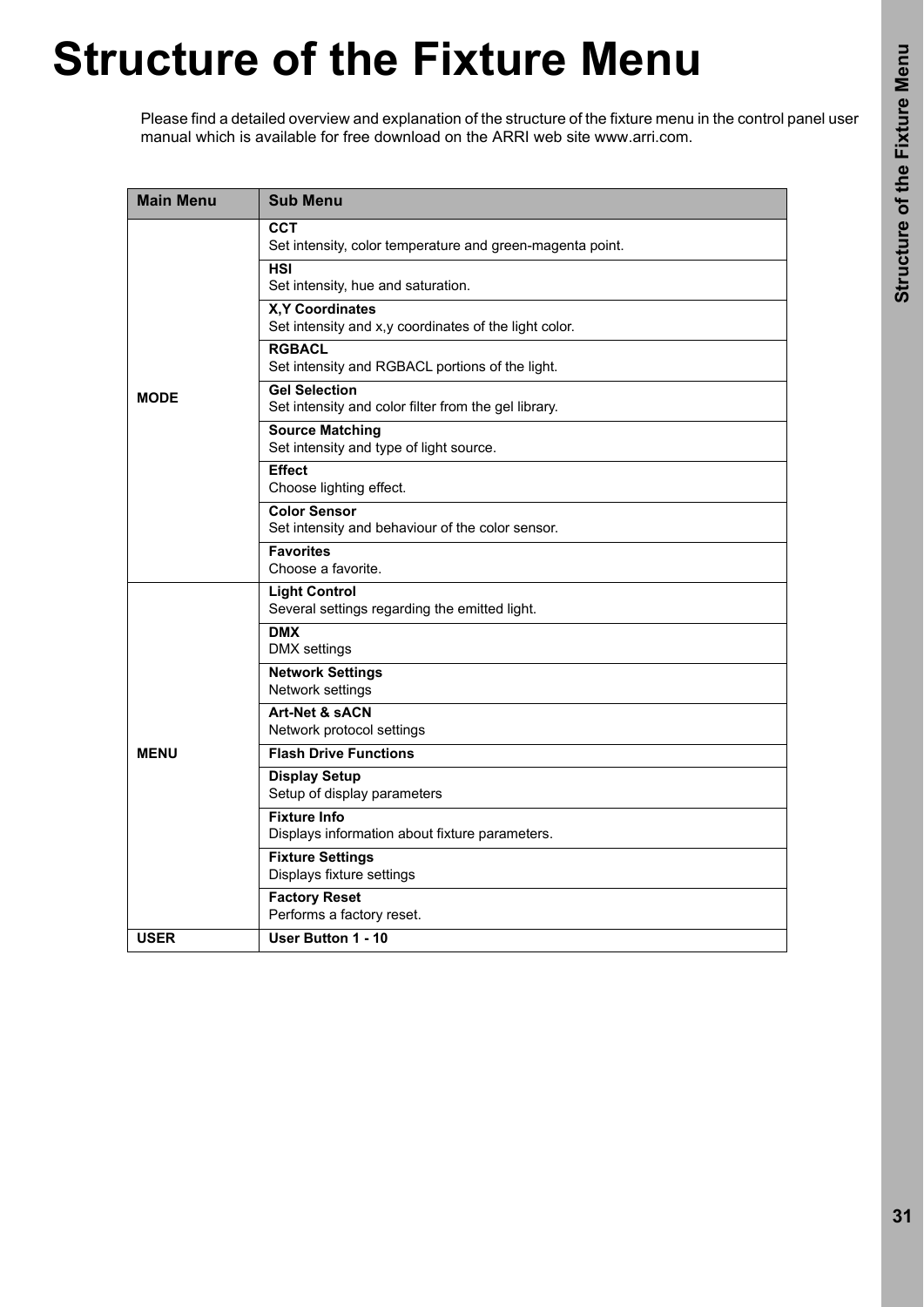# <span id="page-30-0"></span>**Structure of the Fixture Menu**

Please find a detailed overview and explanation of the structure of the fixture menu in the control panel user manual which is available for free download on the ARRI web site www.arri.com.

| <b>Main Menu</b> | <b>Sub Menu</b>                                                              |
|------------------|------------------------------------------------------------------------------|
|                  | <b>CCT</b><br>Set intensity, color temperature and green-magenta point.      |
|                  | HSI<br>Set intensity, hue and saturation.                                    |
|                  | X, Y Coordinates<br>Set intensity and x,y coordinates of the light color.    |
|                  | <b>RGBACL</b><br>Set intensity and RGBACL portions of the light.             |
| <b>MODE</b>      | <b>Gel Selection</b><br>Set intensity and color filter from the gel library. |
|                  | <b>Source Matching</b><br>Set intensity and type of light source.            |
|                  | <b>Effect</b><br>Choose lighting effect.                                     |
|                  | <b>Color Sensor</b><br>Set intensity and behaviour of the color sensor.      |
|                  | <b>Favorites</b><br>Choose a favorite.                                       |
|                  | <b>Light Control</b><br>Several settings regarding the emitted light.        |
|                  | <b>DMX</b><br><b>DMX</b> settings                                            |
|                  | <b>Network Settings</b><br>Network settings                                  |
|                  | <b>Art-Net &amp; sACN</b><br>Network protocol settings                       |
| <b>MENU</b>      | <b>Flash Drive Functions</b>                                                 |
|                  | <b>Display Setup</b><br>Setup of display parameters                          |
|                  | <b>Fixture Info</b><br>Displays information about fixture parameters.        |
|                  | <b>Fixture Settings</b><br>Displays fixture settings                         |
|                  | <b>Factory Reset</b><br>Performs a factory reset.                            |
| <b>USER</b>      | User Button 1 - 10                                                           |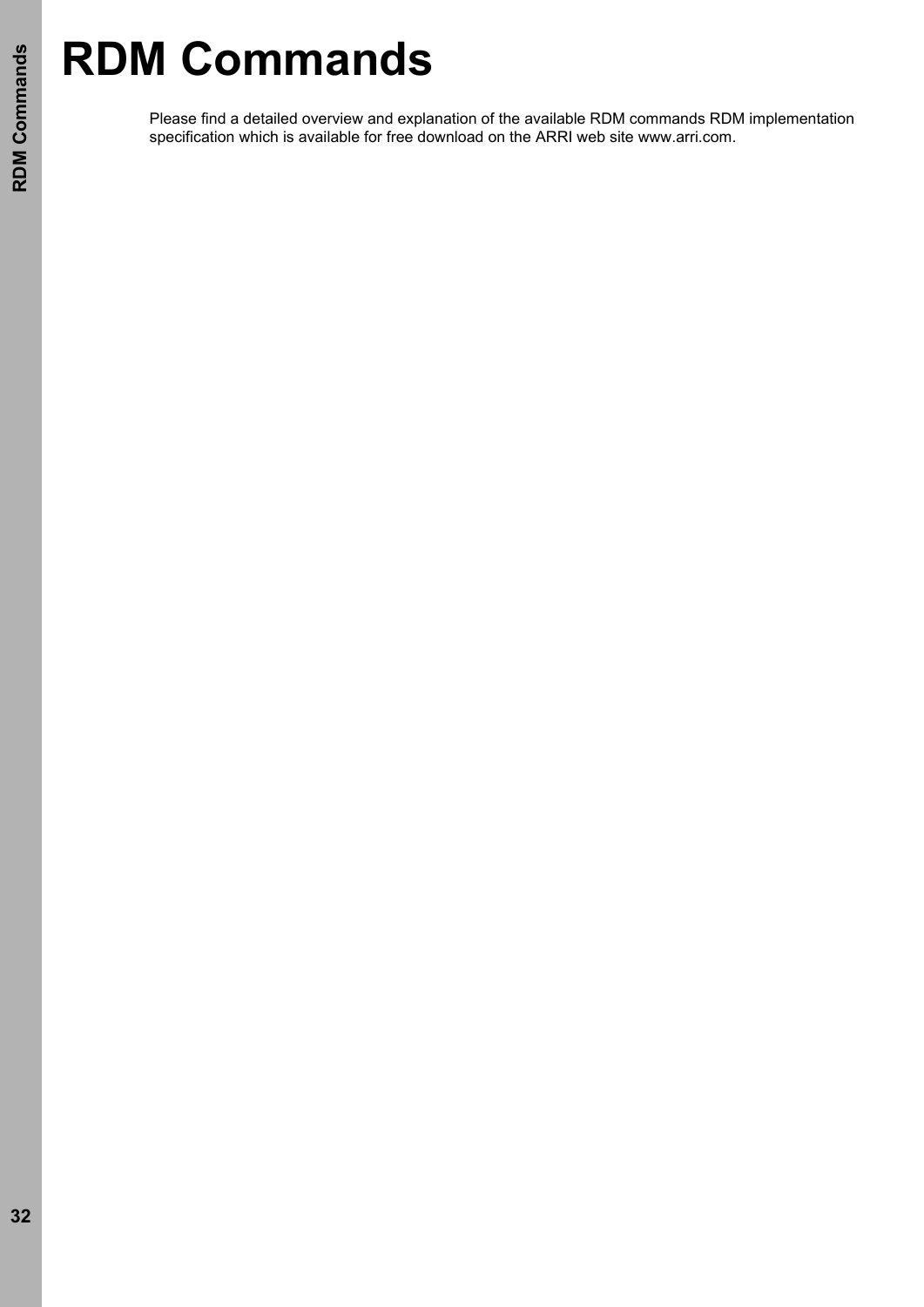# <span id="page-31-0"></span>**RDM Commands**

Please find a detailed overview and explanation of the available RDM commands RDM implementation specification which is available for free download on the ARRI web site www.arri.com.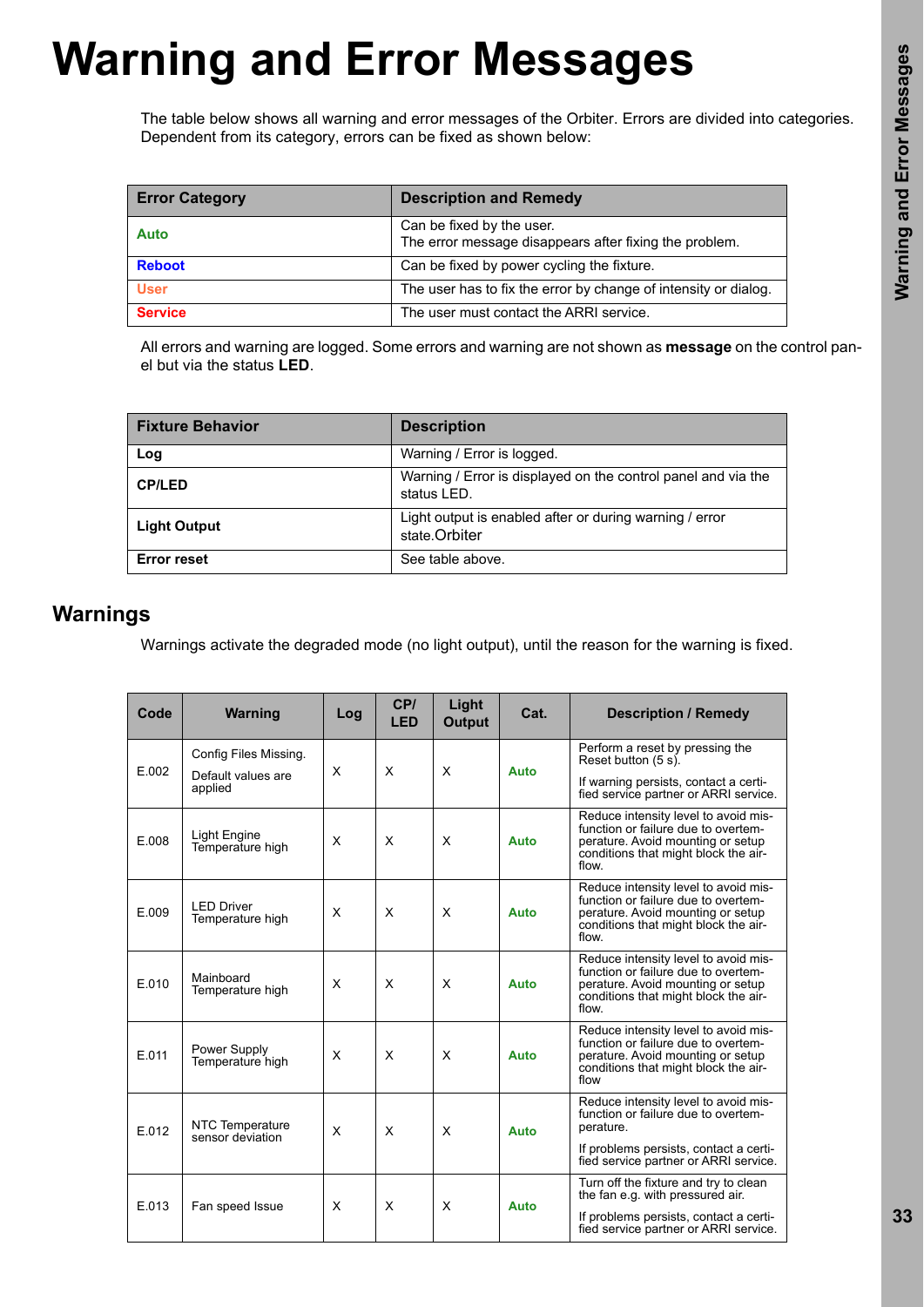# <span id="page-32-0"></span>**Warning and Error Messages**

The table below shows all warning and error messages of the Orbiter. Errors are divided into categories. Dependent from its category, errors can be fixed as shown below:

| <b>Error Category</b> | <b>Description and Remedy</b>                                                       |
|-----------------------|-------------------------------------------------------------------------------------|
| Auto                  | Can be fixed by the user.<br>The error message disappears after fixing the problem. |
| <b>Reboot</b>         | Can be fixed by power cycling the fixture.                                          |
| <b>User</b>           | The user has to fix the error by change of intensity or dialog.                     |
| <b>Service</b>        | The user must contact the ARRI service.                                             |

All errors and warning are logged. Some errors and warning are not shown as **message** on the control panel but via the status **LED**.

| <b>Fixture Behavior</b> | <b>Description</b>                                                            |
|-------------------------|-------------------------------------------------------------------------------|
| Log                     | Warning / Error is logged.                                                    |
| <b>CP/LED</b>           | Warning / Error is displayed on the control panel and via the<br>status I FD. |
| <b>Light Output</b>     | Light output is enabled after or during warning / error<br>state.Orbiter      |
| <b>Error reset</b>      | See table above.                                                              |

# <span id="page-32-1"></span>**Warnings**

Warnings activate the degraded mode (no light output), until the reason for the warning is fixed.

| Code  | <b>Warning</b>                                         | Log | CP/<br><b>LED</b> | Light<br><b>Output</b> | Cat. | <b>Description / Remedy</b>                                                                                                                                       |
|-------|--------------------------------------------------------|-----|-------------------|------------------------|------|-------------------------------------------------------------------------------------------------------------------------------------------------------------------|
| E.002 | Config Files Missing.<br>Default values are<br>applied | X   | X                 | X                      | Auto | Perform a reset by pressing the<br>Reset button (5 s).                                                                                                            |
|       |                                                        |     |                   |                        |      | If warning persists, contact a certi-<br>fied service partner or ARRI service.                                                                                    |
| E.008 | <b>Light Engine</b><br>Temperature high                | X   | X                 | X                      | Auto | Reduce intensity level to avoid mis-<br>function or failure due to overtem-<br>perature. Avoid mounting or setup<br>conditions that might block the air-<br>flow. |
| E.009 | <b>LED Driver</b><br>Temperature high                  | X   | X                 | X                      | Auto | Reduce intensity level to avoid mis-<br>function or failure due to overtem-<br>perature. Avoid mounting or setup<br>conditions that might block the air-<br>flow. |
| E.010 | Mainboard<br>Temperature high                          | X   | X                 | X                      | Auto | Reduce intensity level to avoid mis-<br>function or failure due to overtem-<br>perature. Avoid mounting or setup<br>conditions that might block the air-<br>flow. |
| E.011 | Power Supply<br>Temperature high                       | X   | X                 | X                      | Auto | Reduce intensity level to avoid mis-<br>function or failure due to overtem-<br>perature. Avoid mounting or setup<br>conditions that might block the air-<br>flow  |
| E.012 | NTC Temperature<br>sensor deviation                    | X   | X                 | X                      | Auto | Reduce intensity level to avoid mis-<br>function or failure due to overtem-<br>perature.                                                                          |
|       |                                                        |     |                   |                        |      | If problems persists, contact a certi-<br>fied service partner or ARRI service.                                                                                   |
| E.013 | Fan speed Issue                                        | X   | X                 | X                      | Auto | Turn off the fixture and try to clean<br>the fan e.g. with pressured air.                                                                                         |
|       |                                                        |     |                   |                        |      | If problems persists, contact a certi-<br>fied service partner or ARRI service.                                                                                   |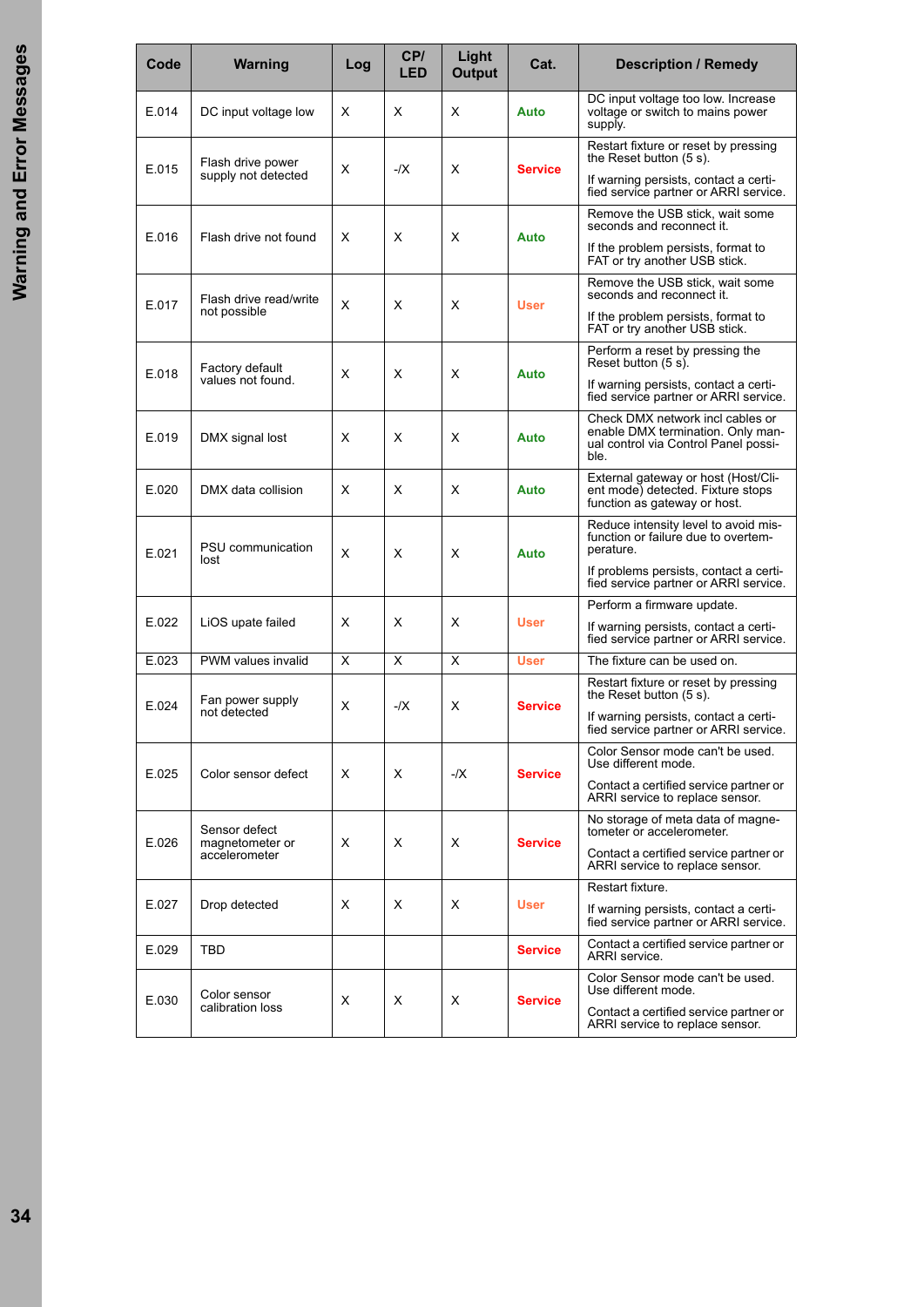| Code  | <b>Warning</b>                                    | Log | CP/<br>LED | Light<br><b>Output</b> | Cat.           | <b>Description / Remedy</b>                                                                                           |
|-------|---------------------------------------------------|-----|------------|------------------------|----------------|-----------------------------------------------------------------------------------------------------------------------|
| E.014 | DC input voltage low                              | X   | X          | X                      | Auto           | DC input voltage too low. Increase<br>voltage or switch to mains power<br>supply.                                     |
| E.015 | Flash drive power<br>supply not detected          | X   | -/X        | X                      | <b>Service</b> | Restart fixture or reset by pressing<br>the Reset button $(5 s)$ .                                                    |
|       |                                                   |     |            |                        |                | If warning persists, contact a certi-<br>fied service partner or ARRI service.                                        |
| E.016 | Flash drive not found                             | X   | X          | X                      | Auto           | Remove the USB stick, wait some<br>seconds and reconnect it.                                                          |
|       |                                                   |     |            |                        |                | If the problem persists, format to<br>FAT or try another USB stick.                                                   |
|       | Flash drive read/write<br>not possible            | X   | X          | X                      | <b>User</b>    | Remove the USB stick, wait some<br>seconds and reconnect it.                                                          |
| E.017 |                                                   |     |            |                        |                | If the problem persists, format to<br>FAT or try another USB stick.                                                   |
| E.018 | Factory default<br>values not found.              |     | х          | X                      |                | Perform a reset by pressing the<br>Reset button (5 s).                                                                |
|       |                                                   | X   |            |                        | Auto           | If warning persists, contact a certi-<br>fied service partner or ARRI service.                                        |
| E.019 | DMX signal lost                                   | X   | X          | X                      | Auto           | Check DMX network incl cables or<br>enable DMX termination. Only man-<br>ual control via Control Panel possi-<br>ble. |
| E.020 | DMX data collision                                | X   | X          | X                      | Auto           | External gateway or host (Host/Cli-<br>ent mode) detected. Fixture stops<br>function as gateway or host.              |
| E.021 | <b>PSU</b> communication<br>lost                  | X   | X          | X                      | Auto           | Reduce intensity level to avoid mis-<br>function or failure due to overtem-<br>perature.                              |
|       |                                                   |     |            |                        |                | If problems persists, contact a certi-<br>fied service partner or ARRI service.                                       |
| E.022 |                                                   | X   | X          | X                      | <b>User</b>    | Perform a firmware update.                                                                                            |
|       | LiOS upate failed                                 |     |            |                        |                | If warning persists, contact a certi-<br>fied service partner or ARRI service.                                        |
| E.023 | PWM values invalid                                | X   | X          | X                      | <b>User</b>    | The fixture can be used on.                                                                                           |
| E.024 | Fan power supply<br>not detected                  | X   | -/X        | X                      | <b>Service</b> | Restart fixture or reset by pressing<br>the Reset button $(5 s)$ .                                                    |
|       |                                                   |     |            |                        |                | If warning persists, contact a certi-<br>fied service partner or ARRI service.                                        |
| E.025 | Color sensor defect                               | X   | х          | -/X                    | <b>Service</b> | Color Sensor mode can't be used.<br>Use different mode.                                                               |
|       |                                                   |     |            |                        |                | Contact a certified service partner or<br>ARRI service to replace sensor.                                             |
|       | Sensor defect<br>magnetometer or<br>accelerometer | x   | X          | X                      | <b>Service</b> | No storage of meta data of magne-<br>tometer or accelerometer.                                                        |
| E.026 |                                                   |     |            |                        |                | Contact a certified service partner or<br>ARRI service to replace sensor.                                             |
| E.027 | Drop detected                                     | X.  | X          | X                      | <b>User</b>    | Restart fixture.                                                                                                      |
|       |                                                   |     |            |                        |                | If warning persists, contact a certi-<br>fied service partner or ARRI service.                                        |
| E.029 | TBD                                               |     |            |                        | <b>Service</b> | Contact a certified service partner or<br>ARRI service.                                                               |
|       | Color sensor<br>calibration loss                  | x   | x          | X                      | <b>Service</b> | Color Sensor mode can't be used.<br>Use different mode.                                                               |
| E.030 |                                                   |     |            |                        |                | Contact a certified service partner or<br>ARRI service to replace sensor.                                             |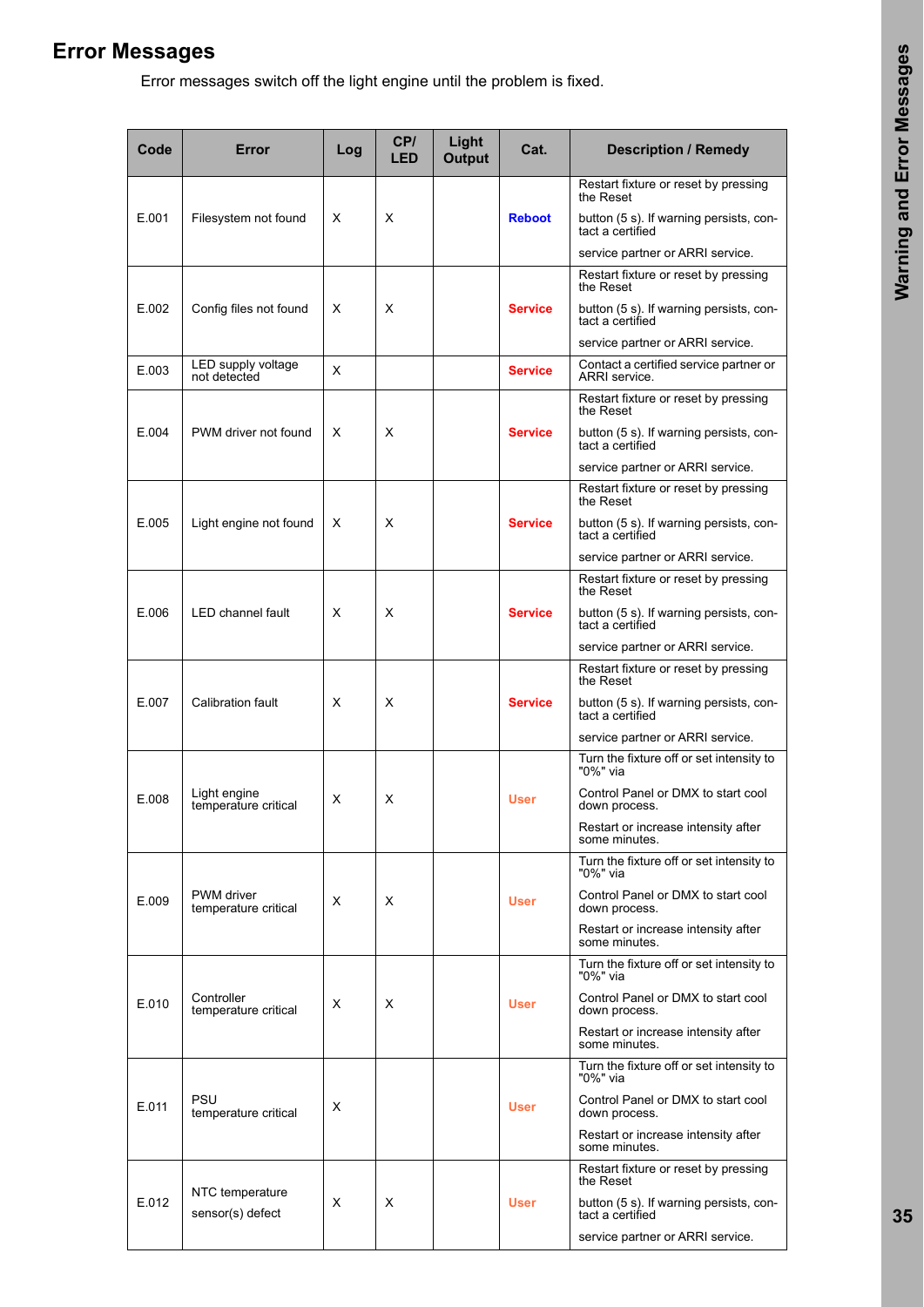# <span id="page-34-0"></span>**Error Messages**

Error messages switch off the light engine until the problem is fixed.

| Code  | Error                                | Log | CP/<br>LED | Light<br><b>Output</b> | Cat.           | <b>Description / Remedy</b>                                 |
|-------|--------------------------------------|-----|------------|------------------------|----------------|-------------------------------------------------------------|
|       |                                      |     |            |                        |                | Restart fixture or reset by pressing<br>the Reset           |
| E.001 | Filesystem not found                 | X   | X          |                        | <b>Reboot</b>  | button (5 s). If warning persists, con-<br>tact a certified |
|       |                                      |     |            |                        |                | service partner or ARRI service.                            |
|       |                                      |     |            |                        |                | Restart fixture or reset by pressing<br>the Reset           |
| E.002 | Config files not found               | X   | X          |                        | <b>Service</b> | button (5 s). If warning persists, con-<br>tact a certified |
|       |                                      |     |            |                        |                | service partner or ARRI service.                            |
| E.003 | LED supply voltage<br>not detected   | X   |            |                        | <b>Service</b> | Contact a certified service partner or<br>ARRI service.     |
|       |                                      |     |            |                        |                | Restart fixture or reset by pressing<br>the Reset           |
| E.004 | PWM driver not found                 | X   | X          |                        | <b>Service</b> | button (5 s). If warning persists, con-<br>tact a certified |
|       |                                      |     |            |                        |                | service partner or ARRI service.                            |
|       |                                      |     |            |                        |                | Restart fixture or reset by pressing<br>the Reset           |
| E.005 | Light engine not found               | X   | X          |                        | <b>Service</b> | button (5 s). If warning persists, con-<br>tact a certified |
|       |                                      |     |            |                        |                | service partner or ARRI service.                            |
|       |                                      |     |            |                        |                | Restart fixture or reset by pressing<br>the Reset           |
| E.006 | <b>LED</b> channel fault             | X   | X          |                        | <b>Service</b> | button (5 s). If warning persists, con-<br>tact a certified |
|       |                                      |     |            |                        |                | service partner or ARRI service.                            |
|       |                                      |     |            |                        |                | Restart fixture or reset by pressing<br>the Reset           |
| E.007 | Calibration fault                    | X   | X          |                        | <b>Service</b> | button (5 s). If warning persists, con-<br>tact a certified |
|       |                                      |     |            |                        |                | service partner or ARRI service.                            |
|       |                                      |     |            |                        |                | Turn the fixture off or set intensity to<br>"0%" via        |
| E.008 | Light engine<br>temperature critical | X   | X          |                        | <b>User</b>    | Control Panel or DMX to start cool<br>down process.         |
|       |                                      |     |            |                        |                | Restart or increase intensity after<br>some minutes.        |
|       |                                      |     |            |                        |                | Turn the fixture off or set intensity to<br>"0%" via        |
| E.009 | PWM driver<br>temperature critical   | X   | X          |                        | <b>User</b>    | Control Panel or DMX to start cool<br>down process.         |
|       |                                      |     |            |                        |                | Restart or increase intensity after<br>some minutes.        |
|       |                                      |     |            |                        |                | Turn the fixture off or set intensity to<br>"0%" via        |
| E.010 | Controller<br>temperature critical   | X   | X          |                        | <b>User</b>    | Control Panel or DMX to start cool<br>down process.         |
|       |                                      |     |            |                        |                | Restart or increase intensity after<br>some minutes.        |
|       |                                      |     |            |                        |                | Turn the fixture off or set intensity to<br>"0%" via        |
| E.011 | PSU<br>temperature critical          | X   |            |                        | <b>User</b>    | Control Panel or DMX to start cool<br>down process.         |
|       |                                      |     |            |                        |                | Restart or increase intensity after<br>some minutes.        |
|       |                                      |     |            |                        |                | Restart fixture or reset by pressing<br>the Reset           |
| E.012 | NTC temperature<br>sensor(s) defect  | X   | X          |                        | <b>User</b>    | button (5 s). If warning persists, con-<br>tact a certified |
|       |                                      |     |            |                        |                | service partner or ARRI service.                            |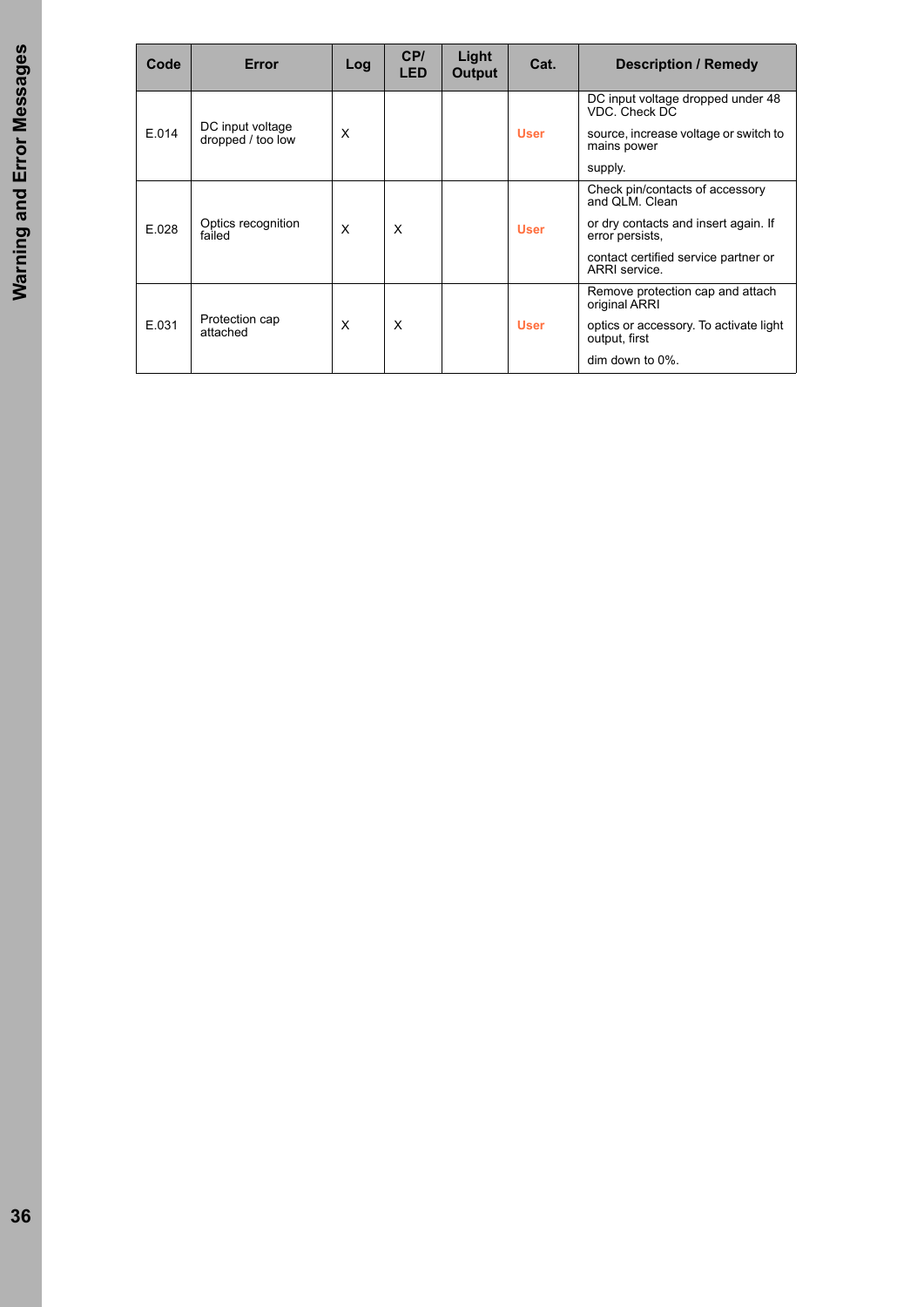|       | Code  | <b>Error</b>                          | Log | CP/<br>LED | Light<br><b>Output</b> | Cat.        | <b>Description / Remedy</b>                             |
|-------|-------|---------------------------------------|-----|------------|------------------------|-------------|---------------------------------------------------------|
|       |       |                                       |     |            |                        |             | DC input voltage dropped under 48<br>VDC. Check DC      |
|       | E.014 | DC input voltage<br>dropped / too low | X   |            |                        | <b>User</b> | source, increase voltage or switch to<br>mains power    |
|       |       |                                       |     |            |                        |             | supply.                                                 |
|       | E.028 | Optics recognition<br>failed          | X   | X          |                        | <b>User</b> | Check pin/contacts of accessory<br>and OLM. Clean       |
|       |       |                                       |     |            |                        |             | or dry contacts and insert again. If<br>error persists, |
|       |       |                                       |     |            |                        |             | contact certified service partner or<br>ARRI service.   |
| E.031 |       | Protection cap<br>attached            | X   | X          |                        |             | Remove protection cap and attach<br>original ARRI       |
|       |       |                                       |     |            |                        | <b>User</b> | optics or accessory. To activate light<br>output, first |
|       |       |                                       |     |            |                        |             | $dim$ down to $0\%$ .                                   |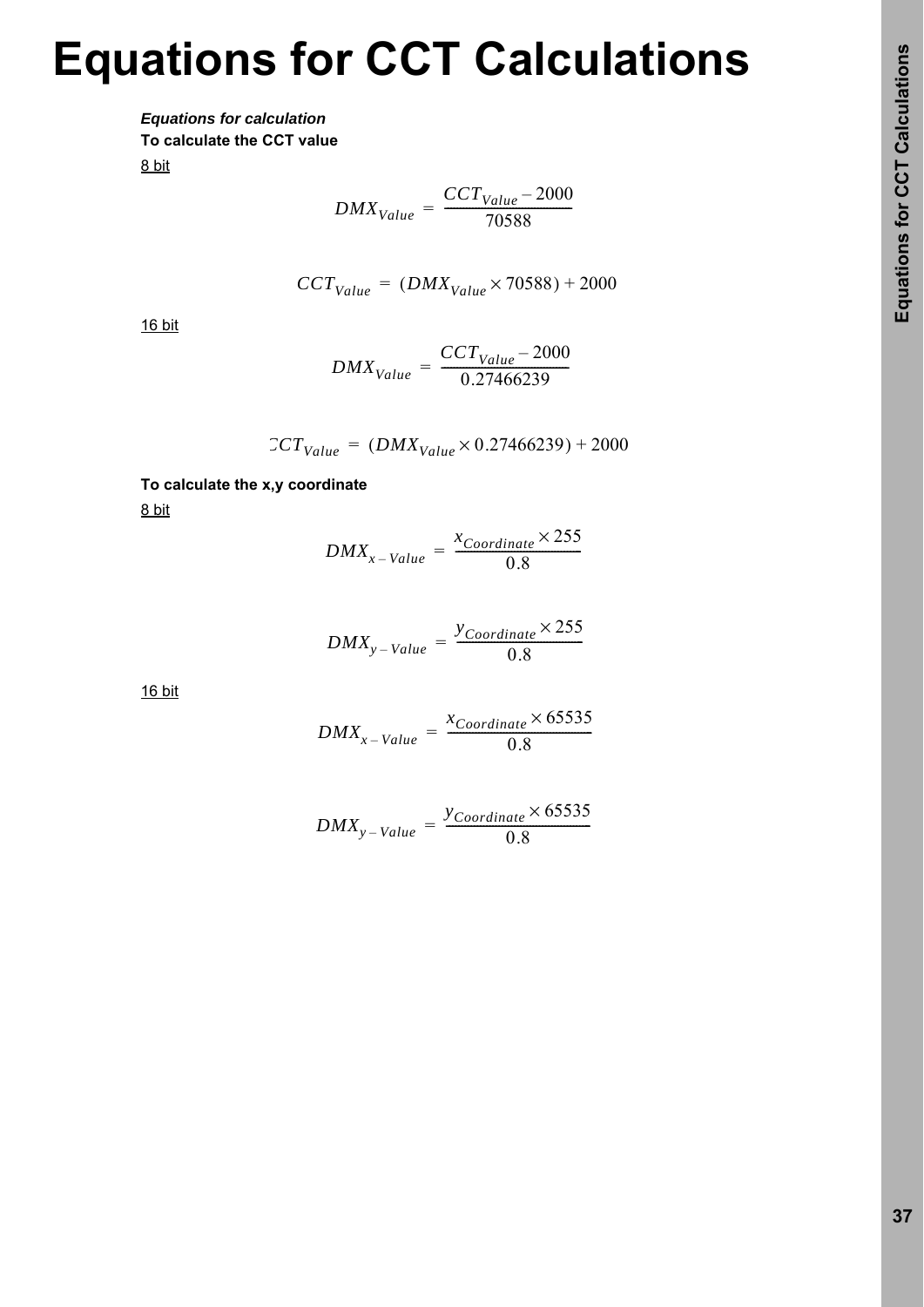# <span id="page-36-0"></span>**Equations for CCT Calculations**

*Equations for calculation* **To calculate the CCT value** 8 bit

$$
DMX_{Value} = \frac{CCT_{Value} - 2000}{70588}
$$

$$
CCT_{Value} = (DMX_{Value} \times 70588) + 2000
$$

16 bit

$$
DMX_{Value} = \frac{CCT_{Value} - 2000}{0.27466239}
$$

$$
CCT_{Value} = (DMX_{Value} \times 0.27466239) + 2000
$$

**To calculate the x,y coordinate**

8 bit

$$
DMX_{x-Value} = \frac{x_{Coordinate} \times 255}{0.8}
$$

$$
DMX_{y-Value} = \frac{y_{Coordinate} \times 255}{0.8}
$$

16 bit

$$
DMX_{x-Value} = \frac{x_{Coordinate} \times 65535}{0.8}
$$

$$
DMX_{y-Value} = \frac{y_{Coordinate} \times 65535}{0.8}
$$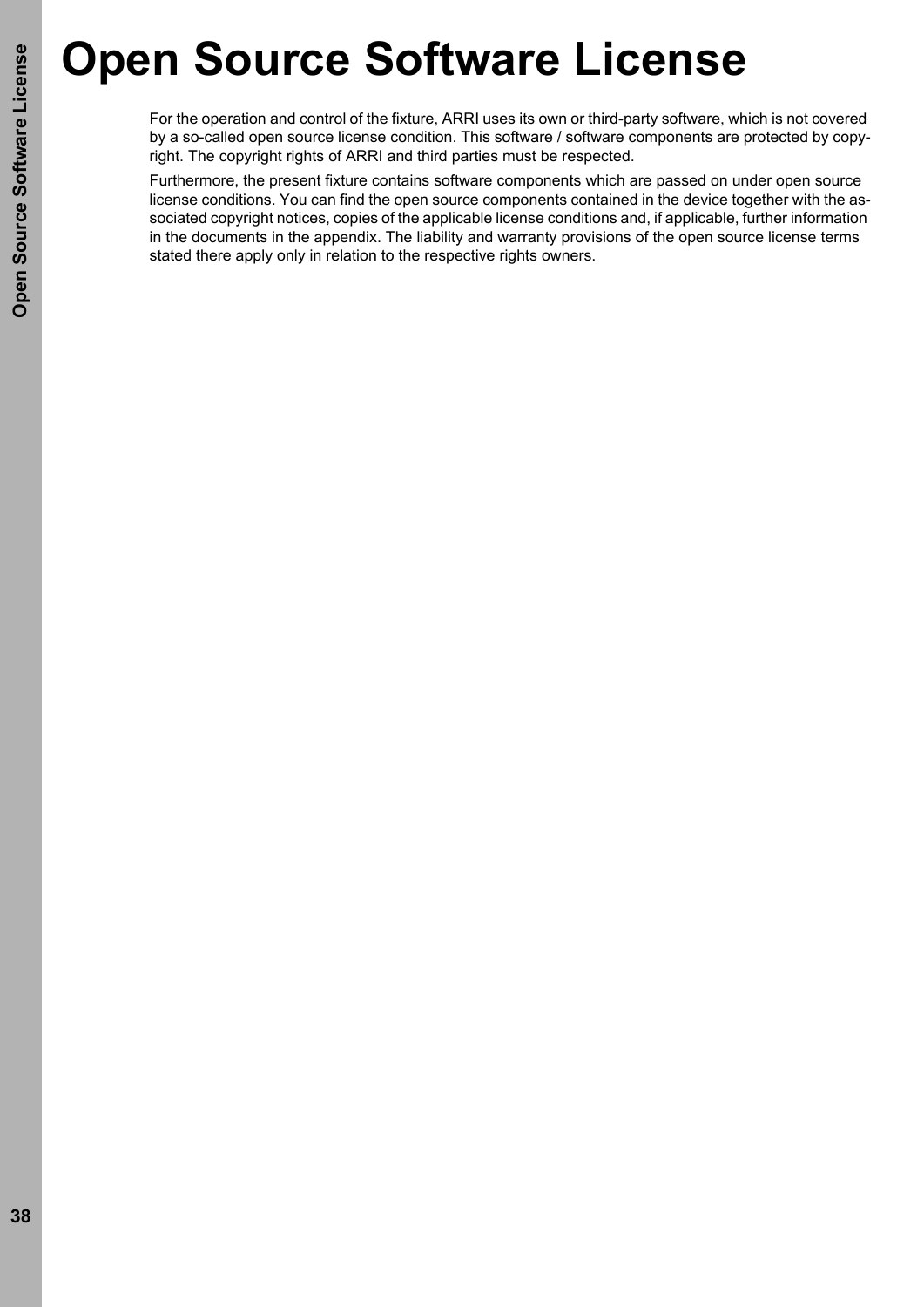# <span id="page-37-0"></span>**Open Source Software License**

For the operation and control of the fixture, ARRI uses its own or third-party software, which is not covered by a so-called open source license condition. This software / software components are protected by copyright. The copyright rights of ARRI and third parties must be respected.

Furthermore, the present fixture contains software components which are passed on under open source license conditions. You can find the open source components contained in the device together with the associated copyright notices, copies of the applicable license conditions and, if applicable, further information in the documents in the appendix. The liability and warranty provisions of the open source license terms stated there apply only in relation to the respective rights owners.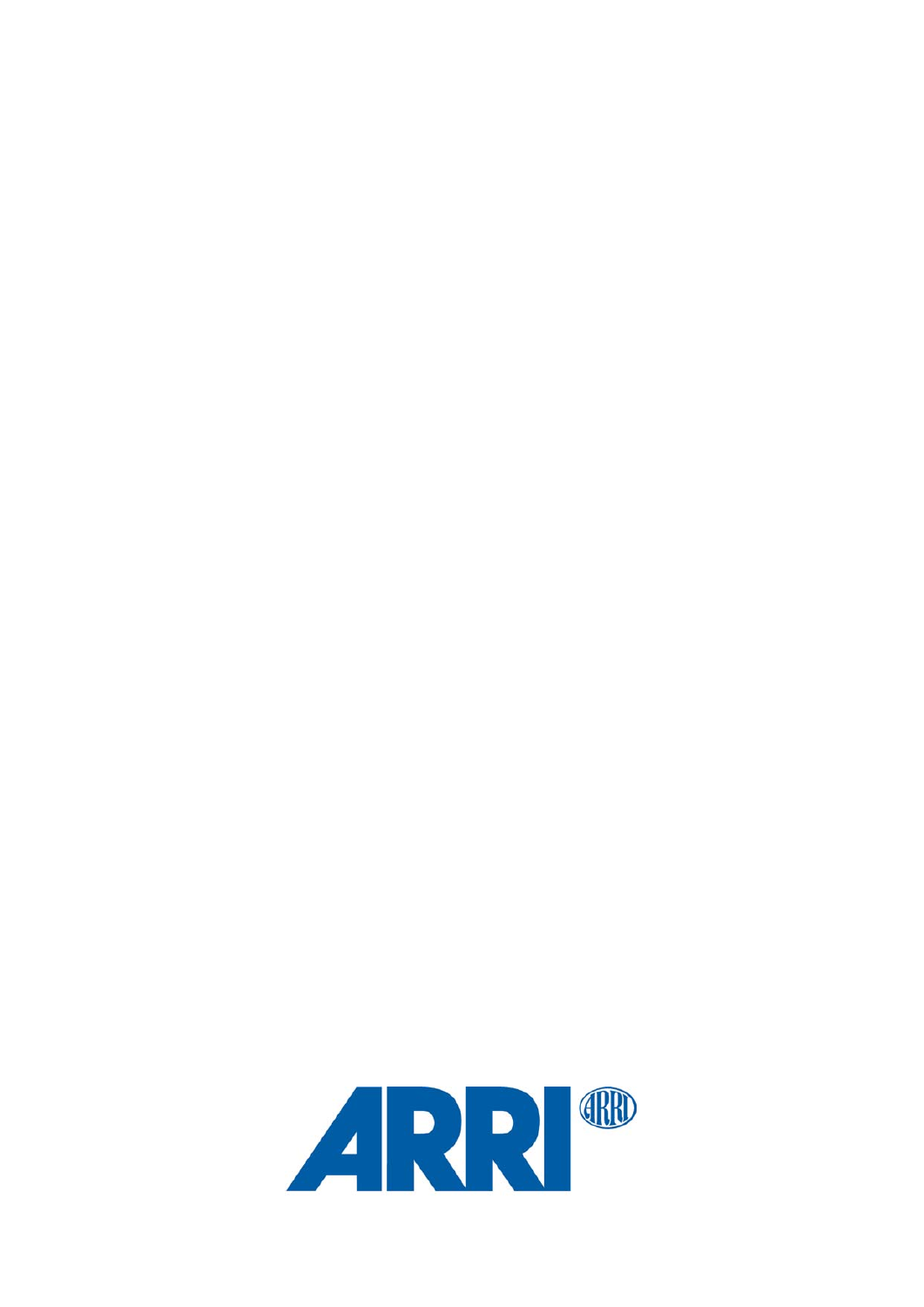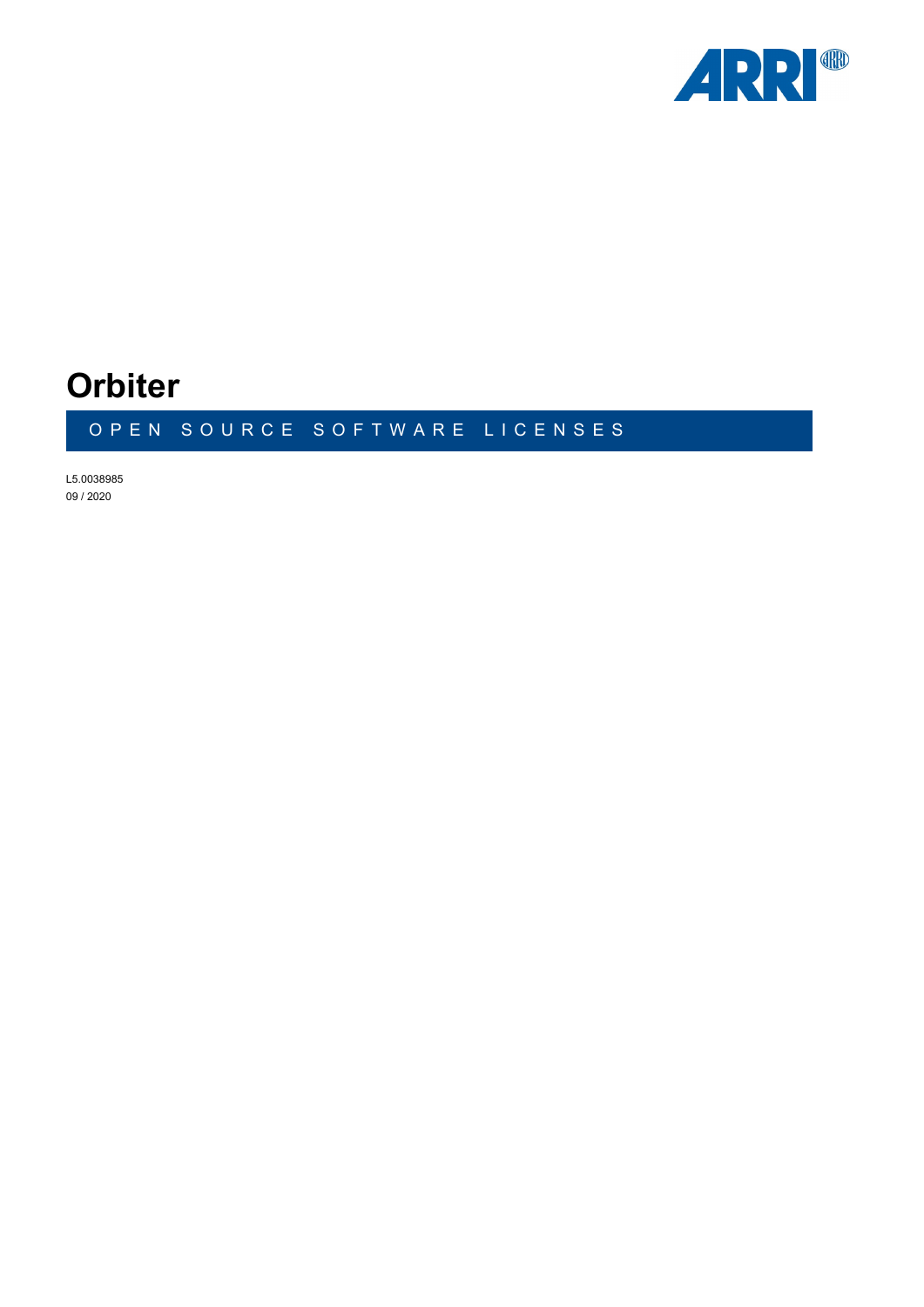

# **Orbiter**

# OPEN SOURCE SOFTWARE LICENSES

L5.0038985 09 / 2020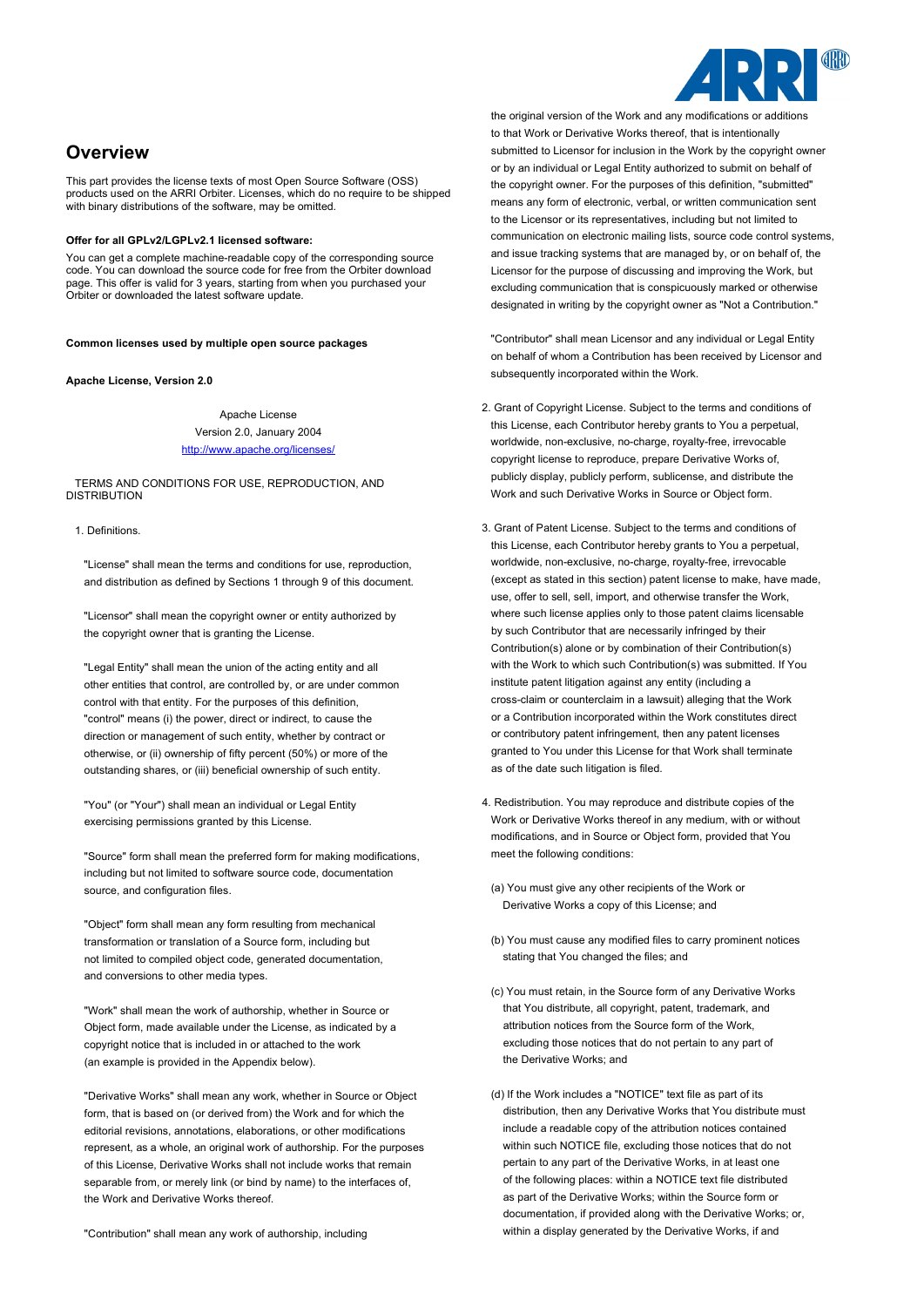

## **Overview**

This part provides the license texts of most Open Source Software (OSS) products used on the ARRI Orbiter. Licenses, which do no require to be shipped with binary distributions of the software, may be omitted.

#### **Offer for all GPLv2/LGPLv2.1 licensed software:**

You can get a complete machine-readable copy of the corresponding source code. You can download the source code for free from the Orbiter download page. This offer is valid for 3 years, starting from when you purchased your Orbiter or downloaded the latest software update.

#### **Common licenses used by multiple open source packages**

**Apache License, Version 2.0**

Apache License Version 2.0, January 2004 <http://www.apache.org/licenses/>

TERMS AND CONDITIONS FOR USE, REPRODUCTION, AND DISTRIBUTION

#### 1. Definitions.

"License" shall mean the terms and conditions for use, reproduction, and distribution as defined by Sections 1 through 9 of this document.

"Licensor" shall mean the copyright owner or entity authorized by the copyright owner that is granting the License.

"Legal Entity" shall mean the union of the acting entity and all other entities that control, are controlled by, or are under common control with that entity. For the purposes of this definition, "control" means (i) the power, direct or indirect, to cause the direction or management of such entity, whether by contract or otherwise, or (ii) ownership of fifty percent (50%) or more of the outstanding shares, or (iii) beneficial ownership of such entity.

"You" (or "Your") shall mean an individual or Legal Entity exercising permissions granted by this License.

"Source" form shall mean the preferred form for making modifications, including but not limited to software source code, documentation source, and configuration files.

"Object" form shall mean any form resulting from mechanical transformation or translation of a Source form, including but not limited to compiled object code, generated documentation, and conversions to other media types.

"Work" shall mean the work of authorship, whether in Source or Object form, made available under the License, as indicated by a copyright notice that is included in or attached to the work (an example is provided in the Appendix below).

"Derivative Works" shall mean any work, whether in Source or Object form, that is based on (or derived from) the Work and for which the editorial revisions, annotations, elaborations, or other modifications represent, as a whole, an original work of authorship. For the purposes of this License, Derivative Works shall not include works that remain separable from, or merely link (or bind by name) to the interfaces of, the Work and Derivative Works thereof.

"Contribution" shall mean any work of authorship, including

the original version of the Work and any modifications or additions to that Work or Derivative Works thereof, that is intentionally submitted to Licensor for inclusion in the Work by the copyright owner or by an individual or Legal Entity authorized to submit on behalf of the copyright owner. For the purposes of this definition, "submitted" means any form of electronic, verbal, or written communication sent to the Licensor or its representatives, including but not limited to communication on electronic mailing lists, source code control systems, and issue tracking systems that are managed by, or on behalf of, the Licensor for the purpose of discussing and improving the Work, but excluding communication that is conspicuously marked or otherwise designated in writing by the copyright owner as "Not a Contribution."

"Contributor" shall mean Licensor and any individual or Legal Entity on behalf of whom a Contribution has been received by Licensor and subsequently incorporated within the Work.

- 2. Grant of Copyright License. Subject to the terms and conditions of this License, each Contributor hereby grants to You a perpetual, worldwide, non-exclusive, no-charge, royalty-free, irrevocable copyright license to reproduce, prepare Derivative Works of, publicly display, publicly perform, sublicense, and distribute the Work and such Derivative Works in Source or Object form.
- 3. Grant of Patent License. Subject to the terms and conditions of this License, each Contributor hereby grants to You a perpetual, worldwide, non-exclusive, no-charge, royalty-free, irrevocable (except as stated in this section) patent license to make, have made, use, offer to sell, sell, import, and otherwise transfer the Work, where such license applies only to those patent claims licensable by such Contributor that are necessarily infringed by their Contribution(s) alone or by combination of their Contribution(s) with the Work to which such Contribution(s) was submitted. If You institute patent litigation against any entity (including a cross-claim or counterclaim in a lawsuit) alleging that the Work or a Contribution incorporated within the Work constitutes direct or contributory patent infringement, then any patent licenses granted to You under this License for that Work shall terminate as of the date such litigation is filed.
- 4. Redistribution. You may reproduce and distribute copies of the Work or Derivative Works thereof in any medium, with or without modifications, and in Source or Object form, provided that You meet the following conditions:
	- (a) You must give any other recipients of the Work or Derivative Works a copy of this License; and
	- (b) You must cause any modified files to carry prominent notices stating that You changed the files; and
	- (c) You must retain, in the Source form of any Derivative Works that You distribute, all copyright, patent, trademark, and attribution notices from the Source form of the Work, excluding those notices that do not pertain to any part of the Derivative Works; and
- (d) If the Work includes a "NOTICE" text file as part of its distribution, then any Derivative Works that You distribute must include a readable copy of the attribution notices contained within such NOTICE file, excluding those notices that do not pertain to any part of the Derivative Works, in at least one of the following places: within a NOTICE text file distributed as part of the Derivative Works; within the Source form or documentation, if provided along with the Derivative Works; or, within a display generated by the Derivative Works, if and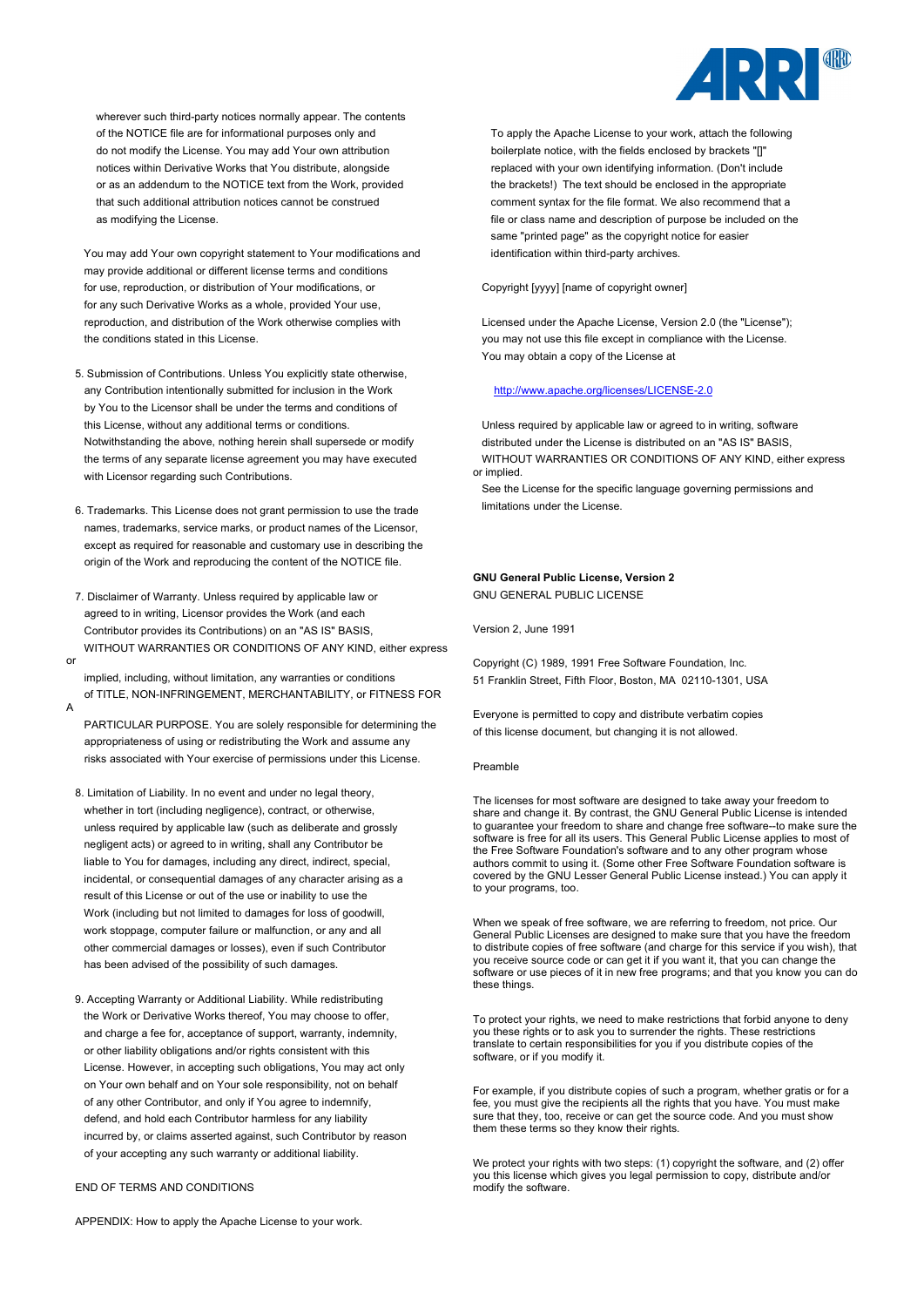

wherever such third-party notices normally appear. The contents of the NOTICE file are for informational purposes only and do not modify the License. You may add Your own attribution notices within Derivative Works that You distribute, alongside or as an addendum to the NOTICE text from the Work, provided that such additional attribution notices cannot be construed as modifying the License.

You may add Your own copyright statement to Your modifications and may provide additional or different license terms and conditions for use, reproduction, or distribution of Your modifications, or for any such Derivative Works as a whole, provided Your use, reproduction, and distribution of the Work otherwise complies with the conditions stated in this License.

5. Submission of Contributions. Unless You explicitly state otherwise, any Contribution intentionally submitted for inclusion in the Work by You to the Licensor shall be under the terms and conditions of this License, without any additional terms or conditions. Notwithstanding the above, nothing herein shall supersede or modify the terms of any separate license agreement you may have executed with Licensor regarding such Contributions.

6. Trademarks. This License does not grant permission to use the trade names, trademarks, service marks, or product names of the Licensor, except as required for reasonable and customary use in describing the origin of the Work and reproducing the content of the NOTICE file.

7. Disclaimer of Warranty. Unless required by applicable law or agreed to in writing, Licensor provides the Work (and each Contributor provides its Contributions) on an "AS IS" BASIS, WITHOUT WARRANTIES OR CONDITIONS OF ANY KIND, either express or

implied, including, without limitation, any warranties or conditions of TITLE, NON-INFRINGEMENT, MERCHANTABILITY, or FITNESS FOR

PARTICULAR PURPOSE. You are solely responsible for determining the appropriateness of using or redistributing the Work and assume any risks associated with Your exercise of permissions under this License.

8. Limitation of Liability. In no event and under no legal theory, whether in tort (including negligence), contract, or otherwise, unless required by applicable law (such as deliberate and grossly negligent acts) or agreed to in writing, shall any Contributor be liable to You for damages, including any direct, indirect, special, incidental, or consequential damages of any character arising as a result of this License or out of the use or inability to use the Work (including but not limited to damages for loss of goodwill, work stoppage, computer failure or malfunction, or any and all other commercial damages or losses), even if such Contributor has been advised of the possibility of such damages.

9. Accepting Warranty or Additional Liability. While redistributing the Work or Derivative Works thereof, You may choose to offer, and charge a fee for, acceptance of support, warranty, indemnity, or other liability obligations and/or rights consistent with this License. However, in accepting such obligations, You may act only on Your own behalf and on Your sole responsibility, not on behalf of any other Contributor, and only if You agree to indemnify, defend, and hold each Contributor harmless for any liability incurred by, or claims asserted against, such Contributor by reason of your accepting any such warranty or additional liability.

#### END OF TERMS AND CONDITIONS

A

To apply the Apache License to your work, attach the following boilerplate notice, with the fields enclosed by brackets "[]" replaced with your own identifying information. (Don't include the brackets!) The text should be enclosed in the appropriate comment syntax for the file format. We also recommend that a file or class name and description of purpose be included on the same "printed page" as the copyright notice for easier identification within third-party archives.

#### Copyright [yyyy] [name of copyright owner]

Licensed under the Apache License, Version 2.0 (the "License"); you may not use this file except in compliance with the License. You may obtain a copy of the License at

#### <http://www.apache.org/licenses/LICENSE-2.0>

Unless required by applicable law or agreed to in writing, software distributed under the License is distributed on an "AS IS" BASIS, WITHOUT WARRANTIES OR CONDITIONS OF ANY KIND, either express or implied.

See the License for the specific language governing permissions and limitations under the License.

#### **GNU General Public License, Version 2** GNU GENERAL PUBLIC LICENSE

Version 2, June 1991

Copyright (C) 1989, 1991 Free Software Foundation, Inc. 51 Franklin Street, Fifth Floor, Boston, MA 02110-1301, USA

Everyone is permitted to copy and distribute verbatim copies of this license document, but changing it is not allowed.

#### Preamble

The licenses for most software are designed to take away your freedom to share and change it. By contrast, the GNU General Public License is intended to guarantee your freedom to share and change free software--to make sure the software is free for all its users. This General Public License applies to most of the Free Software Foundation's software and to any other program whose authors commit to using it. (Some other Free Software Foundation software is covered by the GNU Lesser General Public License instead.) You can apply it to your programs, too.

When we speak of free software, we are referring to freedom, not price. Our General Public Licenses are designed to make sure that you have the freedom to distribute copies of free software (and charge for this service if you wish), that you receive source code or can get it if you want it, that you can change the software or use pieces of it in new free programs; and that you know you can do these things.

To protect your rights, we need to make restrictions that forbid anyone to deny you these rights or to ask you to surrender the rights. These restrictions translate to certain responsibilities for you if you distribute copies of the software, or if you modify it.

For example, if you distribute copies of such a program, whether gratis or for a fee, you must give the recipients all the rights that you have. You must make sure that they, too, receive or can get the source code. And you must show them these terms so they know their rights.

We protect your rights with two steps: (1) copyright the software, and (2) offer you this license which gives you legal permission to copy, distribute and/or modify the software.

APPENDIX: How to apply the Apache License to your work.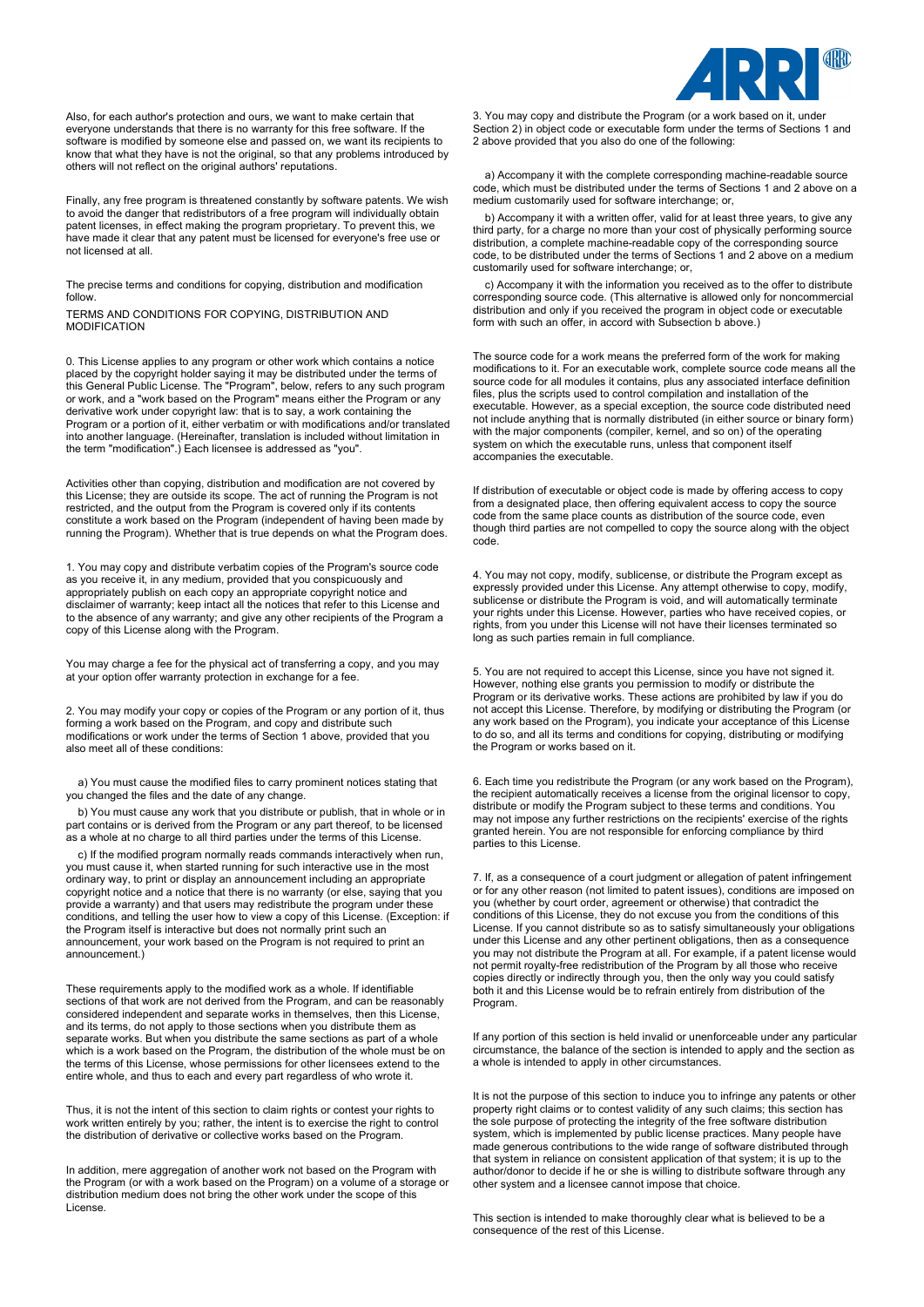

Also, for each author's protection and ours, we want to make certain that everyone understands that there is no warranty for this free software. If the software is modified by someone else and passed on, we want its recipients to know that what they have is not the original, so that any problems introduced by others will not reflect on the original authors' reputations.

Finally, any free program is threatened constantly by software patents. We wish to avoid the danger that redistributors of a free program will individually obtain patent licenses, in effect making the program proprietary. To prevent this, we have made it clear that any patent must be licensed for everyone's free use or not licensed at all.

The precise terms and conditions for copying, distribution and modification follow.

TERMS AND CONDITIONS FOR COPYING, DISTRIBUTION AND MODIFICATION

0. This License applies to any program or other work which contains a notice placed by the copyright holder saying it may be distributed under the terms of this General Public License. The "Program", below, refers to any such program or work, and a "work based on the Program" means either the Program or any derivative work under copyright law: that is to say, a work containing the Program or a portion of it, either verbatim or with modifications and/or translated into another language. (Hereinafter, translation is included without limitation in the term "modification".) Each licensee is addressed as "you".

Activities other than copying, distribution and modification are not covered by this License; they are outside its scope. The act of running the Program is not restricted, and the output from the Program is covered only if its contents constitute a work based on the Program (independent of having been made by running the Program). Whether that is true depends on what the Program does.

1. You may copy and distribute verbatim copies of the Program's source code as you receive it, in any medium, provided that you conspicuously and appropriately publish on each copy an appropriate copyright notice and disclaimer of warranty; keep intact all the notices that refer to this License and to the absence of any warranty; and give any other recipients of the Program a copy of this License along with the Program.

You may charge a fee for the physical act of transferring a copy, and you may at your option offer warranty protection in exchange for a fee.

2. You may modify your copy or copies of the Program or any portion of it, thus forming a work based on the Program, and copy and distribute such modifications or work under the terms of Section 1 above, provided that you also meet all of these conditions:

a) You must cause the modified files to carry prominent notices stating that you changed the files and the date of any change.

b) You must cause any work that you distribute or publish, that in whole or in part contains or is derived from the Program or any part thereof, to be licensed as a whole at no charge to all third parties under the terms of this License.

c) If the modified program normally reads commands interactively when run, you must cause it, when started running for such interactive use in the most ordinary way, to print or display an announcement including an appropriate copyright notice and a notice that there is no warranty (or else, saying that you provide a warranty) and that users may redistribute the program under these conditions, and telling the user how to view a copy of this License. (Exception: if the Program itself is interactive but does not normally print such an announcement, your work based on the Program is not required to print an announcement.)

These requirements apply to the modified work as a whole. If identifiable sections of that work are not derived from the Program, and can be reasonably considered independent and separate works in themselves, then this License, and its terms, do not apply to those sections when you distribute them as separate works. But when you distribute the same sections as part of a whole which is a work based on the Program, the distribution of the whole must be on the terms of this License, whose permissions for other licensees extend to the entire whole, and thus to each and every part regardless of who wrote it.

Thus, it is not the intent of this section to claim rights or contest your rights to work written entirely by you; rather, the intent is to exercise the right to control the distribution of derivative or collective works based on the Program.

In addition, mere aggregation of another work not based on the Program with the Program (or with a work based on the Program) on a volume of a storage or distribution medium does not bring the other work under the scope of this License.

3. You may copy and distribute the Program (or a work based on it, under Section 2) in object code or executable form under the terms of Sections 1 and 2 above provided that you also do one of the following:

a) Accompany it with the complete corresponding machine-readable source code, which must be distributed under the terms of Sections 1 and 2 above on a medium customarily used for software interchange; or,

b) Accompany it with a written offer, valid for at least three years, to give any third party, for a charge no more than your cost of physically performing source distribution, a complete machine-readable copy of the corresponding source code, to be distributed under the terms of Sections 1 and 2 above on a medium customarily used for software interchange; or,

c) Accompany it with the information you received as to the offer to distribute corresponding source code. (This alternative is allowed only for noncommercial distribution and only if you received the program in object code or executable form with such an offer, in accord with Subsection b above.)

The source code for a work means the preferred form of the work for making modifications to it. For an executable work, complete source code means all the source code for all modules it contains, plus any associated interface definition files, plus the scripts used to control compilation and installation of the executable. However, as a special exception, the source code distributed need not include anything that is normally distributed (in either source or binary form) with the major components (compiler, kernel, and so on) of the operating system on which the executable runs, unless that component itself accompanies the executable.

If distribution of executable or object code is made by offering access to copy from a designated place, then offering equivalent access to copy the source code from the same place counts as distribution of the source code, even though third parties are not compelled to copy the source along with the object code.

4. You may not copy, modify, sublicense, or distribute the Program except as expressly provided under this License. Any attempt otherwise to copy, modify, sublicense or distribute the Program is void, and will automatically terminate your rights under this License. However, parties who have received copies, or rights, from you under this License will not have their licenses terminated so long as such parties remain in full compliance.

5. You are not required to accept this License, since you have not signed it. However, nothing else grants you permission to modify or distribute the Program or its derivative works. These actions are prohibited by law if you do not accept this License. Therefore, by modifying or distributing the Program (or any work based on the Program), you indicate your acceptance of this License to do so, and all its terms and conditions for copying, distributing or modifying the Program or works based on it.

6. Each time you redistribute the Program (or any work based on the Program), the recipient automatically receives a license from the original licensor to copy, distribute or modify the Program subject to these terms and conditions. You may not impose any further restrictions on the recipients' exercise of the rights granted herein. You are not responsible for enforcing compliance by third parties to this License.

7. If, as a consequence of a court judgment or allegation of patent infringement or for any other reason (not limited to patent issues), conditions are imposed on you (whether by court order, agreement or otherwise) that contradict the conditions of this License, they do not excuse you from the conditions of this License. If you cannot distribute so as to satisfy simultaneously your obligations under this License and any other pertinent obligations, then as a consequence you may not distribute the Program at all. For example, if a patent license would not permit royalty-free redistribution of the Program by all those who receive copies directly or indirectly through you, then the only way you could satisfy both it and this License would be to refrain entirely from distribution of the Program.

If any portion of this section is held invalid or unenforceable under any particular circumstance, the balance of the section is intended to apply and the section as a whole is intended to apply in other circumstances.

It is not the purpose of this section to induce you to infringe any patents or other property right claims or to contest validity of any such claims; this section has the sole purpose of protecting the integrity of the free software distribution system, which is implemented by public license practices. Many people have made generous contributions to the wide range of software distributed through that system in reliance on consistent application of that system; it is up to the author/donor to decide if he or she is willing to distribute software through any other system and a licensee cannot impose that choice.

This section is intended to make thoroughly clear what is believed to be a consequence of the rest of this License.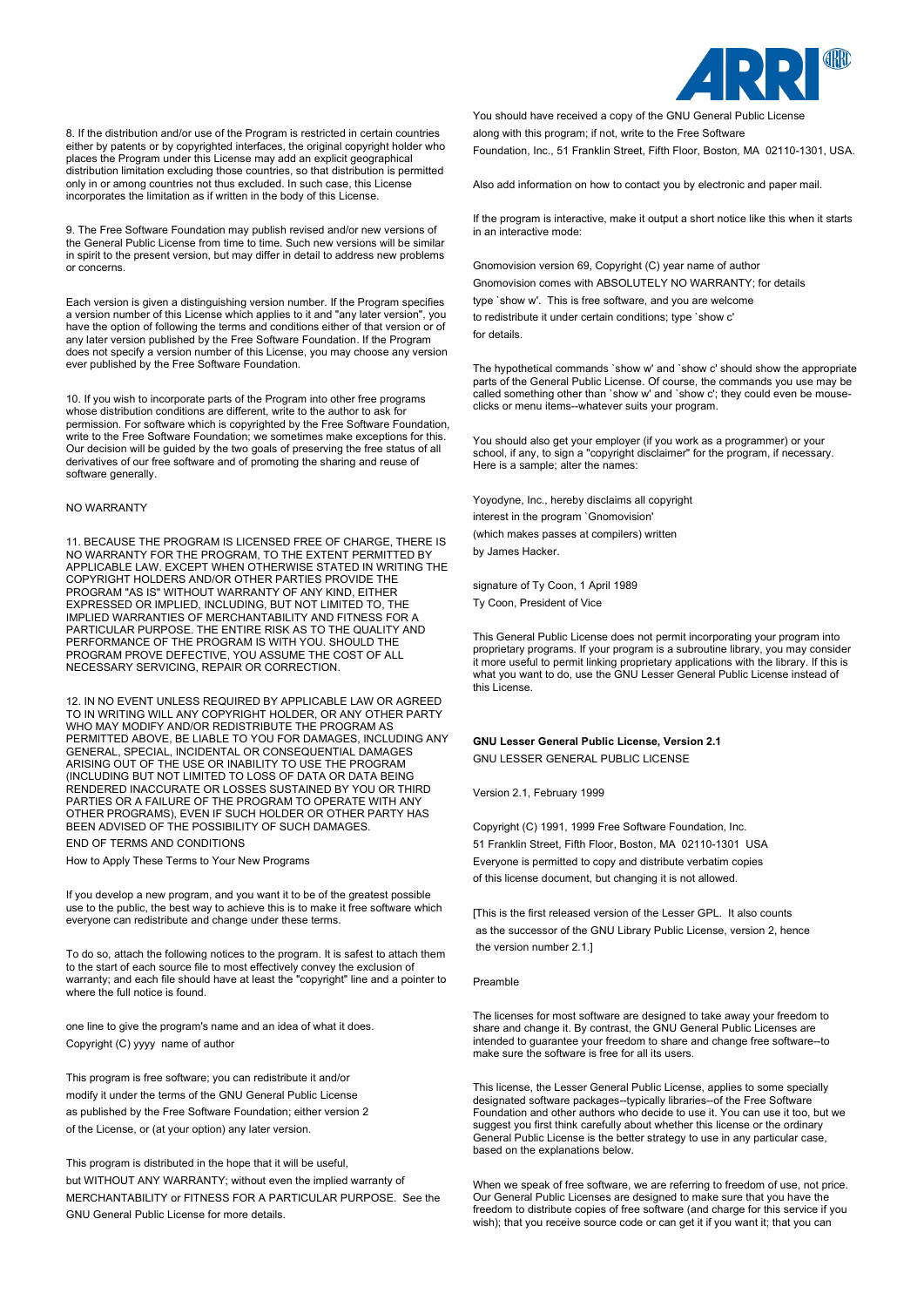

8. If the distribution and/or use of the Program is restricted in certain countries either by patents or by copyrighted interfaces, the original copyright holder who places the Program under this License may add an explicit geographical distribution limitation excluding those countries, so that distribution is permitted only in or among countries not thus excluded. In such case, this License incorporates the limitation as if written in the body of this License.

9. The Free Software Foundation may publish revised and/or new versions of the General Public License from time to time. Such new versions will be similar in spirit to the present version, but may differ in detail to address new problems or concerns.

Each version is given a distinguishing version number. If the Program specifies a version number of this License which applies to it and "any later version", you have the option of following the terms and conditions either of that version or of any later version published by the Free Software Foundation. If the Program does not specify a version number of this License, you may choose any version ever published by the Free Software Foundation.

10. If you wish to incorporate parts of the Program into other free programs whose distribution conditions are different, write to the author to ask for permission. For software which is copyrighted by the Free Software Foundation, write to the Free Software Foundation; we sometimes make exceptions for this. Our decision will be guided by the two goals of preserving the free status of all derivatives of our free software and of promoting the sharing and reuse of software generally.

#### NO WARRANTY

11. BECAUSE THE PROGRAM IS LICENSED FREE OF CHARGE, THERE IS NO WARRANTY FOR THE PROGRAM, TO THE EXTENT PERMITTED BY APPLICABLE LAW. EXCEPT WHEN OTHERWISE STATED IN WRITING THE COPYRIGHT HOLDERS AND/OR OTHER PARTIES PROVIDE THE PROGRAM "AS IS" WITHOUT WARRANTY OF ANY KIND, EITHER EXPRESSED OR IMPLIED, INCLUDING, BUT NOT LIMITED TO, THE IMPLIED WARRANTIES OF MERCHANTABILITY AND FITNESS FOR A PARTICULAR PURPOSE. THE ENTIRE RISK AS TO THE QUALITY AND PERFORMANCE OF THE PROGRAM IS WITH YOU. SHOULD THE PROGRAM PROVE DEFECTIVE, YOU ASSUME THE COST OF ALL NECESSARY SERVICING, REPAIR OR CORRECTION.

12. IN NO EVENT UNLESS REQUIRED BY APPLICABLE LAW OR AGREED TO IN WRITING WILL ANY COPYRIGHT HOLDER, OR ANY OTHER PARTY WHO MAY MODIFY AND/OR REDISTRIBUTE THE PROGRAM AS PERMITTED ABOVE, BE LIABLE TO YOU FOR DAMAGES, INCLUDING ANY GENERAL, SPECIAL, INCIDENTAL OR CONSEQUENTIAL DAMAGES ARISING OUT OF THE USE OR INABILITY TO USE THE PROGRAM (INCLUDING BUT NOT LIMITED TO LOSS OF DATA OR DATA BEING RENDERED INACCURATE OR LOSSES SUSTAINED BY YOU OR THIRD PARTIES OR A FAILURE OF THE PROGRAM TO OPERATE WITH ANY OTHER PROGRAMS), EVEN IF SUCH HOLDER OR OTHER PARTY HAS BEEN ADVISED OF THE POSSIBILITY OF SUCH DAMAGES. END OF TERMS AND CONDITIONS

How to Apply These Terms to Your New Programs

If you develop a new program, and you want it to be of the greatest possible use to the public, the best way to achieve this is to make it free software which everyone can redistribute and change under these terms.

To do so, attach the following notices to the program. It is safest to attach them to the start of each source file to most effectively convey the exclusion of warranty; and each file should have at least the "copyright" line and a pointer to where the full notice is found.

one line to give the program's name and an idea of what it does. Copyright (C) yyyy name of author

This program is free software; you can redistribute it and/or modify it under the terms of the GNU General Public License as published by the Free Software Foundation; either version 2 of the License, or (at your option) any later version.

This program is distributed in the hope that it will be useful, but WITHOUT ANY WARRANTY; without even the implied warranty of MERCHANTABILITY or FITNESS FOR A PARTICULAR PURPOSE. See the GNU General Public License for more details.

You should have received a copy of the GNU General Public License along with this program; if not, write to the Free Software Foundation, Inc., 51 Franklin Street, Fifth Floor, Boston, MA 02110-1301, USA.

Also add information on how to contact you by electronic and paper mail.

If the program is interactive, make it output a short notice like this when it starts in an interactive mode:

Gnomovision version 69, Copyright (C) year name of author Gnomovision comes with ABSOLUTELY NO WARRANTY; for details type `show w'. This is free software, and you are welcome to redistribute it under certain conditions; type `show c' for details.

The hypothetical commands `show w' and `show c' should show the appropriate parts of the General Public License. Of course, the commands you use may be called something other than `show w' and `show c'; they could even be mouseclicks or menu items--whatever suits your program.

You should also get your employer (if you work as a programmer) or your school, if any, to sign a "copyright disclaimer" for the program, if necessary. Here is a sample; alter the names:

Yoyodyne, Inc., hereby disclaims all copyright interest in the program `Gnomovision' (which makes passes at compilers) written by James Hacker.

signature of Ty Coon, 1 April 1989 Ty Coon, President of Vice

This General Public License does not permit incorporating your program into proprietary programs. If your program is a subroutine library, you may consider it more useful to permit linking proprietary applications with the library. If this is what you want to do, use the GNU Lesser General Public License instead of this License.

**GNU Lesser General Public License, Version 2.1** GNU LESSER GENERAL PUBLIC LICENSE

Version 2.1, February 1999

Copyright (C) 1991, 1999 Free Software Foundation, Inc. 51 Franklin Street, Fifth Floor, Boston, MA 02110-1301 USA Everyone is permitted to copy and distribute verbatim copies of this license document, but changing it is not allowed.

[This is the first released version of the Lesser GPL. It also counts as the successor of the GNU Library Public License, version 2, hence the version number 2.1.1

#### Preamble

The licenses for most software are designed to take away your freedom to share and change it. By contrast, the GNU General Public Licenses are intended to guarantee your freedom to share and change free software--to make sure the software is free for all its users.

This license, the Lesser General Public License, applies to some specially designated software packages--typically libraries--of the Free Software Foundation and other authors who decide to use it. You can use it too, but we suggest you first think carefully about whether this license or the ordinary General Public License is the better strategy to use in any particular case, based on the explanations below.

When we speak of free software, we are referring to freedom of use, not price. Our General Public Licenses are designed to make sure that you have the freedom to distribute copies of free software (and charge for this service if you wish); that you receive source code or can get it if you want it; that you can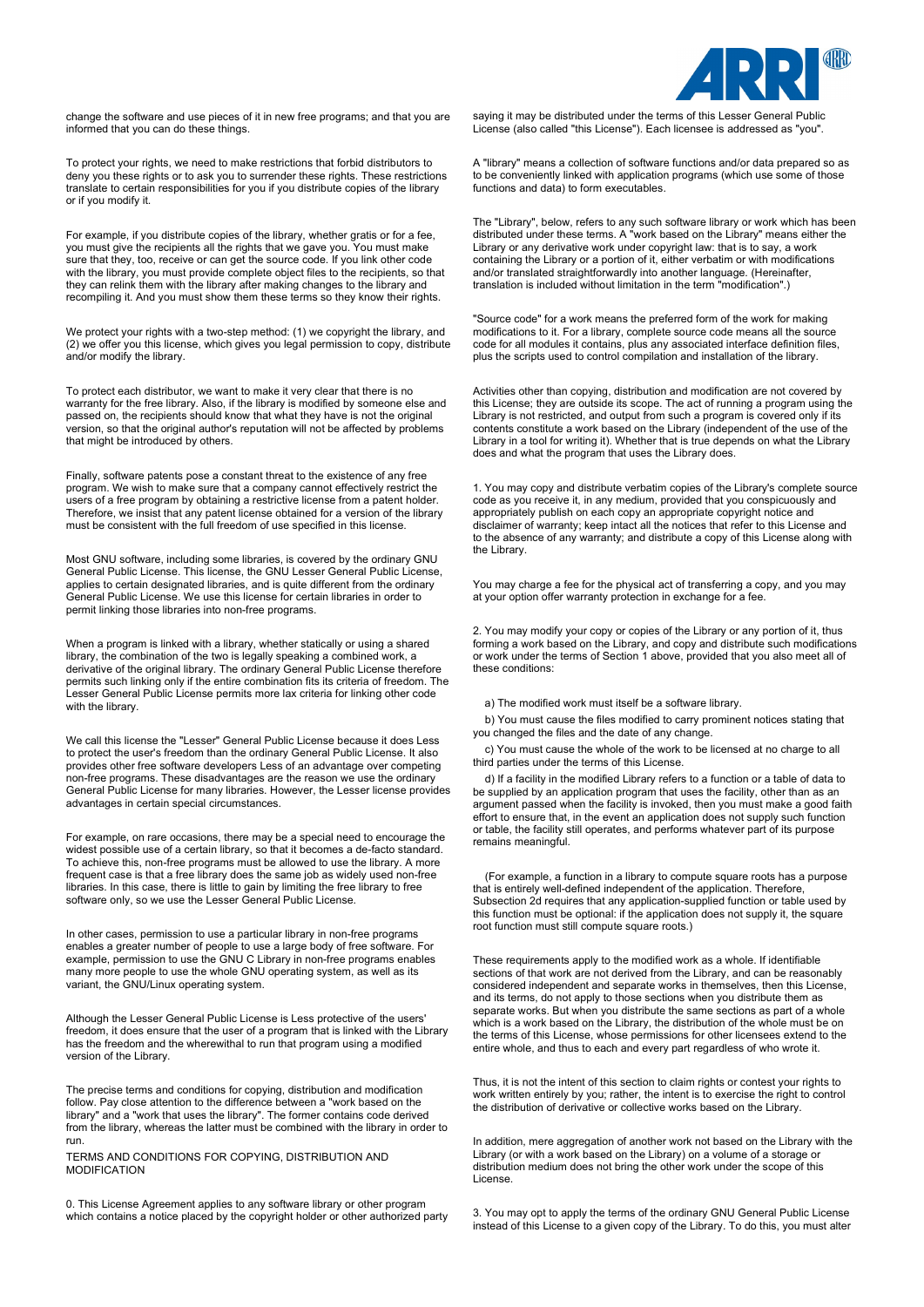

change the software and use pieces of it in new free programs; and that you are informed that you can do these things.

To protect your rights, we need to make restrictions that forbid distributors to deny you these rights or to ask you to surrender these rights. These restrictions translate to certain responsibilities for you if you distribute copies of the library or if you modify it.

For example, if you distribute copies of the library, whether gratis or for a fee, you must give the recipients all the rights that we gave you. You must make sure that they, too, receive or can get the source code. If you link other code with the library, you must provide complete object files to the recipients, so that they can relink them with the library after making changes to the library and recompiling it. And you must show them these terms so they know their rights.

We protect your rights with a two-step method: (1) we copyright the library, and (2) we offer you this license, which gives you legal permission to copy, distribute and/or modify the library.

To protect each distributor, we want to make it very clear that there is no warranty for the free library. Also, if the library is modified by someone else and passed on, the recipients should know that what they have is not the original version, so that the original author's reputation will not be affected by problems that might be introduced by others.

Finally, software patents pose a constant threat to the existence of any free program. We wish to make sure that a company cannot effectively restrict the users of a free program by obtaining a restrictive license from a patent holder. Therefore, we insist that any patent license obtained for a version of the library must be consistent with the full freedom of use specified in this license.

Most GNU software, including some libraries, is covered by the ordinary GNU General Public License. This license, the GNU Lesser General Public License, applies to certain designated libraries, and is quite different from the ordinary General Public License. We use this license for certain libraries in order to permit linking those libraries into non-free programs.

When a program is linked with a library, whether statically or using a shared library, the combination of the two is legally speaking a combined work, a derivative of the original library. The ordinary General Public License therefore permits such linking only if the entire combination fits its criteria of freedom. The Lesser General Public License permits more lax criteria for linking other code with the library.

We call this license the "Lesser" General Public License because it does Less to protect the user's freedom than the ordinary General Public License. It also provides other free software developers Less of an advantage over competing non-free programs. These disadvantages are the reason we use the ordinary General Public License for many libraries. However, the Lesser license provides advantages in certain special circumstances.

For example, on rare occasions, there may be a special need to encourage the widest possible use of a certain library, so that it becomes a de-facto standard. To achieve this, non-free programs must be allowed to use the library. A more frequent case is that a free library does the same job as widely used non-free libraries. In this case, there is little to gain by limiting the free library to free software only, so we use the Lesser General Public License.

In other cases, permission to use a particular library in non-free programs enables a greater number of people to use a large body of free software. For example, permission to use the GNU C Library in non-free programs enables many more people to use the whole GNU operating system, as well as its variant, the GNU/Linux operating system.

Although the Lesser General Public License is Less protective of the users' freedom, it does ensure that the user of a program that is linked with the Library has the freedom and the wherewithal to run that program using a modified version of the Library.

The precise terms and conditions for copying, distribution and modification follow. Pay close attention to the difference between a "work based on the library" and a "work that uses the library". The former contains code derived from the library, whereas the latter must be combined with the library in order to run.

TERMS AND CONDITIONS FOR COPYING, DISTRIBUTION AND MODIFICATION

0. This License Agreement applies to any software library or other program which contains a notice placed by the copyright holder or other authorized party saying it may be distributed under the terms of this Lesser General Public License (also called "this License"). Each licensee is addressed as "you".

A "library" means a collection of software functions and/or data prepared so as to be conveniently linked with application programs (which use some of those functions and data) to form executables.

The "Library", below, refers to any such software library or work which has been distributed under these terms. A "work based on the Library" means either the Library or any derivative work under copyright law: that is to say, a work containing the Library or a portion of it, either verbatim or with modifications and/or translated straightforwardly into another language. (Hereinafter, translation is included without limitation in the term "modification".)

"Source code" for a work means the preferred form of the work for making modifications to it. For a library, complete source code means all the source code for all modules it contains, plus any associated interface definition files, plus the scripts used to control compilation and installation of the library.

Activities other than copying, distribution and modification are not covered by this License; they are outside its scope. The act of running a program using the Library is not restricted, and output from such a program is covered only if its contents constitute a work based on the Library (independent of the use of the Library in a tool for writing it). Whether that is true depends on what the Library does and what the program that uses the Library does.

1. You may copy and distribute verbatim copies of the Library's complete source code as you receive it, in any medium, provided that you conspicuously and appropriately publish on each copy an appropriate copyright notice and disclaimer of warranty; keep intact all the notices that refer to this License and to the absence of any warranty; and distribute a copy of this License along with the Library.

You may charge a fee for the physical act of transferring a copy, and you may at your option offer warranty protection in exchange for a fee.

2. You may modify your copy or copies of the Library or any portion of it, thus forming a work based on the Library, and copy and distribute such modifications or work under the terms of Section 1 above, provided that you also meet all of these conditions:

a) The modified work must itself be a software library.

b) You must cause the files modified to carry prominent notices stating that you changed the files and the date of any change.

c) You must cause the whole of the work to be licensed at no charge to all third parties under the terms of this License.

d) If a facility in the modified Library refers to a function or a table of data to be supplied by an application program that uses the facility, other than as an argument passed when the facility is invoked, then you must make a good faith effort to ensure that, in the event an application does not supply such function or table, the facility still operates, and performs whatever part of its purpose remains meaningful.

(For example, a function in a library to compute square roots has a purpose that is entirely well-defined independent of the application. Therefore, Subsection 2d requires that any application-supplied function or table used by this function must be optional: if the application does not supply it, the square root function must still compute square roots.)

These requirements apply to the modified work as a whole. If identifiable sections of that work are not derived from the Library, and can be reasonably considered independent and separate works in themselves, then this License, and its terms, do not apply to those sections when you distribute them as separate works. But when you distribute the same sections as part of a whole which is a work based on the Library, the distribution of the whole must be on the terms of this License, whose permissions for other licensees extend to the entire whole, and thus to each and every part regardless of who wrote it.

Thus, it is not the intent of this section to claim rights or contest your rights to work written entirely by you; rather, the intent is to exercise the right to control the distribution of derivative or collective works based on the Library.

In addition, mere aggregation of another work not based on the Library with the Library (or with a work based on the Library) on a volume of a storage or distribution medium does not bring the other work under the scope of this License.

3. You may opt to apply the terms of the ordinary GNU General Public License instead of this License to a given copy of the Library. To do this, you must alter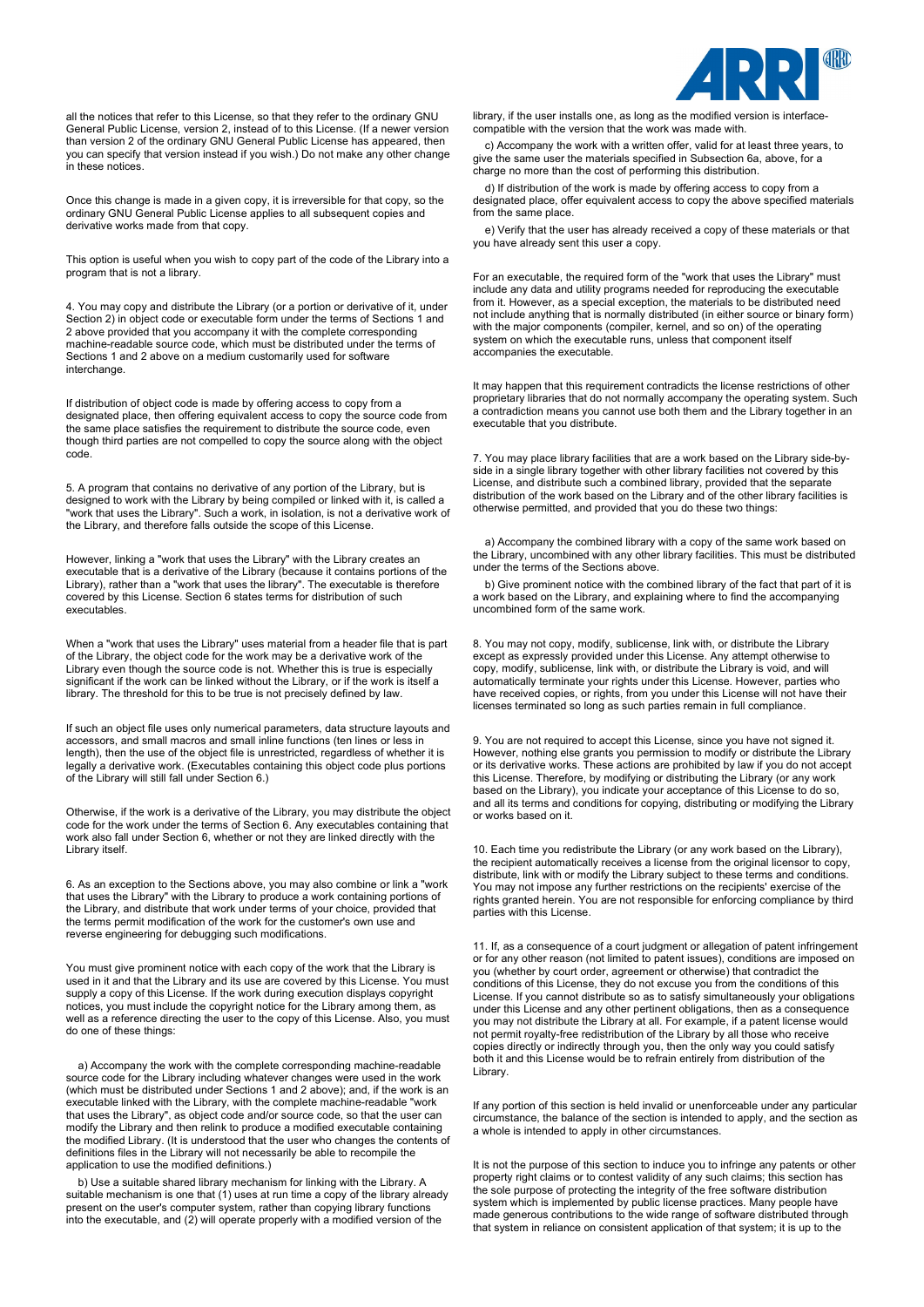

all the notices that refer to this License, so that they refer to the ordinary GNU General Public License, version 2, instead of to this License. (If a newer version than version 2 of the ordinary GNU General Public License has appeared, then you can specify that version instead if you wish.) Do not make any other change in these notices.

Once this change is made in a given copy, it is irreversible for that copy, so the ordinary GNU General Public License applies to all subsequent copies and derivative works made from that copy.

This option is useful when you wish to copy part of the code of the Library into a program that is not a library.

4. You may copy and distribute the Library (or a portion or derivative of it, under Section 2) in object code or executable form under the terms of Sections 1 and 2 above provided that you accompany it with the complete corresponding machine-readable source code, which must be distributed under the terms of Sections 1 and 2 above on a medium customarily used for software interchange.

If distribution of object code is made by offering access to copy from a designated place, then offering equivalent access to copy the source code from the same place satisfies the requirement to distribute the source code, even though third parties are not compelled to copy the source along with the object code.

5. A program that contains no derivative of any portion of the Library, but is designed to work with the Library by being compiled or linked with it, is called a "work that uses the Library". Such a work, in isolation, is not a derivative work of the Library, and therefore falls outside the scope of this License.

However, linking a "work that uses the Library" with the Library creates an executable that is a derivative of the Library (because it contains portions of the Library), rather than a "work that uses the library". The executable is therefore covered by this License. Section 6 states terms for distribution of such executables.

When a "work that uses the Library" uses material from a header file that is part of the Library, the object code for the work may be a derivative work of the Library even though the source code is not. Whether this is true is especially significant if the work can be linked without the Library, or if the work is itself a library. The threshold for this to be true is not precisely defined by law.

If such an object file uses only numerical parameters, data structure layouts and accessors, and small macros and small inline functions (ten lines or less in length), then the use of the object file is unrestricted, regardless of whether it is legally a derivative work. (Executables containing this object code plus portions of the Library will still fall under Section 6.)

Otherwise, if the work is a derivative of the Library, you may distribute the object code for the work under the terms of Section 6. Any executables containing that work also fall under Section 6, whether or not they are linked directly with the Library itself.

6. As an exception to the Sections above, you may also combine or link a "work that uses the Library" with the Library to produce a work containing portions of the Library, and distribute that work under terms of your choice, provided that the terms permit modification of the work for the customer's own use and reverse engineering for debugging such modifications.

You must give prominent notice with each copy of the work that the Library is used in it and that the Library and its use are covered by this License. You must supply a copy of this License. If the work during execution displays copyright notices, you must include the copyright notice for the Library among them, as well as a reference directing the user to the copy of this License. Also, you must do one of these things:

a) Accompany the work with the complete corresponding machine-readable source code for the Library including whatever changes were used in the work (which must be distributed under Sections 1 and 2 above); and, if the work is an executable linked with the Library, with the complete machine-readable "work that uses the Library", as object code and/or source code, so that the user can modify the Library and then relink to produce a modified executable containing the modified Library. (It is understood that the user who changes the contents of definitions files in the Library will not necessarily be able to recompile the application to use the modified definitions.)

b) Use a suitable shared library mechanism for linking with the Library. A  $s$ , suitable mechanism is one that  $(1)$  uses at run time a copy of the library already present on the user's computer system, rather than copying library functions into the executable, and (2) will operate properly with a modified version of the

library, if the user installs one, as long as the modified version is interfacecompatible with the version that the work was made with.

c) Accompany the work with a written offer, valid for at least three years, to give the same user the materials specified in Subsection 6a, above, for a charge no more than the cost of performing this distribution.

d) If distribution of the work is made by offering access to copy from a designated place, offer equivalent access to copy the above specified materials from the same place.

e) Verify that the user has already received a copy of these materials or that you have already sent this user a copy.

For an executable, the required form of the "work that uses the Library" must include any data and utility programs needed for reproducing the executable from it. However, as a special exception, the materials to be distributed need not include anything that is normally distributed (in either source or binary form) with the major components (compiler, kernel, and so on) of the operating system on which the executable runs, unless that component itself accompanies the executable.

It may happen that this requirement contradicts the license restrictions of other proprietary libraries that do not normally accompany the operating system. Such a contradiction means you cannot use both them and the Library together in an executable that you distribute.

7. You may place library facilities that are a work based on the Library side-byside in a single library together with other library facilities not covered by this License, and distribute such a combined library, provided that the separate distribution of the work based on the Library and of the other library facilities is otherwise permitted, and provided that you do these two things:

a) Accompany the combined library with a copy of the same work based on the Library, uncombined with any other library facilities. This must be distributed under the terms of the Sections above.

b) Give prominent notice with the combined library of the fact that part of it is a work based on the Library, and explaining where to find the accompanying uncombined form of the same work.

8. You may not copy, modify, sublicense, link with, or distribute the Library except as expressly provided under this License. Any attempt otherwise to copy, modify, sublicense, link with, or distribute the Library is void, and will automatically terminate your rights under this License. However, parties who have received copies, or rights, from you under this License will not have their licenses terminated so long as such parties remain in full compliance.

9. You are not required to accept this License, since you have not signed it. However, nothing else grants you permission to modify or distribute the Library or its derivative works. These actions are prohibited by law if you do not accept this License. Therefore, by modifying or distributing the Library (or any work based on the Library), you indicate your acceptance of this License to do so, and all its terms and conditions for copying, distributing or modifying the Library or works based on it.

10. Each time you redistribute the Library (or any work based on the Library), the recipient automatically receives a license from the original licensor to copy, distribute, link with or modify the Library subject to these terms and conditions. You may not impose any further restrictions on the recipients' exercise of the rights granted herein. You are not responsible for enforcing compliance by third parties with this License.

11. If, as a consequence of a court judgment or allegation of patent infringement or for any other reason (not limited to patent issues), conditions are imposed on you (whether by court order, agreement or otherwise) that contradict the conditions of this License, they do not excuse you from the conditions of this License. If you cannot distribute so as to satisfy simultaneously your obligations under this License and any other pertinent obligations, then as a consequence you may not distribute the Library at all. For example, if a patent license would not permit royalty-free redistribution of the Library by all those who receive copies directly or indirectly through you, then the only way you could satisfy both it and this License would be to refrain entirely from distribution of the Library.

If any portion of this section is held invalid or unenforceable under any particular circumstance, the balance of the section is intended to apply, and the section as a whole is intended to apply in other circumstances.

It is not the purpose of this section to induce you to infringe any patents or other property right claims or to contest validity of any such claims; this section has the sole purpose of protecting the integrity of the free software distribution system which is implemented by public license practices. Many people have made generous contributions to the wide range of software distributed through that system in reliance on consistent application of that system; it is up to the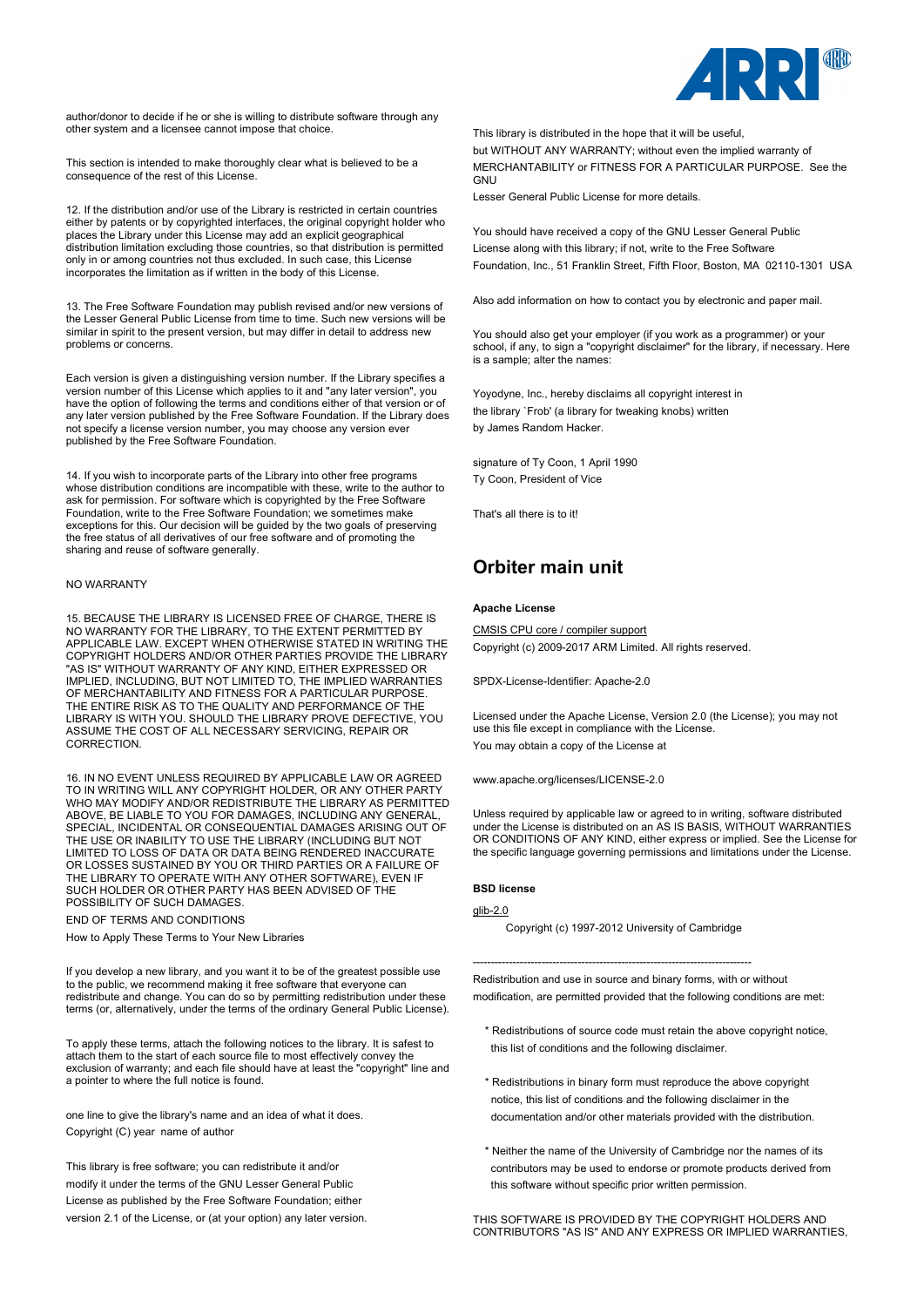

author/donor to decide if he or she is willing to distribute software through any other system and a licensee cannot impose that choice.

This section is intended to make thoroughly clear what is believed to be a consequence of the rest of this License.

12. If the distribution and/or use of the Library is restricted in certain countries either by patents or by copyrighted interfaces, the original copyright holder who places the Library under this License may add an explicit geographical distribution limitation excluding those countries, so that distribution is permitted only in or among countries not thus excluded. In such case, this License incorporates the limitation as if written in the body of this License.

13. The Free Software Foundation may publish revised and/or new versions of the Lesser General Public License from time to time. Such new versions will be similar in spirit to the present version, but may differ in detail to address new problems or concerns.

Each version is given a distinguishing version number. If the Library specifies a version number of this License which applies to it and "any later version", you have the option of following the terms and conditions either of that version or of any later version published by the Free Software Foundation. If the Library does not specify a license version number, you may choose any version ever published by the Free Software Foundation.

14. If you wish to incorporate parts of the Library into other free programs whose distribution conditions are incompatible with these, write to the author to ask for permission. For software which is copyrighted by the Free Software Foundation, write to the Free Software Foundation; we sometimes make exceptions for this. Our decision will be guided by the two goals of preserving the free status of all derivatives of our free software and of promoting the sharing and reuse of software generally.

#### NO WARRANTY

15. BECAUSE THE LIBRARY IS LICENSED FREE OF CHARGE, THERE IS NO WARRANTY FOR THE LIBRARY, TO THE EXTENT PERMITTED BY APPLICABLE LAW. EXCEPT WHEN OTHERWISE STATED IN WRITING THE COPYRIGHT HOLDERS AND/OR OTHER PARTIES PROVIDE THE LIBRARY "AS IS" WITHOUT WARRANTY OF ANY KIND, EITHER EXPRESSED OR IMPLIED, INCLUDING, BUT NOT LIMITED TO, THE IMPLIED WARRANTIES OF MERCHANTABILITY AND FITNESS FOR A PARTICULAR PURPOSE. THE ENTIRE RISK AS TO THE QUALITY AND PERFORMANCE OF THE LIBRARY IS WITH YOU. SHOULD THE LIBRARY PROVE DEFECTIVE, YOU ASSUME THE COST OF ALL NECESSARY SERVICING, REPAIR OR **CORRECTION** 

16. IN NO EVENT UNLESS REQUIRED BY APPLICABLE LAW OR AGREED TO IN WRITING WILL ANY COPYRIGHT HOLDER, OR ANY OTHER PARTY WHO MAY MODIFY AND/OR REDISTRIBUTE THE LIBRARY AS PERMITTED ABOVE, BE LIABLE TO YOU FOR DAMAGES, INCLUDING ANY GENERAL, SPECIAL, INCIDENTAL OR CONSEQUENTIAL DAMAGES ARISING OUT OF THE USE OR INABILITY TO USE THE LIBRARY (INCLUDING BUT NOT LIMITED TO LOSS OF DATA OR DATA BEING RENDERED INACCURATE OR LOSSES SUSTAINED BY YOU OR THIRD PARTIES OR A FAILURE OF THE LIBRARY TO OPERATE WITH ANY OTHER SOFTWARE), EVEN IF SUCH HOLDER OR OTHER PARTY HAS BEEN ADVISED OF THE POSSIBILITY OF SUCH DAMAGES.

#### END OF TERMS AND CONDITIONS

How to Apply These Terms to Your New Libraries

If you develop a new library, and you want it to be of the greatest possible use to the public, we recommend making it free software that everyone can redistribute and change. You can do so by permitting redistribution under these terms (or, alternatively, under the terms of the ordinary General Public License).

To apply these terms, attach the following notices to the library. It is safest to attach them to the start of each source file to most effectively convey the exclusion of warranty; and each file should have at least the "copyright" line and a pointer to where the full notice is found.

one line to give the library's name and an idea of what it does. Copyright (C) year name of author

This library is free software; you can redistribute it and/or modify it under the terms of the GNU Lesser General Public License as published by the Free Software Foundation; either version 2.1 of the License, or (at your option) any later version. This library is distributed in the hope that it will be useful, but WITHOUT ANY WARRANTY; without even the implied warranty of MERCHANTABILITY or FITNESS FOR A PARTICULAR PURPOSE. See the **GNU** 

Lesser General Public License for more details.

You should have received a copy of the GNU Lesser General Public License along with this library; if not, write to the Free Software Foundation, Inc., 51 Franklin Street, Fifth Floor, Boston, MA 02110-1301 USA

Also add information on how to contact you by electronic and paper mail.

You should also get your employer (if you work as a programmer) or your school, if any, to sign a "copyright disclaimer" for the library, if necessary. Here is a sample; alter the names:

Yoyodyne, Inc., hereby disclaims all copyright interest in the library `Frob' (a library for tweaking knobs) written by James Random Hacker.

signature of Ty Coon, 1 April 1990 Ty Coon, President of Vice

That's all there is to it!

## **Orbiter main unit**

#### **Apache License**

CMSIS CPU core / compiler support Copyright (c) 2009-2017 ARM Limited. All rights reserved.

SPDX-License-Identifier: Apache-2.0

Licensed under the Apache License, Version 2.0 (the License); you may not use this file except in compliance with the License. You may obtain a copy of the License at

www.apache.org/licenses/LICENSE-2.0

Unless required by applicable law or agreed to in writing, software distributed under the License is distributed on an AS IS BASIS, WITHOUT WARRANTIES OR CONDITIONS OF ANY KIND, either express or implied. See the License for the specific language governing permissions and limitations under the License.

#### **BSD license**

#### glib-2.0

Copyright (c) 1997-2012 University of Cambridge

----------------------------------------------------------------------------- Redistribution and use in source and binary forms, with or without modification, are permitted provided that the following conditions are met:

- \* Redistributions of source code must retain the above copyright notice, this list of conditions and the following disclaimer.
- \* Redistributions in binary form must reproduce the above copyright notice, this list of conditions and the following disclaimer in the documentation and/or other materials provided with the distribution.
- \* Neither the name of the University of Cambridge nor the names of its contributors may be used to endorse or promote products derived from this software without specific prior written permission.

THIS SOFTWARE IS PROVIDED BY THE COPYRIGHT HOLDERS AND CONTRIBUTORS "AS IS" AND ANY EXPRESS OR IMPLIED WARRANTIES,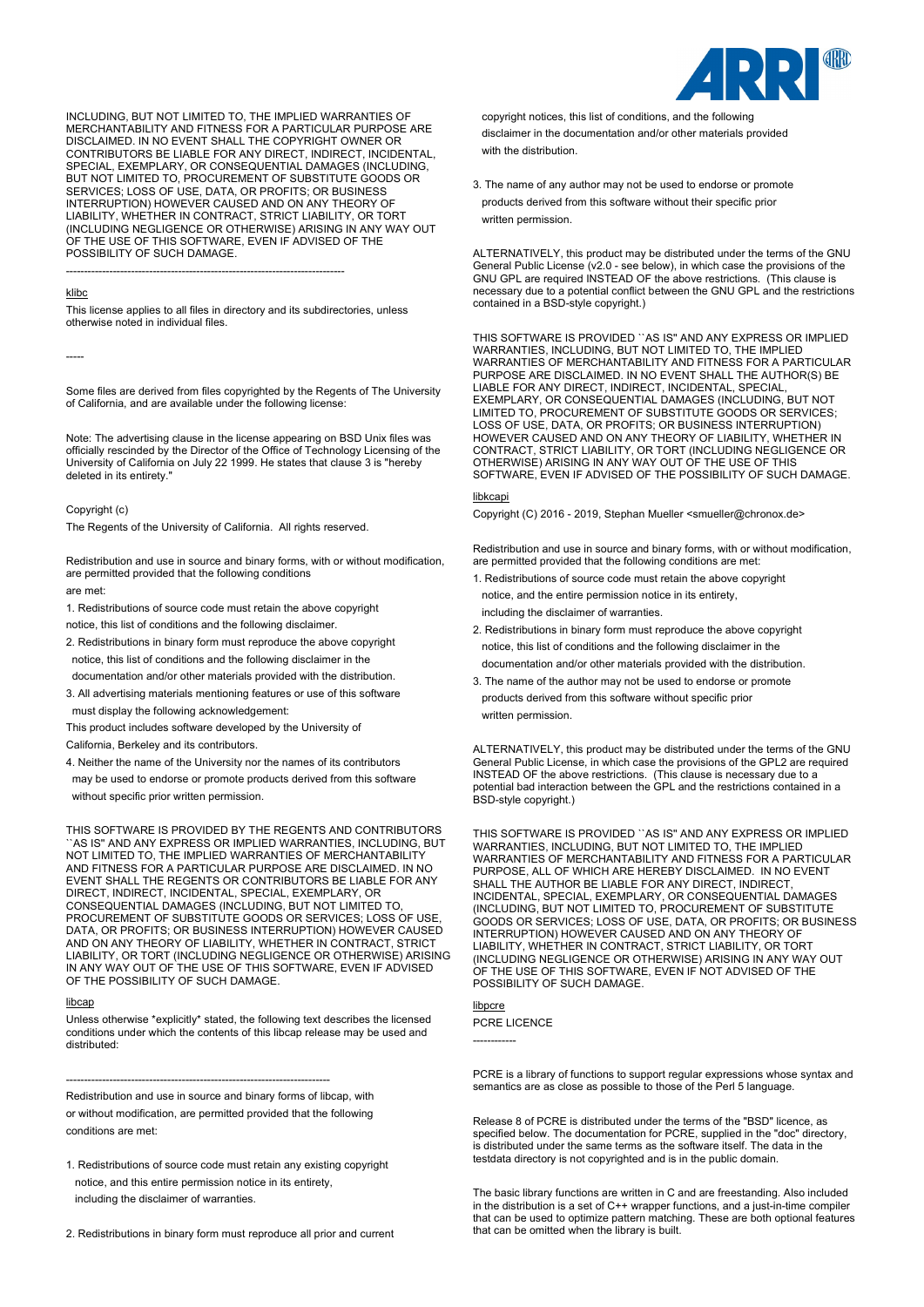

INCLUDING, BUT NOT LIMITED TO, THE IMPLIED WARRANTIES OF MERCHANTABILITY AND FITNESS FOR A PARTICULAR PURPOSE ARE DISCLAIMED. IN NO EVENT SHALL THE COPYRIGHT OWNER OR CONTRIBUTORS BE LIABLE FOR ANY DIRECT, INDIRECT, INCIDENTAL, SPECIAL, EXEMPLARY, OR CONSEQUENTIAL DAMAGES (INCLUDING, BUT NOT LIMITED TO, PROCUREMENT OF SUBSTITUTE GOODS OR SERVICES; LOSS OF USE, DATA, OR PROFITS; OR BUSINESS INTERRUPTION) HOWEVER CAUSED AND ON ANY THEORY OF LIABILITY, WHETHER IN CONTRACT, STRICT LIABILITY, OR TORT (INCLUDING NEGLIGENCE OR OTHERWISE) ARISING IN ANY WAY OUT OF THE USE OF THIS SOFTWARE, EVEN IF ADVISED OF THE POSSIBILITY OF SUCH DAMAGE.

#### klibc

This license applies to all files in directory and its subdirectories, unless otherwise noted in individual files.

-----------------------------------------------------------------------------

-----

Some files are derived from files copyrighted by the Regents of The University of California, and are available under the following license:

Note: The advertising clause in the license appearing on BSD Unix files was officially rescinded by the Director of the Office of Technology Licensing of the University of California on July 22 1999. He states that clause 3 is "hereby deleted in its entirety.

#### Copyright (c)

The Regents of the University of California. All rights reserved.

Redistribution and use in source and binary forms, with or without modification, are permitted provided that the following conditions

are met:

- 1. Redistributions of source code must retain the above copyright
- notice, this list of conditions and the following disclaimer.
- 2. Redistributions in binary form must reproduce the above copyright notice, this list of conditions and the following disclaimer in the
- documentation and/or other materials provided with the distribution. 3. All advertising materials mentioning features or use of this software
- must display the following acknowledgement:
- This product includes software developed by the University of
- California, Berkeley and its contributors.
- 4. Neither the name of the University nor the names of its contributors
- may be used to endorse or promote products derived from this software without specific prior written permission.

THIS SOFTWARE IS PROVIDED BY THE REGENTS AND CONTRIBUTORS ``AS IS'' AND ANY EXPRESS OR IMPLIED WARRANTIES, INCLUDING, BUT NOT LIMITED TO, THE IMPLIED WARRANTIES OF MERCHANTABILITY AND FITNESS FOR A PARTICULAR PURPOSE ARE DISCLAIMED. IN NO EVENT SHALL THE REGENTS OR CONTRIBUTORS BE LIABLE FOR ANY DIRECT, INDIRECT, INCIDENTAL, SPECIAL, EXEMPLARY, OR CONSEQUENTIAL DAMAGES (INCLUDING, BUT NOT LIMITED TO, PROCUREMENT OF SUBSTITUTE GOODS OR SERVICES; LOSS OF USE, DATA, OR PROFITS; OR BUSINESS INTERRUPTION) HOWEVER CAUSED AND ON ANY THEORY OF LIABILITY, WHETHER IN CONTRACT, STRICT LIABILITY, OR TORT (INCLUDING NEGLIGENCE OR OTHERWISE) ARISING IN ANY WAY OUT OF THE USE OF THIS SOFTWARE, EVEN IF ADVISED OF THE POSSIBILITY OF SUCH DAMAGE.

#### libcap

Unless otherwise \*explicitly\* stated, the following text describes the licensed conditions under which the contents of this libcap release may be used and distributed:

-------------------------------------------------------------------------

Redistribution and use in source and binary forms of libcap, with or without modification, are permitted provided that the following conditions are met:

- 1. Redistributions of source code must retain any existing copyright notice, and this entire permission notice in its entirety, including the disclaimer of warranties.
- 2. Redistributions in binary form must reproduce all prior and current

copyright notices, this list of conditions, and the following disclaimer in the documentation and/or other materials provided with the distribution.

3. The name of any author may not be used to endorse or promote products derived from this software without their specific prior written permission.

ALTERNATIVELY, this product may be distributed under the terms of the GNU General Public License (v2.0 - see below), in which case the provisions of the GNU GPL are required INSTEAD OF the above restrictions. (This clause is necessary due to a potential conflict between the GNU GPL and the restrictions contained in a BSD-style copyright.)

THIS SOFTWARE IS PROVIDED ``AS IS'' AND ANY EXPRESS OR IMPLIED WARRANTIES, INCLUDING, BUT NOT LIMITED TO, THE IMPLIED WARRANTIES OF MERCHANTABILITY AND FITNESS FOR A PARTICULAR PURPOSE ARE DISCLAIMED. IN NO EVENT SHALL THE AUTHOR(S) BE LIABLE FOR ANY DIRECT, INDIRECT, INCIDENTAL, SPECIAL, EXEMPLARY, OR CONSEQUENTIAL DAMAGES (INCLUDING, BUT NOT LIMITED TO, PROCUREMENT OF SUBSTITUTE GOODS OR SERVICES; LOSS OF USE, DATA, OR PROFITS; OR BUSINESS INTERRUPTION) HOWEVER CAUSED AND ON ANY THEORY OF LIABILITY, WHETHER IN CONTRACT, STRICT LIABILITY, OR TORT (INCLUDING NEGLIGENCE OR OTHERWISE) ARISING IN ANY WAY OUT OF THE USE OF THIS SOFTWARE, EVEN IF ADVISED OF THE POSSIBILITY OF SUCH DAMAGE.

#### libkcapi

Copyright (C) 2016 - 2019, Stephan Mueller <smueller@chronox.de>

Redistribution and use in source and binary forms, with or without modification, are permitted provided that the following conditions are met:

1. Redistributions of source code must retain the above copyright notice, and the entire permission notice in its entirety,

including the disclaimer of warranties.

- 2. Redistributions in binary form must reproduce the above copyright notice, this list of conditions and the following disclaimer in the
	- documentation and/or other materials provided with the distribution.
- 3. The name of the author may not be used to endorse or promote products derived from this software without specific prior

written permission.

ALTERNATIVELY, this product may be distributed under the terms of the GNU General Public License, in which case the provisions of the GPL2 are required INSTEAD OF the above restrictions. (This clause is necessary due to a potential bad interaction between the GPL and the restrictions contained in a BSD-style copyright.)

THIS SOFTWARE IS PROVIDED "AS IS" AND ANY EXPRESS OR IMPLIED WARRANTIES, INCLUDING, BUT NOT LIMITED TO, THE IMPLIED WARRANTIES, INSESSING, SO HIST EINITED TO, THE IIII EITH CHE WARRANTIES OF MERCHANTABILITY AND FITNESS FOR A PARTICULAR PURPOSE, ALL OF WHICH ARE HEREBY DISCLAIMED. IN NO EVENT SHALL THE AUTHOR BE LIABLE FOR ANY DIRECT, INDIRECT, INCIDENTAL, SPECIAL, EXEMPLARY, OR CONSEQUENTIAL DAMAGES (INCLUDING, BUT NOT LIMITED TO, PROCUREMENT OF SUBSTITUTE GOODS OR SERVICES; LOSS OF USE, DATA, OR PROFITS; OR BUSINESS INTERRUPTION) HOWEVER CAUSED AND ON ANY THEORY OF LIABILITY, WHETHER IN CONTRACT, STRICT LIABILITY, OR TORT (INCLUDING NEGLIGENCE OR OTHERWISE) ARISING IN ANY WAY OUT OF THE USE OF THIS SOFTWARE, EVEN IF NOT ADVISED OF THE POSSIBILITY OF SUCH DAMAGE.

libpcre PCRE LICENCE

------------

PCRE is a library of functions to support regular expressions whose syntax and semantics are as close as possible to those of the Perl 5 language.

Release 8 of PCRE is distributed under the terms of the "BSD" licence, as specified below. The documentation for PCRE, supplied in the "doc" directory, is distributed under the same terms as the software itself. The data in the testdata directory is not copyrighted and is in the public domain.

The basic library functions are written in C and are freestanding. Also included in the distribution is a set of C++ wrapper functions, and a just-in-time compiler that can be used to optimize pattern matching. These are both optional features that can be omitted when the library is built.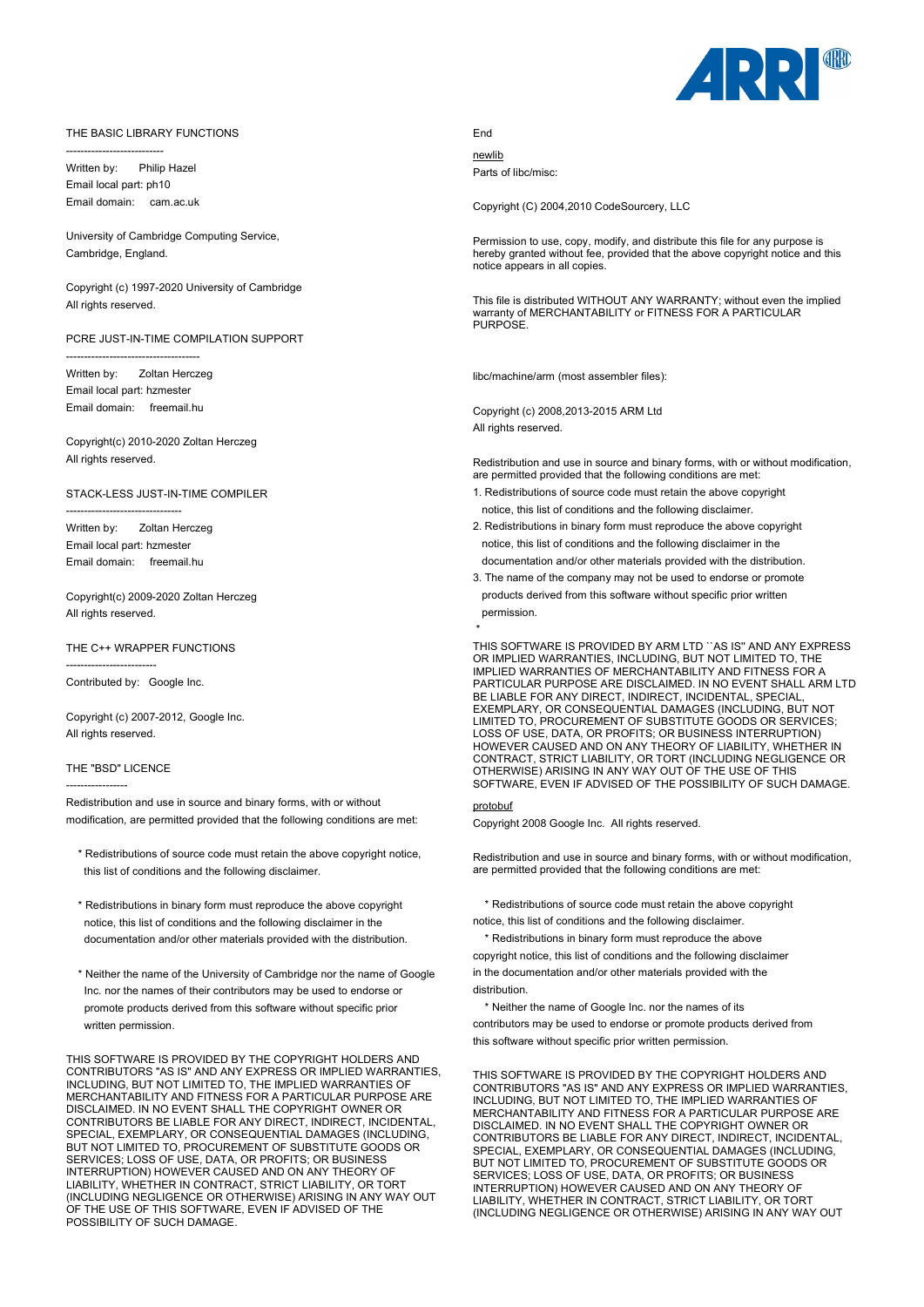

#### THE BASIC LIBRARY FUNCTIONS

--------------------------- Written by: Philip Hazel Email local part: ph10 Email domain: cam.ac.uk

University of Cambridge Computing Service, Cambridge, England.

Copyright (c) 1997-2020 University of Cambridge All rights reserved.

#### PCRE JUST-IN-TIME COMPILATION SUPPORT

------------------------------------- Written by: Zoltan Herczeg Email local part: hzmester Email domain: freemail.hu

Copyright(c) 2010-2020 Zoltan Herczeg All rights reserved.

#### STACK-LESS JUST-IN-TIME COMPILER

-------------------------------- Written by: Zoltan Herczeg Email local part: hzmester Email domain: freemail.hu

Copyright(c) 2009-2020 Zoltan Herczeg All rights reserved.

THE C++ WRAPPER FUNCTIONS

Contributed by: Google Inc.

-------------------------

Copyright (c) 2007-2012, Google Inc. All rights reserved.

#### THE "BSD" LICENCE

#### -----------------

Redistribution and use in source and binary forms, with or without modification, are permitted provided that the following conditions are met:

- \* Redistributions of source code must retain the above copyright notice, this list of conditions and the following disclaimer.
- \* Redistributions in binary form must reproduce the above copyright notice, this list of conditions and the following disclaimer in the documentation and/or other materials provided with the distribution.
- \* Neither the name of the University of Cambridge nor the name of Google Inc. nor the names of their contributors may be used to endorse or promote products derived from this software without specific prior written permission.

THIS SOFTWARE IS PROVIDED BY THE COPYRIGHT HOLDERS AND CONTRIBUTORS "AS IS" AND ANY EXPRESS OR IMPLIED WARRANTIES, INCLUDING, BUT NOT LIMITED TO, THE IMPLIED WARRANTIES OF MERCHANTABILITY AND FITNESS FOR A PARTICULAR PURPOSE ARE DISCLAIMED. IN NO EVENT SHALL THE COPYRIGHT OWNER OR CONTRIBUTORS BE LIABLE FOR ANY DIRECT, INDIRECT, INCIDENTAL, SPECIAL, EXEMPLARY, OR CONSEQUENTIAL DAMAGES (INCLUDING, BUT NOT LIMITED TO, PROCUREMENT OF SUBSTITUTE GOODS OR SERVICES; LOSS OF USE, DATA, OR PROFITS; OR BUSINESS INTERRUPTION) HOWEVER CAUSED AND ON ANY THEORY OF LIABILITY, WHETHER IN CONTRACT, STRICT LIABILITY, OR TORT (INCLUDING NEGLIGENCE OR OTHERWISE) ARISING IN ANY WAY OUT OF THE USE OF THIS SOFTWARE, EVEN IF ADVISED OF THE POSSIBILITY OF SUCH DAMAGE.

#### End

#### newlib

Parts of libc/misc:

Copyright (C) 2004,2010 CodeSourcery, LLC

Permission to use, copy, modify, and distribute this file for any purpose is hereby granted without fee, provided that the above copyright notice and this notice appears in all copies.

This file is distributed WITHOUT ANY WARRANTY; without even the implied warranty of MERCHANTABILITY or FITNESS FOR A PARTICULAR PURPOSE.

libc/machine/arm (most assembler files):

Copyright (c) 2008,2013-2015 ARM Ltd All rights reserved.

Redistribution and use in source and binary forms, with or without modification, are permitted provided that the following conditions are met:

- 1. Redistributions of source code must retain the above copyright notice, this list of conditions and the following disclaimer.
- 2. Redistributions in binary form must reproduce the above copyright notice, this list of conditions and the following disclaimer in the documentation and/or other materials provided with the distribution.
- 3. The name of the company may not be used to endorse or promote products derived from this software without specific prior written permission.

\*

THIS SOFTWARE IS PROVIDED BY ARM LTD "AS IS" AND ANY EXPRESS OR IMPLIED WARRANTIES, INCLUDING, BUT NOT LIMITED TO, THE IMPLIED WARRANTIES OF MERCHANTABILITY AND FITNESS FOR A PARTICULAR PURPOSE ARE DISCLAIMED. IN NO EVENT SHALL ARM LTD BE LIABLE FOR ANY DIRECT, INDIRECT, INCIDENTAL, SPECIAL, EXEMPLARY, OR CONSEQUENTIAL DAMAGES (INCLUDING, BUT NOT LIMITED TO, PROCUREMENT OF SUBSTITUTE GOODS OR SERVICES; LOSS OF USE, DATA, OR PROFITS; OR BUSINESS INTERRUPTION) HOWEVER CAUSED AND ON ANY THEORY OF LIABILITY, WHETHER IN CONTRACT, STRICT LIABILITY, OR TORT (INCLUDING NEGLIGENCE OR OTHERWISE) ARISING IN ANY WAY OUT OF THE USE OF THIS SOFTWARE, EVEN IF ADVISED OF THE POSSIBILITY OF SUCH DAMAGE.

#### protobuf

Copyright 2008 Google Inc. All rights reserved.

Redistribution and use in source and binary forms, with or without modification, are permitted provided that the following conditions are met:

\* Redistributions of source code must retain the above copyright notice, this list of conditions and the following disclaimer.

\* Redistributions in binary form must reproduce the above

copyright notice, this list of conditions and the following disclaimer in the documentation and/or other materials provided with the distribution.

\* Neither the name of Google Inc. nor the names of its

contributors may be used to endorse or promote products derived from this software without specific prior written permission.

THIS SOFTWARE IS PROVIDED BY THE COPYRIGHT HOLDERS AND CONTRIBUTORS "AS IS" AND ANY EXPRESS OR IMPLIED WARRANTIES, INCLUDING, BUT NOT LIMITED TO, THE IMPLIED WARRANTIES OF MERCHANTABILITY AND FITNESS FOR A PARTICULAR PURPOSE ARE DISCLAIMED. IN NO EVENT SHALL THE COPYRIGHT OWNER OR CONTRIBUTORS BE LIABLE FOR ANY DIRECT, INDIRECT, INCIDENTAL, SPECIAL, EXEMPLARY, OR CONSEQUENTIAL DAMAGES (INCLUDING, BUT NOT LIMITED TO, PROCUREMENT OF SUBSTITUTE GOODS OR SERVICES; LOSS OF USE, DATA, OR PROFITS; OR BUSINESS INTERRUPTION) HOWEVER CAUSED AND ON ANY THEORY OF LIABILITY, WHETHER IN CONTRACT, STRICT LIABILITY, OR TORT (INCLUDING NEGLIGENCE OR OTHERWISE) ARISING IN ANY WAY OUT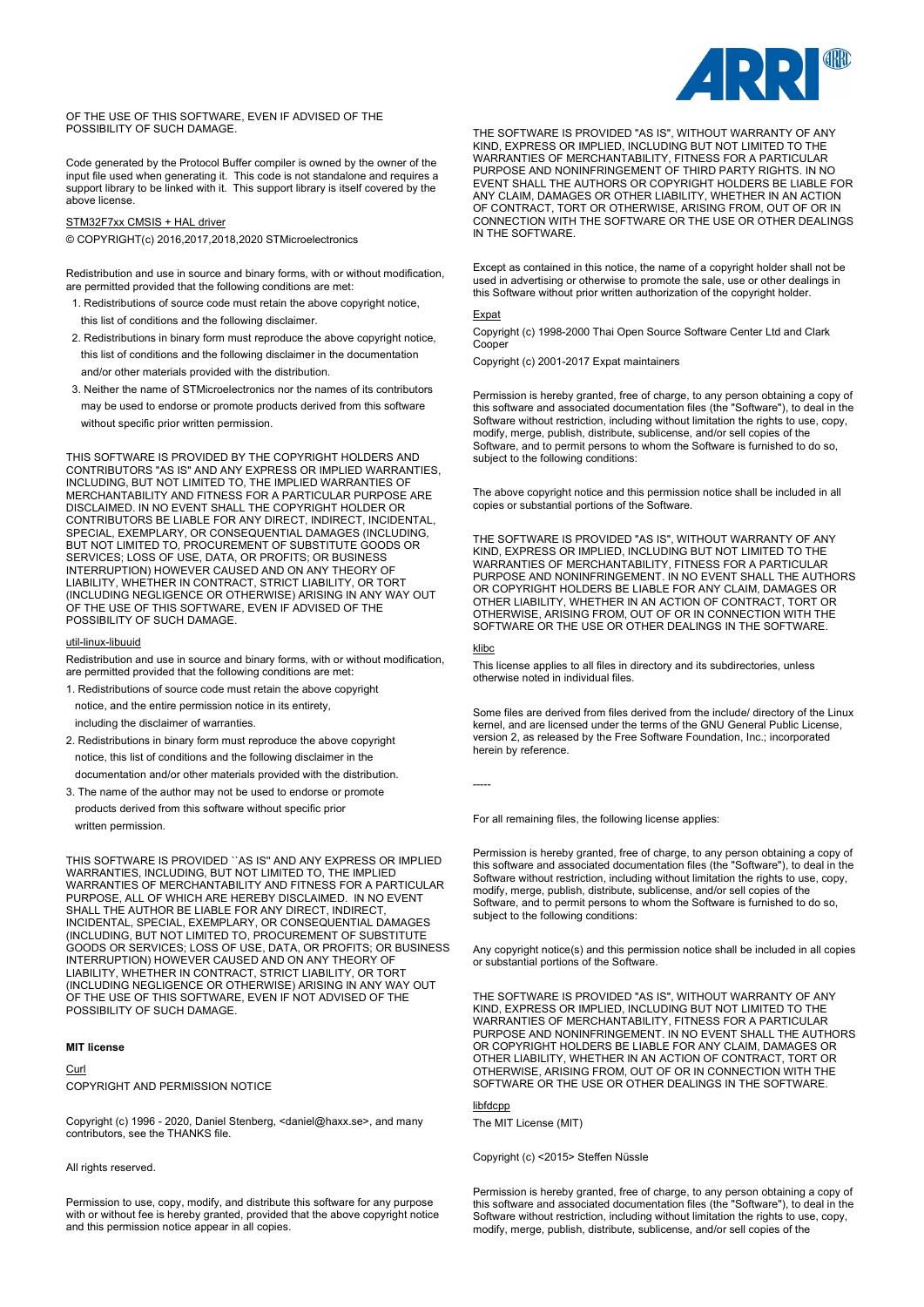

OF THE USE OF THIS SOFTWARE, EVEN IF ADVISED OF THE POSSIBILITY OF SUCH DAMAGE.

Code generated by the Protocol Buffer compiler is owned by the owner of the input file used when generating it. This code is not standalone and requires a support library to be linked with it. This support library is itself covered by the above license.

STM32F7xx CMSIS + HAL driver

© COPYRIGHT(c) 2016,2017,2018,2020 STMicroelectronics

Redistribution and use in source and binary forms, with or without modification, are permitted provided that the following conditions are met:

- 1. Redistributions of source code must retain the above copyright notice, this list of conditions and the following disclaimer.
- 2. Redistributions in binary form must reproduce the above copyright notice, this list of conditions and the following disclaimer in the documentation and/or other materials provided with the distribution.
- 3. Neither the name of STMicroelectronics nor the names of its contributors may be used to endorse or promote products derived from this software without specific prior written permission.

THIS SOFTWARE IS PROVIDED BY THE COPYRIGHT HOLDERS AND CONTRIBUTORS "AS IS" AND ANY EXPRESS OR IMPLIED WARRANTIES, INCLUDING, BUT NOT LIMITED TO, THE IMPLIED WARRANTIES OF MERCHANTABILITY AND FITNESS FOR A PARTICULAR PURPOSE ARE DISCLAIMED. IN NO EVENT SHALL THE COPYRIGHT HOLDER OR CONTRIBUTORS BE LIABLE FOR ANY DIRECT, INDIRECT, INCIDENTAL, SPECIAL, EXEMPLARY, OR CONSEQUENTIAL DAMAGES (INCLUDING, BUT NOT LIMITED TO, PROCUREMENT OF SUBSTITUTE GOODS OR SERVICES; LOSS OF USE, DATA, OR PROFITS; OR BUSINESS INTERRUPTION) HOWEVER CAUSED AND ON ANY THEORY OF LIABILITY, WHETHER IN CONTRACT, STRICT LIABILITY, OR TORT (INCLUDING NEGLIGENCE OR OTHERWISE) ARISING IN ANY WAY OUT OF THE USE OF THIS SOFTWARE, EVEN IF ADVISED OF THE POSSIBILITY OF SUCH DAMAGE.

#### util-linux-libuuid

Redistribution and use in source and binary forms, with or without modification, are permitted provided that the following conditions are met:

- 1. Redistributions of source code must retain the above copyright
- notice, and the entire permission notice in its entirety,
- including the disclaimer of warranties.
- 2. Redistributions in binary form must reproduce the above copyright notice, this list of conditions and the following disclaimer in the documentation and/or other materials provided with the distribution.
- 3. The name of the author may not be used to endorse or promote products derived from this software without specific prior

written permission.

THIS SOFTWARE IS PROVIDED ``AS IS'' AND ANY EXPRESS OR IMPLIED WARRANTIES, INCLUDING, BUT NOT LIMITED TO, THE IMPLIED WARRANTIES OF MERCHANTABILITY AND FITNESS FOR A PARTICULAR PURPOSE, ALL OF WHICH ARE HEREBY DISCLAIMED. IN NO EVENT SHALL THE AUTHOR BE LIABLE FOR ANY DIRECT, INDIRECT, INCIDENTAL, SPECIAL, EXEMPLARY, OR CONSEQUENTIAL DAMAGES (INCLUDING, BUT NOT LIMITED TO, PROCUREMENT OF SUBSTITUTE GOODS OR SERVICES; LOSS OF USE, DATA, OR PROFITS; OR BUSINESS INTERRUPTION) HOWEVER CAUSED AND ON ANY THEORY OF LIABILITY, WHETHER IN CONTRACT, STRICT LIABILITY, OR TORT (INCLUDING NEGLIGENCE OR OTHERWISE) ARISING IN ANY WAY OUT OF THE USE OF THIS SOFTWARE, EVEN IF NOT ADVISED OF THE POSSIBILITY OF SUCH DAMAGE.

#### **MIT license**

#### Curl

COPYRIGHT AND PERMISSION NOTICE

Copyright (c) 1996 - 2020, Daniel Stenberg, <daniel@haxx.se>, and many contributors, see the THANKS file.

#### All rights reserved.

Permission to use, copy, modify, and distribute this software for any purpose with or without fee is hereby granted, provided that the above copyright notice and this permission notice appear in all copies.

THE SOFTWARE IS PROVIDED "AS IS", WITHOUT WARRANTY OF ANY KIND, EXPRESS OR IMPLIED, INCLUDING BUT NOT LIMITED TO THE WARRANTIES OF MERCHANTABILITY, FITNESS FOR A PARTICULAR PURPOSE AND NONINFRINGEMENT OF THIRD PARTY RIGHTS. IN NO EVENT SHALL THE AUTHORS OR COPYRIGHT HOLDERS BE LIABLE FOR ANY CLAIM, DAMAGES OR OTHER LIABILITY, WHETHER IN AN ACTION OF CONTRACT, TORT OR OTHERWISE, ARISING FROM, OUT OF OR IN CONNECTION WITH THE SOFTWARE OR THE USE OR OTHER DEALINGS IN THE SOFTWARE.

Except as contained in this notice, the name of a copyright holder shall not be used in advertising or otherwise to promote the sale, use or other dealings in this Software without prior written authorization of the copyright holder.

#### Expat

Copyright (c) 1998-2000 Thai Open Source Software Center Ltd and Clark Cooper

Copyright (c) 2001-2017 Expat maintainers

Permission is hereby granted, free of charge, to any person obtaining a copy of this software and associated documentation files (the "Software"), to deal in the Software without restriction, including without limitation the rights to use, copy, modify, merge, publish, distribute, sublicense, and/or sell copies of the Software, and to permit persons to whom the Software is furnished to do so, subject to the following conditions:

The above copyright notice and this permission notice shall be included in all copies or substantial portions of the Software.

THE SOFTWARE IS PROVIDED "AS IS", WITHOUT WARRANTY OF ANY KIND, EXPRESS OR IMPLIED, INCLUDING BUT NOT LIMITED TO THE WARRANTIES OF MERCHANTABILITY, FITNESS FOR A PARTICULAR PURPOSE AND NONINFRINGEMENT. IN NO EVENT SHALL THE AUTHORS OR COPYRIGHT HOLDERS BE LIABLE FOR ANY CLAIM, DAMAGES OR OTHER LIABILITY, WHETHER IN AN ACTION OF CONTRACT, TORT OR OTHERWISE, ARISING FROM, OUT OF OR IN CONNECTION WITH THE SOFTWARE OR THE USE OR OTHER DEALINGS IN THE SOFTWARE.

#### klibc

-----

This license applies to all files in directory and its subdirectories, unless otherwise noted in individual files.

Some files are derived from files derived from the include/ directory of the Linux kernel, and are licensed under the terms of the GNU General Public License version 2, as released by the Free Software Foundation, Inc.; incorporated herein by reference.

For all remaining files, the following license applies:

Permission is hereby granted, free of charge, to any person obtaining a copy of this software and associated documentation files (the "Software"), to deal in the Software without restriction, including without limitation the rights to use, copy, modify, merge, publish, distribute, sublicense, and/or sell copies of the Software, and to permit persons to whom the Software is furnished to do so, subject to the following conditions:

Any copyright notice(s) and this permission notice shall be included in all copies or substantial portions of the Software.

THE SOFTWARE IS PROVIDED "AS IS", WITHOUT WARRANTY OF ANY KIND, EXPRESS OR IMPLIED, INCLUDING BUT NOT LIMITED TO THE WARRANTIES OF MERCHANTABILITY, FITNESS FOR A PARTICULAR PURPOSE AND NONINFRINGEMENT. IN NO EVENT SHALL THE AUTHORS OR COPYRIGHT HOLDERS BE LIABLE FOR ANY CLAIM, DAMAGES OR OTHER LIABILITY, WHETHER IN AN ACTION OF CONTRACT, TORT OR OTHERWISE, ARISING FROM, OUT OF OR IN CONNECTION WITH THE SOFTWARE OR THE USE OR OTHER DEALINGS IN THE SOFTWARE.

#### libfdcpp

The MIT License (MIT)

Copyright (c) <2015> Steffen Nüssle

Permission is hereby granted, free of charge, to any person obtaining a copy of this software and associated documentation files (the "Software"), to deal in the Software without restriction, including without limitation the rights to use, copy, modify, merge, publish, distribute, sublicense, and/or sell copies of the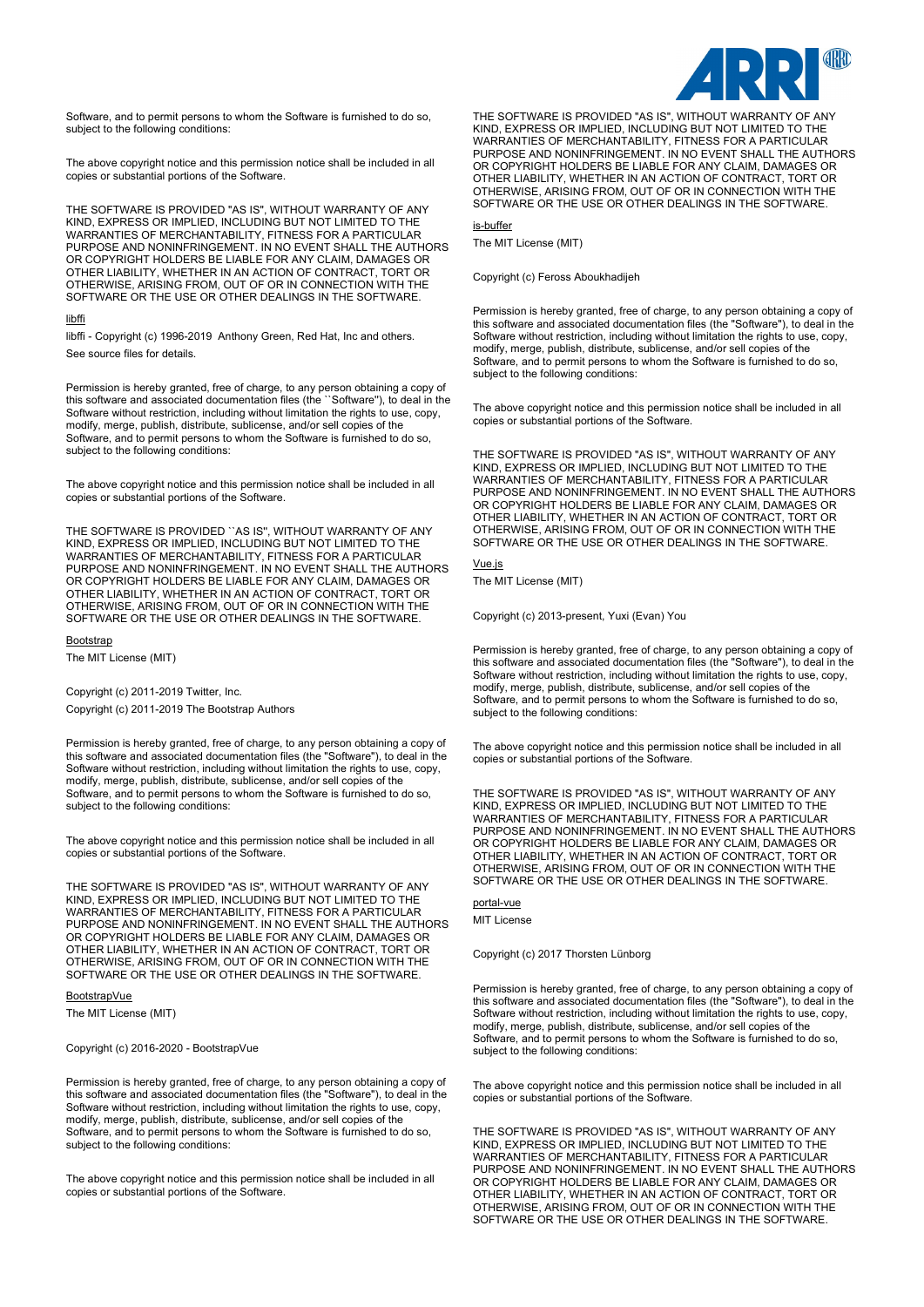

Software, and to permit persons to whom the Software is furnished to do so, subject to the following conditions:

The above copyright notice and this permission notice shall be included in all copies or substantial portions of the Software.

THE SOFTWARE IS PROVIDED "AS IS", WITHOUT WARRANTY OF ANY KIND, EXPRESS OR IMPLIED, INCLUDING BUT NOT LIMITED TO THE WARRANTIES OF MERCHANTABILITY, FITNESS FOR A PARTICULAR PURPOSE AND NONINFRINGEMENT. IN NO EVENT SHALL THE AUTHORS OR COPYRIGHT HOLDERS BE LIABLE FOR ANY CLAIM, DAMAGES OR OTHER LIABILITY, WHETHER IN AN ACTION OF CONTRACT, TORT OR OTHERWISE, ARISING FROM, OUT OF OR IN CONNECTION WITH THE SOFTWARE OR THE USE OR OTHER DEALINGS IN THE SOFTWARE.

#### libffi

libffi - Copyright (c) 1996-2019 Anthony Green, Red Hat, Inc and others. See source files for details.

Permission is hereby granted, free of charge, to any person obtaining a copy of this software and associated documentation files (the ``Software''), to deal in the Software without restriction, including without limitation the rights to use, copy, modify, merge, publish, distribute, sublicense, and/or sell copies of the Software, and to permit persons to whom the Software is furnished to do so, subject to the following conditions:

The above copyright notice and this permission notice shall be included in all copies or substantial portions of the Software.

THE SOFTWARE IS PROVIDED ``AS IS'', WITHOUT WARRANTY OF ANY KIND, EXPRESS OR IMPLIED, INCLUDING BUT NOT LIMITED TO THE WARRANTIES OF MERCHANTABILITY, FITNESS FOR A PARTICULAR PURPOSE AND NONINFRINGEMENT. IN NO EVENT SHALL THE AUTHORS OR COPYRIGHT HOLDERS BE LIABLE FOR ANY CLAIM, DAMAGES OR OTHER LIABILITY, WHETHER IN AN ACTION OF CONTRACT, TORT OR OTHERWISE, ARISING FROM, OUT OF OR IN CONNECTION WITH THE SOFTWARE OR THE USE OR OTHER DEALINGS IN THE SOFTWARE.

#### Bootstrap

The MIT License (MIT)

Copyright (c) 2011-2019 Twitter, Inc. Copyright (c) 2011-2019 The Bootstrap Authors

Permission is hereby granted, free of charge, to any person obtaining a copy of this software and associated documentation files (the "Software"), to deal in the Software without restriction, including without limitation the rights to use, copy, modify, merge, publish, distribute, sublicense, and/or sell copies of the Software, and to permit persons to whom the Software is furnished to do so, subject to the following conditions:

The above copyright notice and this permission notice shall be included in all copies or substantial portions of the Software.

THE SOFTWARE IS PROVIDED "AS IS", WITHOUT WARRANTY OF ANY KIND, EXPRESS OR IMPLIED, INCLUDING BUT NOT LIMITED TO THE WARRANTIES OF MERCHANTABILITY, FITNESS FOR A PARTICULAR PURPOSE AND NONINFRINGEMENT. IN NO EVENT SHALL THE AUTHORS OR COPYRIGHT HOLDERS BE LIABLE FOR ANY CLAIM, DAMAGES OR OTHER LIABILITY, WHETHER IN AN ACTION OF CONTRACT, TORT OR OTHERWISE, ARISING FROM, OUT OF OR IN CONNECTION WITH THE SOFTWARE OR THE USE OR OTHER DEALINGS IN THE SOFTWARE.

#### BootstrapVue

The MIT License (MIT)

Copyright (c) 2016-2020 - BootstrapVue

Permission is hereby granted, free of charge, to any person obtaining a copy of this software and associated documentation files (the "Software"), to deal in the Software without restriction, including without limitation the rights to use, copy, modify, merge, publish, distribute, sublicense, and/or sell copies of the Software, and to permit persons to whom the Software is furnished to do so, subject to the following conditions:

The above copyright notice and this permission notice shall be included in all copies or substantial portions of the Software.

THE SOFTWARE IS PROVIDED "AS IS", WITHOUT WARRANTY OF ANY KIND, EXPRESS OR IMPLIED, INCLUDING BUT NOT LIMITED TO THE WARRANTIES OF MERCHANTABILITY, FITNESS FOR A PARTICULAR PURPOSE AND NONINFRINGEMENT. IN NO EVENT SHALL THE AUTHORS OR COPYRIGHT HOLDERS BE LIABLE FOR ANY CLAIM, DAMAGES OR OTHER LIABILITY, WHETHER IN AN ACTION OF CONTRACT, TORT OR OTHERWISE, ARISING FROM, OUT OF OR IN CONNECTION WITH THE SOFTWARE OR THE USE OR OTHER DEALINGS IN THE SOFTWARE.

is-buffer

The MIT License (MIT)

Copyright (c) Feross Aboukhadijeh

Permission is hereby granted, free of charge, to any person obtaining a copy of this software and associated documentation files (the "Software"), to deal in the Software without restriction, including without limitation the rights to use, copy, modify, merge, publish, distribute, sublicense, and/or sell copies of the Software, and to permit persons to whom the Software is furnished to do so, subject to the following conditions:

The above copyright notice and this permission notice shall be included in all copies or substantial portions of the Software.

THE SOFTWARE IS PROVIDED "AS IS", WITHOUT WARRANTY OF ANY KIND, EXPRESS OR IMPLIED, INCLUDING BUT NOT LIMITED TO THE WARRANTIES OF MERCHANTABILITY, FITNESS FOR A PARTICULAR PURPOSE AND NONINFRINGEMENT. IN NO EVENT SHALL THE AUTHORS OR COPYRIGHT HOLDERS BE LIABLE FOR ANY CLAIM, DAMAGES OR OTHER LIABILITY, WHETHER IN AN ACTION OF CONTRACT, TORT OR OTHERWISE, ARISING FROM, OUT OF OR IN CONNECTION WITH THE SOFTWARE OR THE USE OR OTHER DEALINGS IN THE SOFTWARE.

#### Vue.js The MIT License (MIT)

Copyright (c) 2013-present, Yuxi (Evan) You

Permission is hereby granted, free of charge, to any person obtaining a copy of this software and associated documentation files (the "Software"), to deal in the Software without restriction, including without limitation the rights to use, copy, modify, merge, publish, distribute, sublicense, and/or sell copies of the Software, and to permit persons to whom the Software is furnished to do so, subject to the following conditions:

The above copyright notice and this permission notice shall be included in all copies or substantial portions of the Software.

THE SOFTWARE IS PROVIDED "AS IS", WITHOUT WARRANTY OF ANY KIND, EXPRESS OR IMPLIED, INCLUDING BUT NOT LIMITED TO THE WARRANTIES OF MERCHANTABILITY, FITNESS FOR A PARTICULAR PURPOSE AND NONINFRINGEMENT. IN NO EVENT SHALL THE AUTHORS OR COPYRIGHT HOLDERS BE LIABLE FOR ANY CLAIM, DAMAGES OR OTHER LIABILITY, WHETHER IN AN ACTION OF CONTRACT, TORT OR OTHERWISE, ARISING FROM, OUT OF OR IN CONNECTION WITH THE SOFTWARE OR THE USE OR OTHER DEALINGS IN THE SOFTWARE.

portal-vue MIT License

Copyright (c) 2017 Thorsten Lünborg

Permission is hereby granted, free of charge, to any person obtaining a copy of this software and associated documentation files (the "Software"), to deal in the Software without restriction, including without limitation the rights to use, copy, modify, merge, publish, distribute, sublicense, and/or sell copies of the Software, and to permit persons to whom the Software is furnished to do so, subject to the following conditions:

The above copyright notice and this permission notice shall be included in all copies or substantial portions of the Software.

THE SOFTWARE IS PROVIDED "AS IS", WITHOUT WARRANTY OF ANY KIND, EXPRESS OR IMPLIED, INCLUDING BUT NOT LIMITED TO THE WARRANTIES OF MERCHANTABILITY, FITNESS FOR A PARTICULAR PURPOSE AND NONINFRINGEMENT. IN NO EVENT SHALL THE AUTHORS OR COPYRIGHT HOLDERS BE LIABLE FOR ANY CLAIM, DAMAGES OR OTHER LIABILITY, WHETHER IN AN ACTION OF CONTRACT, TORT OR OTHERWISE, ARISING FROM, OUT OF OR IN CONNECTION WITH THE SOFTWARE OR THE USE OR OTHER DEALINGS IN THE SOFTWARE.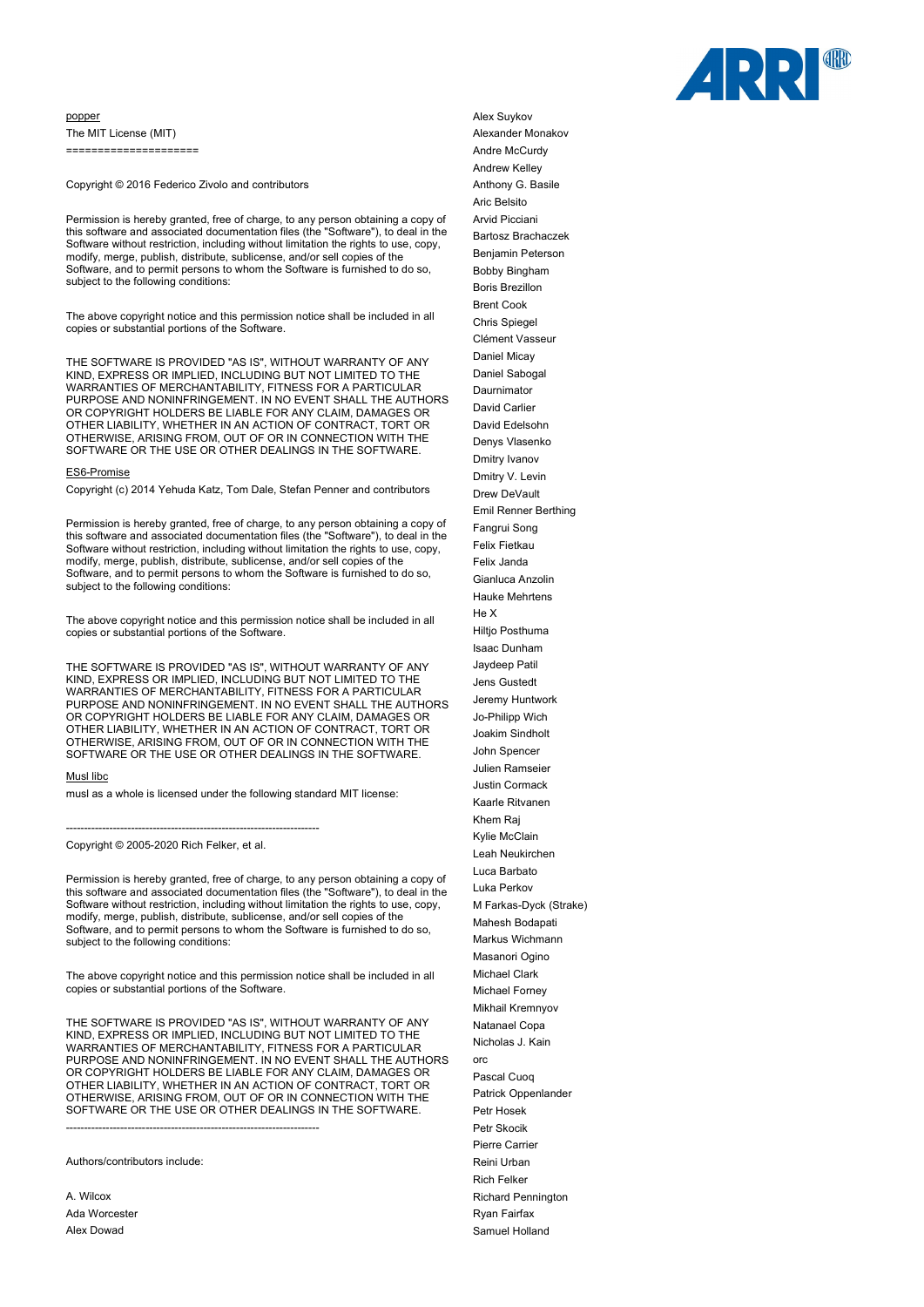

popper The MIT License (MIT) =====================

Copyright © 2016 Federico Zivolo and contributors

Permission is hereby granted, free of charge, to any person obtaining a copy of this software and associated documentation files (the "Software"), to deal in the Software without restriction, including without limitation the rights to use, copy, modify, merge, publish, distribute, sublicense, and/or sell copies of the Software, and to permit persons to whom the Software is furnished to do so, subject to the following conditions:

The above copyright notice and this permission notice shall be included in all copies or substantial portions of the Software.

THE SOFTWARE IS PROVIDED "AS IS", WITHOUT WARRANTY OF ANY KIND, EXPRESS OR IMPLIED, INCLUDING BUT NOT LIMITED TO THE WARRANTIES OF MERCHANTABILITY, FITNESS FOR A PARTICULAR PURPOSE AND NONINFRINGEMENT. IN NO EVENT SHALL THE AUTHORS OR COPYRIGHT HOLDERS BE LIABLE FOR ANY CLAIM, DAMAGES OR OTHER LIABILITY, WHETHER IN AN ACTION OF CONTRACT, TORT OR OTHERWISE, ARISING FROM, OUT OF OR IN CONNECTION WITH THE SOFTWARE OR THE USE OR OTHER DEALINGS IN THE SOFTWARE.

#### ES6-Promise

Copyright (c) 2014 Yehuda Katz, Tom Dale, Stefan Penner and contributors

Permission is hereby granted, free of charge, to any person obtaining a copy of this software and associated documentation files (the "Software"), to deal in the Software without restriction, including without limitation the rights to use, copy, modify, merge, publish, distribute, sublicense, and/or sell copies of the Software, and to permit persons to whom the Software is furnished to do so, subject to the following conditions:

The above copyright notice and this permission notice shall be included in all copies or substantial portions of the Software.

THE SOFTWARE IS PROVIDED "AS IS", WITHOUT WARRANTY OF ANY KIND, EXPRESS OR IMPLIED, INCLUDING BUT NOT LIMITED TO THE WARRANTIES OF MERCHANTABILITY, FITNESS FOR A PARTICULAR PURPOSE AND NONINFRINGEMENT. IN NO EVENT SHALL THE AUTHORS OR COPYRIGHT HOLDERS BE LIABLE FOR ANY CLAIM, DAMAGES OR OTHER LIABILITY, WHETHER IN AN ACTION OF CONTRACT, TORT OR OTHERWISE, ARISING FROM, OUT OF OR IN CONNECTION WITH THE SOFTWARE OR THE USE OR OTHER DEALINGS IN THE SOFTWARE.

#### Musl libc

musl as a whole is licensed under the following standard MIT license:

Copyright © 2005-2020 Rich Felker, et al.

----------------------------------------------------------------------

----------------------------------------------------------------------

Permission is hereby granted, free of charge, to any person obtaining a copy of this software and associated documentation files (the "Software"), to deal in the Software without restriction, including without limitation the rights to use, copy, modify, merge, publish, distribute, sublicense, and/or sell copies of the Software, and to permit persons to whom the Software is furnished to do so, subject to the following conditions:

The above copyright notice and this permission notice shall be included in all copies or substantial portions of the Software.

THE SOFTWARE IS PROVIDED "AS IS", WITHOUT WARRANTY OF ANY KIND, EXPRESS OR IMPLIED, INCLUDING BUT NOT LIMITED TO THE WARRANTIES OF MERCHANTABILITY, FITNESS FOR A PARTICULAR PURPOSE AND NONINFRINGEMENT. IN NO EVENT SHALL THE AUTHORS OR COPYRIGHT HOLDERS BE LIABLE FOR ANY CLAIM, DAMAGES OR OTHER LIABILITY, WHETHER IN AN ACTION OF CONTRACT, TORT OR OTHERWISE, ARISING FROM, OUT OF OR IN CONNECTION WITH THE SOFTWARE OR THE USE OR OTHER DEALINGS IN THE SOFTWARE.

Authors/contributors include:

A. Wilcox Ada Worcester Alex Dowad

Alex Suykov Alexander Monakov Andre McCurdy Andrew Kelley Anthony G. Basile Aric Belsito Arvid Picciani Bartosz Brachaczek Benjamin Peterson Bobby Bingham Boris Brezillon Brent Cook Chris Spiegel Clément Vasseur Daniel Micay Daniel Sabogal **Daurnimator** David Carlier David Edelsohn Denys Vlasenko Dmitry Ivanov Dmitry V. Levin Drew DeVault Emil Renner Berthing Fangrui Song Felix Fietkau Felix Janda Gianluca Anzolin Hauke Mehrtens He X Hiltjo Posthuma Isaac Dunham Jaydeep Patil Jens Gustedt Jeremy Huntwork Jo-Philipp Wich Joakim Sindholt John Spencer Julien Ramseier Justin Cormack Kaarle Ritvanen Khem Raj Kylie McClain Leah Neukirchen Luca Barbato Luka Perkov M Farkas-Dyck (Strake) Mahesh Bodapati Markus Wichmann Masanori Ogino Michael Clark Michael Forney Mikhail Kremnyov Natanael Copa Nicholas J. Kain orc Pascal Cuoq Patrick Oppenlander Petr Hosek Petr Skocik Pierre Carrier Reini Urban Rich Felker Richard Pennington Ryan Fairfax Samuel Holland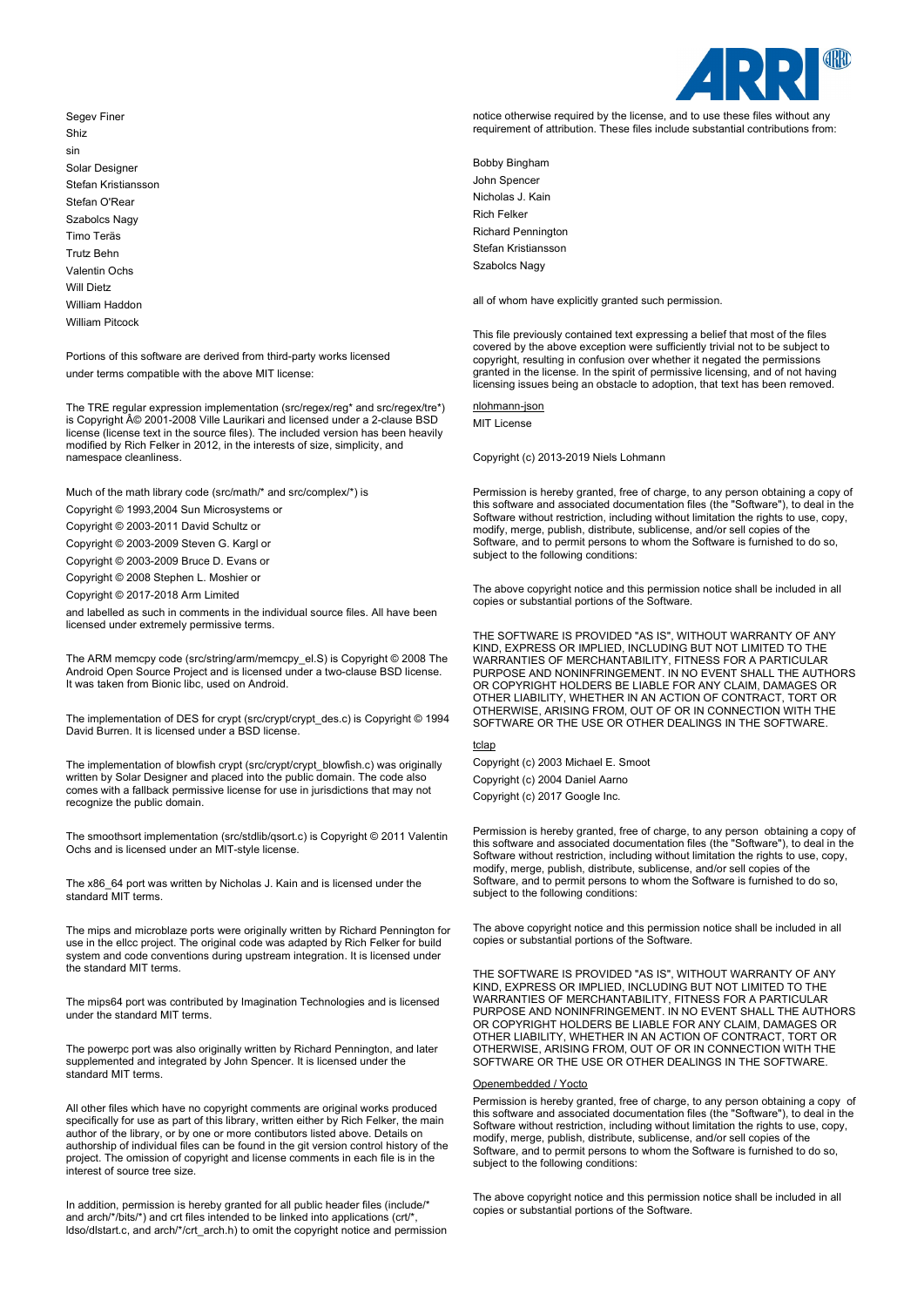

Segev Finer Shiz sin Solar Designer Stefan Kristiansson Stefan O'Rear Szabolcs Nagy Timo Teräs Trutz Behn Valentin Ochs Will Dietz William Haddon William Pitcock

Portions of this software are derived from third-party works licensed under terms compatible with the above MIT license:

The TRE regular expression implementation (src/regex/reg\* and src/regex/tre\*) is Copyright  $\widehat{A}$  2001-2008 Ville Laurikari and licensed under a 2-clause BSD license (license text in the source files). The included version has been heavily modified by Rich Felker in 2012, in the interests of size, simplicity, and namespace cleanliness.

Much of the math library code (src/math/\* and src/complex/\*) is

Copyright © 1993,2004 Sun Microsystems or

Copyright © 2003-2011 David Schultz or

Copyright © 2003-2009 Steven G. Kargl or

Copyright © 2003-2009 Bruce D. Evans or

Copyright © 2008 Stephen L. Moshier or

Copyright © 2017-2018 Arm Limited

and labelled as such in comments in the individual source files. All have been licensed under extremely permissive terms.

The ARM memcpy code (src/string/arm/memcpy\_el.S) is Copyright © 2008 The Android Open Source Project and is licensed under a two-clause BSD license. It was taken from Bionic libc, used on Android.

The implementation of DES for crypt (src/crypt/crypt\_des.c) is Copyright © 1994 David Burren. It is licensed under a BSD license.

The implementation of blowfish crypt (src/crypt/crypt\_blowfish.c) was originally written by Solar Designer and placed into the public domain. The code also comes with a fallback permissive license for use in jurisdictions that may not recognize the public domain.

The smoothsort implementation (src/stdlib/qsort.c) is Copyright © 2011 Valentin Ochs and is licensed under an MIT-style license.

The x86\_64 port was written by Nicholas J. Kain and is licensed under the standard MIT terms.

The mips and microblaze ports were originally written by Richard Pennington for use in the ellcc project. The original code was adapted by Rich Felker for build system and code conventions during upstream integration. It is licensed under the standard MIT terms.

The mips64 port was contributed by Imagination Technologies and is licensed under the standard MIT terms.

The powerpc port was also originally written by Richard Pennington, and later supplemented and integrated by John Spencer. It is licensed under the standard MIT terms.

All other files which have no copyright comments are original works produced specifically for use as part of this library, written either by Rich Felker, the main author of the library, or by one or more contibutors listed above. Details on authorship of individual files can be found in the git version control history of the project. The omission of copyright and license comments in each file is in the interest of source tree size.

In addition, permission is hereby granted for all public header files (include/\* and arch/\*/bits/\*) and crt files intended to be linked into applications (crt/\* ldso/dlstart.c, and arch/\*/crt\_arch.h) to omit the copyright notice and permission notice otherwise required by the license, and to use these files without any requirement of attribution. These files include substantial contributions from:

Bobby Bingham John Spencer Nicholas J. Kain Rich Felker Richard Pennington Stefan Kristiansson Szabolcs Nagy

all of whom have explicitly granted such permission.

This file previously contained text expressing a belief that most of the files covered by the above exception were sufficiently trivial not to be subject to copyright, resulting in confusion over whether it negated the permissions granted in the license. In the spirit of permissive licensing, and of not having licensing issues being an obstacle to adoption, that text has been removed.

nlohmann-json MIT License

Copyright (c) 2013-2019 Niels Lohmann

Permission is hereby granted, free of charge, to any person obtaining a copy of this software and associated documentation files (the "Software"), to deal in the Software without restriction, including without limitation the rights to use, copy, modify, merge, publish, distribute, sublicense, and/or sell copies of the Software, and to permit persons to whom the Software is furnished to do so, subject to the following conditions:

The above copyright notice and this permission notice shall be included in all copies or substantial portions of the Software.

THE SOFTWARE IS PROVIDED "AS IS", WITHOUT WARRANTY OF ANY KIND, EXPRESS OR IMPLIED, INCLUDING BUT NOT LIMITED TO THE WARRANTIES OF MERCHANTABILITY, FITNESS FOR A PARTICULAR PURPOSE AND NONINFRINGEMENT. IN NO EVENT SHALL THE AUTHORS OR COPYRIGHT HOLDERS BE LIABLE FOR ANY CLAIM, DAMAGES OR OTHER LIABILITY, WHETHER IN AN ACTION OF CONTRACT, TORT OR OTHERWISE, ARISING FROM, OUT OF OR IN CONNECTION WITH THE SOFTWARE OR THE USE OR OTHER DEALINGS IN THE SOFTWARE.

#### tclap

Copyright (c) 2003 Michael E. Smoot

Copyright (c) 2004 Daniel Aarno

Copyright (c) 2017 Google Inc.

Permission is hereby granted, free of charge, to any person obtaining a copy of this software and associated documentation files (the "Software"), to deal in the Software without restriction, including without limitation the rights to use, copy, modify, merge, publish, distribute, sublicense, and/or sell copies of the Software, and to permit persons to whom the Software is furnished to do so, subject to the following conditions:

The above copyright notice and this permission notice shall be included in all copies or substantial portions of the Software.

THE SOFTWARE IS PROVIDED "AS IS", WITHOUT WARRANTY OF ANY KIND, EXPRESS OR IMPLIED, INCLUDING BUT NOT LIMITED TO THE WARRANTIES OF MERCHANTABILITY, FITNESS FOR A PARTICULAR PURPOSE AND NONINFRINGEMENT. IN NO EVENT SHALL THE AUTHORS OR COPYRIGHT HOLDERS BE LIABLE FOR ANY CLAIM, DAMAGES OR OTHER LIABILITY, WHETHER IN AN ACTION OF CONTRACT, TORT OR OTHERWISE, ARISING FROM, OUT OF OR IN CONNECTION WITH THE SOFTWARE OR THE USE OR OTHER DEALINGS IN THE SOFTWARE.

#### Openembedded / Yocto

Permission is hereby granted, free of charge, to any person obtaining a copy of this software and associated documentation files (the "Software"), to deal in the Software without restriction, including without limitation the rights to use, copy, modify, merge, publish, distribute, sublicense, and/or sell copies of the Software, and to permit persons to whom the Software is furnished to do so, subject to the following conditions:

The above copyright notice and this permission notice shall be included in all copies or substantial portions of the Software.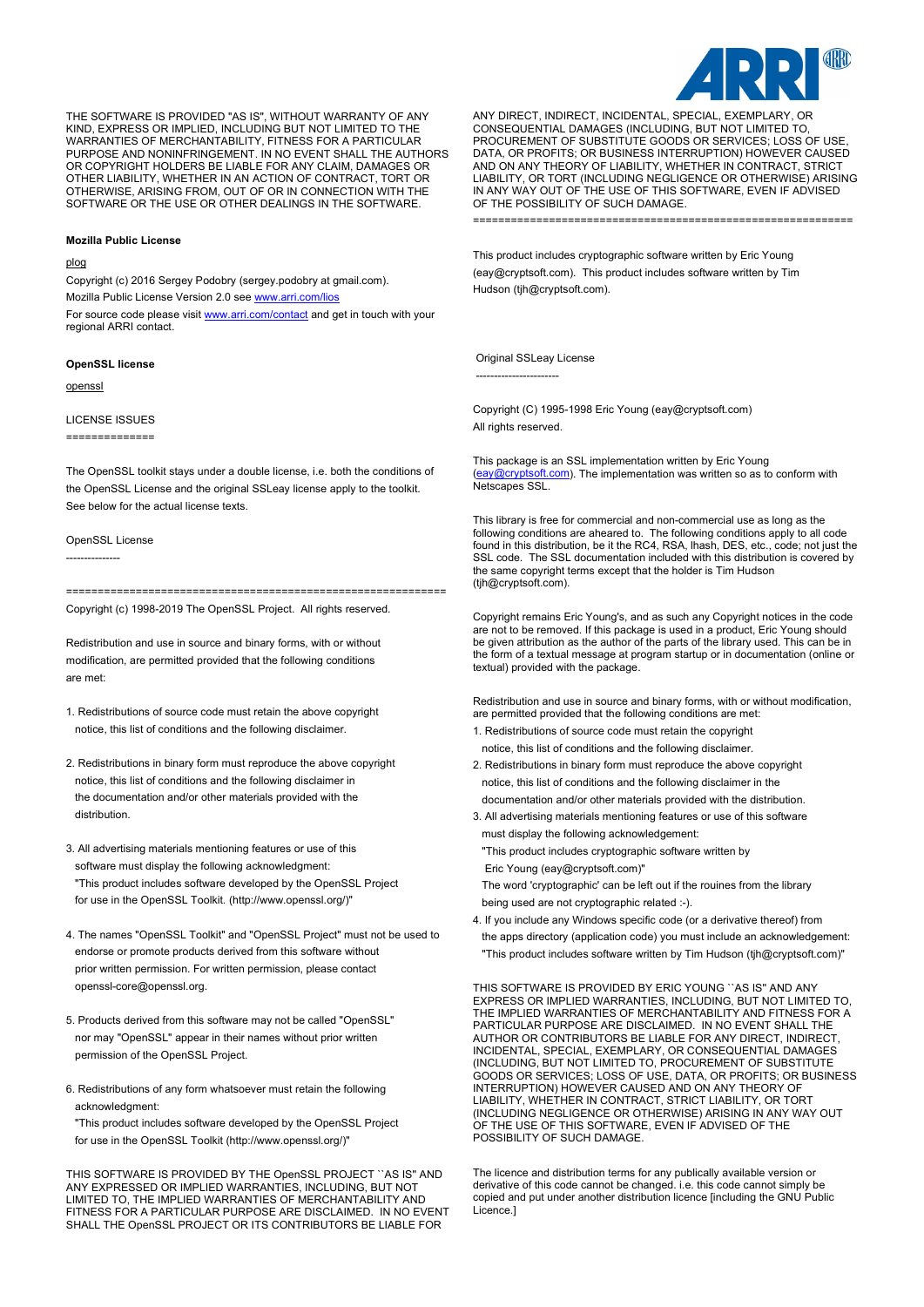

THE SOFTWARE IS PROVIDED "AS IS", WITHOUT WARRANTY OF ANY KIND, EXPRESS OR IMPLIED, INCLUDING BUT NOT LIMITED TO THE WARRANTIES OF MERCHANTABILITY, FITNESS FOR A PARTICULAR PURPOSE AND NONINFRINGEMENT. IN NO EVENT SHALL THE AUTHORS OR COPYRIGHT HOLDERS BE LIABLE FOR ANY CLAIM, DAMAGES OR OTHER LIABILITY, WHETHER IN AN ACTION OF CONTRACT, TORT OR OTHERWISE, ARISING FROM, OUT OF OR IN CONNECTION WITH THE SOFTWARE OR THE USE OR OTHER DEALINGS IN THE SOFTWARE.

#### **Mozilla Public License**

#### plog

Copyright (c) 2016 Sergey Podobry (sergey.podobry at gmail.com). Mozilla Public License Version 2.0 se[e www.arri.com/lios](http://www.arri.com/lios)

For source code please visi[t www.arri.com/contact](http://www.arri.com/contact) and get in touch with your regional ARRI contact.

#### **OpenSSL license**

openssl

#### LICENSE ISSUES

==============

The OpenSSL toolkit stays under a double license, i.e. both the conditions of the OpenSSL License and the original SSLeay license apply to the toolkit. See below for the actual license texts.

#### OpenSSL License

---------------

============================================================ Copyright (c) 1998-2019 The OpenSSL Project. All rights reserved.

Redistribution and use in source and binary forms, with or without modification, are permitted provided that the following conditions are met:

- 1. Redistributions of source code must retain the above copyright notice, this list of conditions and the following disclaimer.
- 2. Redistributions in binary form must reproduce the above copyright notice, this list of conditions and the following disclaimer in the documentation and/or other materials provided with the distribution.
- 3. All advertising materials mentioning features or use of this software must display the following acknowledgment: "This product includes software developed by the OpenSSL Project for use in the OpenSSL Toolkit. (http://www.openssl.org/)"
- 4. The names "OpenSSL Toolkit" and "OpenSSL Project" must not be used to endorse or promote products derived from this software without prior written permission. For written permission, please contact openssl-core@openssl.org.
- 5. Products derived from this software may not be called "OpenSSL" nor may "OpenSSL" appear in their names without prior written permission of the OpenSSL Project.
- 6. Redistributions of any form whatsoever must retain the following acknowledgment:

"This product includes software developed by the OpenSSL Project for use in the OpenSSL Toolkit (http://www.openssl.org/)"

THIS SOFTWARE IS PROVIDED BY THE OpenSSL PROJECT ``AS IS'' AND ANY EXPRESSED OR IMPLIED WARRANTIES, INCLUDING, BUT NOT LIMITED TO, THE IMPLIED WARRANTIES OF MERCHANTABILITY AND FITNESS FOR A PARTICULAR PURPOSE ARE DISCLAIMED. IN NO EVENT SHALL THE OpenSSL PROJECT OR ITS CONTRIBUTORS BE LIABLE FOR

ANY DIRECT, INDIRECT, INCIDENTAL, SPECIAL, EXEMPLARY, OR CONSEQUENTIAL DAMAGES (INCLUDING, BUT NOT LIMITED TO, PROCUREMENT OF SUBSTITUTE GOODS OR SERVICES; LOSS OF USE, DATA, OR PROFITS; OR BUSINESS INTERRUPTION) HOWEVER CAUSED AND ON ANY THEORY OF LIABILITY, WHETHER IN CONTRACT, STRICT LIABILITY, OR TORT (INCLUDING NEGLIGENCE OR OTHERWISE) ARISING IN ANY WAY OUT OF THE USE OF THIS SOFTWARE, EVEN IF ADVISED OF THE POSSIBILITY OF SUCH DAMAGE.

============================================================

This product includes cryptographic software written by Eric Young

(eay@cryptsoft.com). This product includes software written by Tim Hudson (tjh@cryptsoft.com).

Original SSLeay License

-----------------------

Copyright (C) 1995-1998 Eric Young (eay@cryptsoft.com) All rights reserved.

This package is an SSL implementation written by Eric Young  $\frac{\partial c$ ryptsoft.com). The implementation was written so as to conform with Netscapes SSL.

This library is free for commercial and non-commercial use as long as the following conditions are aheared to. The following conditions apply to all code found in this distribution, be it the RC4, RSA, lhash, DES, etc., code; not just the SSL code. The SSL documentation included with this distribution is covered by the same copyright terms except that the holder is Tim Hudson (tjh@cryptsoft.com).

Copyright remains Eric Young's, and as such any Copyright notices in the code are not to be removed. If this package is used in a product, Eric Young should be given attribution as the author of the parts of the library used. This can be in the form of a textual message at program startup or in documentation (online or textual) provided with the package.

Redistribution and use in source and binary forms, with or without modification, are permitted provided that the following conditions are met:

- 1. Redistributions of source code must retain the copyright notice, this list of conditions and the following disclaimer.
- 2. Redistributions in binary form must reproduce the above copyright notice, this list of conditions and the following disclaimer in the documentation and/or other materials provided with the distribution.
- 3. All advertising materials mentioning features or use of this software must display the following acknowledgement:
	- "This product includes cryptographic software written by
- Eric Young (eay@cryptsoft.com)"

The word 'cryptographic' can be left out if the rouines from the library being used are not cryptographic related :-).

4. If you include any Windows specific code (or a derivative thereof) from the apps directory (application code) you must include an acknowledgement: "This product includes software written by Tim Hudson (tjh@cryptsoft.com)"

THIS SOFTWARE IS PROVIDED BY ERIC YOUNG ``AS IS'' AND ANY EXPRESS OR IMPLIED WARRANTIES, INCLUDING, BUT NOT LIMITED TO, THE IMPLIED WARRANTIES OF MERCHANTABILITY AND FITNESS FOR A PARTICULAR PURPOSE ARE DISCLAIMED. IN NO EVENT SHALL THE AUTHOR OR CONTRIBUTORS BE LIABLE FOR ANY DIRECT, INDIRECT, INCIDENTAL, SPECIAL, EXEMPLARY, OR CONSEQUENTIAL DAMAGES (INCLUDING, BUT NOT LIMITED TO, PROCUREMENT OF SUBSTITUTE GOODS OR SERVICES; LOSS OF USE, DATA, OR PROFITS; OR BUSINESS INTERRUPTION) HOWEVER CAUSED AND ON ANY THEORY OF LIABILITY, WHETHER IN CONTRACT, STRICT LIABILITY, OR TORT (INCLUDING NEGLIGENCE OR OTHERWISE) ARISING IN ANY WAY OUT OF THE USE OF THIS SOFTWARE, EVEN IF ADVISED OF THE POSSIBILITY OF SUCH DAMAGE.

The licence and distribution terms for any publically available version or derivative of this code cannot be changed. i.e. this code cannot simply be copied and put under another distribution licence [including the GNU Public Licence.]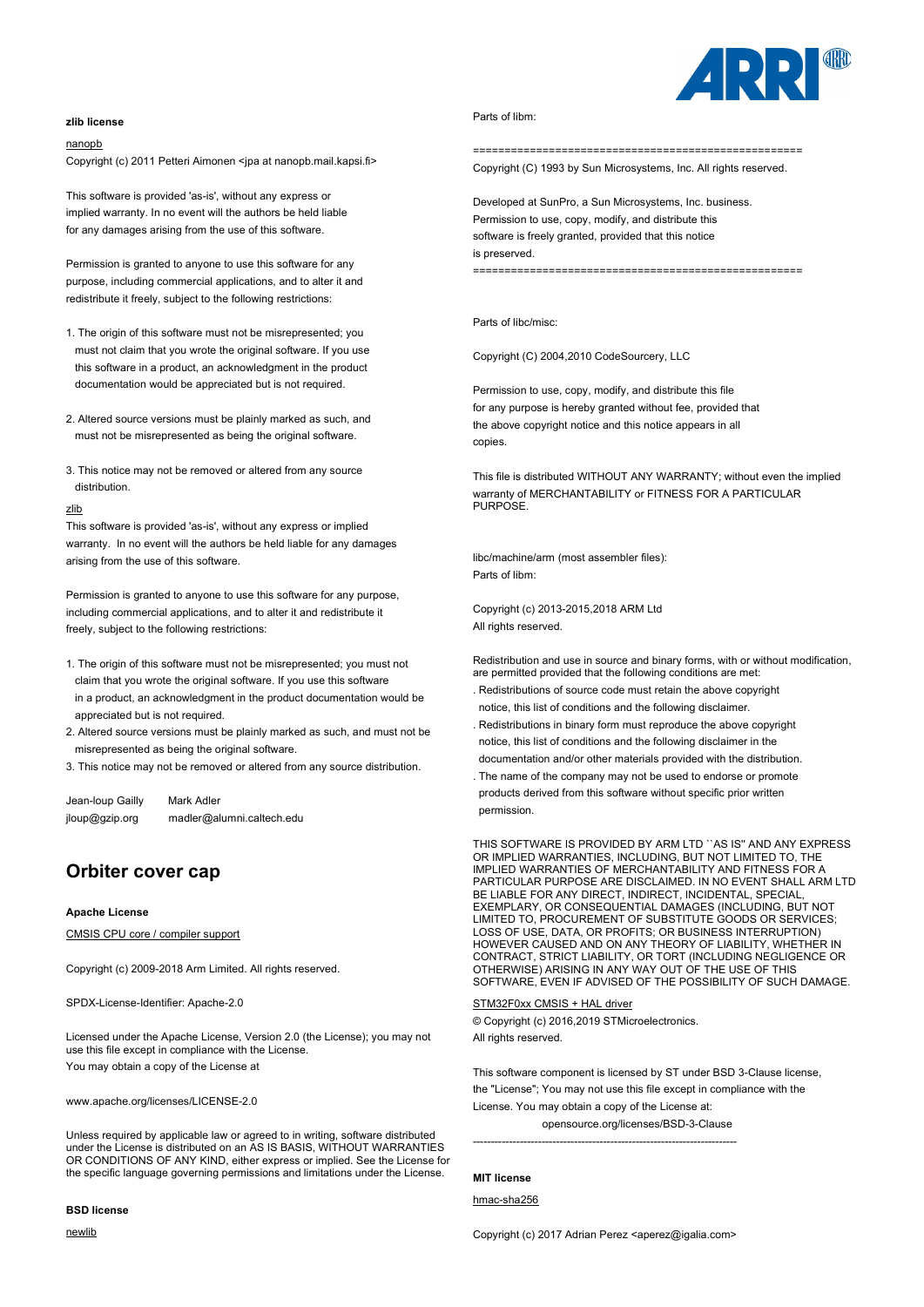

#### **zlib license**

#### nanopb

Copyright (c) 2011 Petteri Aimonen <jpa at nanopb.mail.kapsi.fi>

This software is provided 'as-is', without any express or implied warranty. In no event will the authors be held liable for any damages arising from the use of this software.

Permission is granted to anyone to use this software for any purpose, including commercial applications, and to alter it and redistribute it freely, subject to the following restrictions:

- 1. The origin of this software must not be misrepresented; you must not claim that you wrote the original software. If you use this software in a product, an acknowledgment in the product documentation would be appreciated but is not required.
- 2. Altered source versions must be plainly marked as such, and must not be misrepresented as being the original software.
- 3. This notice may not be removed or altered from any source distribution.

#### zlib

This software is provided 'as-is', without any express or implied warranty. In no event will the authors be held liable for any damages arising from the use of this software.

Permission is granted to anyone to use this software for any purpose, including commercial applications, and to alter it and redistribute it freely, subject to the following restrictions:

- 1. The origin of this software must not be misrepresented; you must not claim that you wrote the original software. If you use this software in a product, an acknowledgment in the product documentation would be appreciated but is not required.
- 2. Altered source versions must be plainly marked as such, and must not be misrepresented as being the original software.
- 3. This notice may not be removed or altered from any source distribution.

Jean-loup Gailly Mark Adler jloup@gzip.org madler@alumni.caltech.edu

## **Orbiter cover cap**

#### **Apache License**

CMSIS CPU core / compiler support

Copyright (c) 2009-2018 Arm Limited. All rights reserved.

SPDX-License-Identifier: Apache-2.0

Licensed under the Apache License, Version 2.0 (the License); you may not use this file except in compliance with the License. You may obtain a copy of the License at

www.apache.org/licenses/LICENSE-2.0

Unless required by applicable law or agreed to in writing, software distributed under the License is distributed on an AS IS BASIS, WITHOUT WARRANTIES OR CONDITIONS OF ANY KIND, either express or implied. See the License for the specific language governing permissions and limitations under the License.

#### **BSD license**

#### Parts of libm:

====================================================

Copyright (C) 1993 by Sun Microsystems, Inc. All rights reserved.

Developed at SunPro, a Sun Microsystems, Inc. business. Permission to use, copy, modify, and distribute this software is freely granted, provided that this notice is preserved.

====================================================

Parts of libc/misc:

Copyright (C) 2004,2010 CodeSourcery, LLC

Permission to use, copy, modify, and distribute this file for any purpose is hereby granted without fee, provided that the above copyright notice and this notice appears in all copies.

This file is distributed WITHOUT ANY WARRANTY; without even the implied warranty of MERCHANTABILITY or FITNESS FOR A PARTICULAR PURPOSE

libc/machine/arm (most assembler files): Parts of libm:

Copyright (c) 2013-2015,2018 ARM Ltd All rights reserved.

Redistribution and use in source and binary forms, with or without modification, are permitted provided that the following conditions are met:

- . Redistributions of source code must retain the above copyright notice, this list of conditions and the following disclaimer.
- 
- . Redistributions in binary form must reproduce the above copyright notice, this list of conditions and the following disclaimer in the
- documentation and/or other materials provided with the distribution. . The name of the company may not be used to endorse or promote

products derived from this software without specific prior written permission.

THIS SOFTWARE IS PROVIDED BY ARM LTD "AS IS" AND ANY EXPRESS OR IMPLIED WARRANTIES, INCLUDING, BUT NOT LIMITED TO, THE IMPLIED WARRANTIES OF MERCHANTABILITY AND FITNESS FOR A PARTICULAR PURPOSE ARE DISCLAIMED. IN NO EVENT SHALL ARM LTD BE LIABLE FOR ANY DIRECT, INDIRECT, INCIDENTAL, SPECIAL EXEMPLARY, OR CONSEQUENTIAL DAMAGES (INCLUDING, BUT NOT LIMITED TO, PROCUREMENT OF SUBSTITUTE GOODS OR SERVICES; LOSS OF USE, DATA, OR PROFITS; OR BUSINESS INTERRUPTION) HOWEVER CAUSED AND ON ANY THEORY OF LIABILITY, WHETHER IN CONTRACT, STRICT LIABILITY, OR TORT (INCLUDING NEGLIGENCE OR OTHERWISE) ARISING IN ANY WAY OUT OF THE USE OF THIS SOFTWARE, EVEN IF ADVISED OF THE POSSIBILITY OF SUCH DAMAGE.

#### STM32F0xx CMSIS + HAL driver

© Copyright (c) 2016,2019 STMicroelectronics. All rights reserved.

This software component is licensed by ST under BSD 3-Clause license, the "License"; You may not use this file except in compliance with the License. You may obtain a copy of the License at:

opensource.org/licenses/BSD-3-Clause

#### **MIT license**

hmac-sha256

Copyright (c) 2017 Adrian Perez [<aperez@igalia.com>](mailto:aperez@igalia.com)

-------------------------------------------------------------------------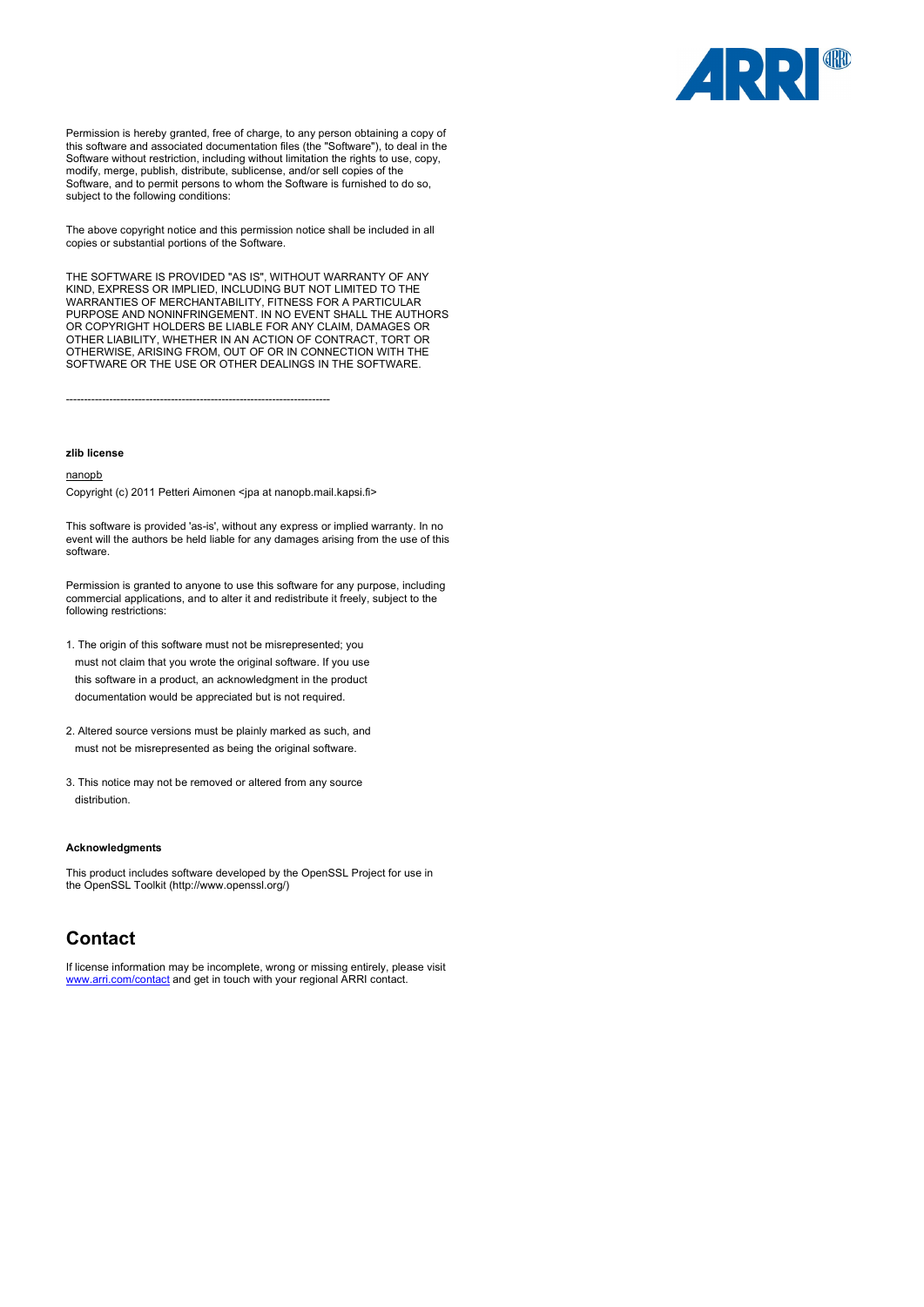

Permission is hereby granted, free of charge, to any person obtaining a copy of this software and associated documentation files (the "Software"), to deal in the Software without restriction, including without limitation the rights to use, copy, modify, merge, publish, distribute, sublicense, and/or sell copies of the Software, and to permit persons to whom the Software is furnished to do so, subject to the following conditions:

The above copyright notice and this permission notice shall be included in all copies or substantial portions of the Software.

THE SOFTWARE IS PROVIDED "AS IS", WITHOUT WARRANTY OF ANY KIND, EXPRESS OR IMPLIED, INCLUDING BUT NOT LIMITED TO THE WARRANTIES OF MERCHANTABILITY, FITNESS FOR A PARTICULAR PURPOSE AND NONINFRINGEMENT. IN NO EVENT SHALL THE AUTHORS OR COPYRIGHT HOLDERS BE LIABLE FOR ANY CLAIM, DAMAGES OR OTHER LIABILITY, WHETHER IN AN ACTION OF CONTRACT, TORT OR OTHERWISE, ARISING FROM, OUT OF OR IN CONNECTION WITH THE SOFTWARE OR THE USE OR OTHER DEALINGS IN THE SOFTWARE.

-------------------------------------------------------------------------

#### **zlib license**

#### nanopb

Copyright (c) 2011 Petteri Aimonen <jpa at nanopb.mail.kapsi.fi>

This software is provided 'as-is', without any express or implied warranty. In no event will the authors be held liable for any damages arising from the use of this software.

Permission is granted to anyone to use this software for any purpose, including commercial applications, and to alter it and redistribute it freely, subject to the following restrictions:

- 1. The origin of this software must not be misrepresented; you must not claim that you wrote the original software. If you use this software in a product, an acknowledgment in the product documentation would be appreciated but is not required.
- 2. Altered source versions must be plainly marked as such, and must not be misrepresented as being the original software.
- 3. This notice may not be removed or altered from any source distribution.

#### **Acknowledgments**

This product includes software developed by the OpenSSL Project for use in the OpenSSL Toolkit (http://www.openssl.org/)

#### **Contact**

If license information may be incomplete, wrong or missing entirely, please visit [www.arri.com/contact](http://www.arri.com/contact) and get in touch with your regional ARRI contact.